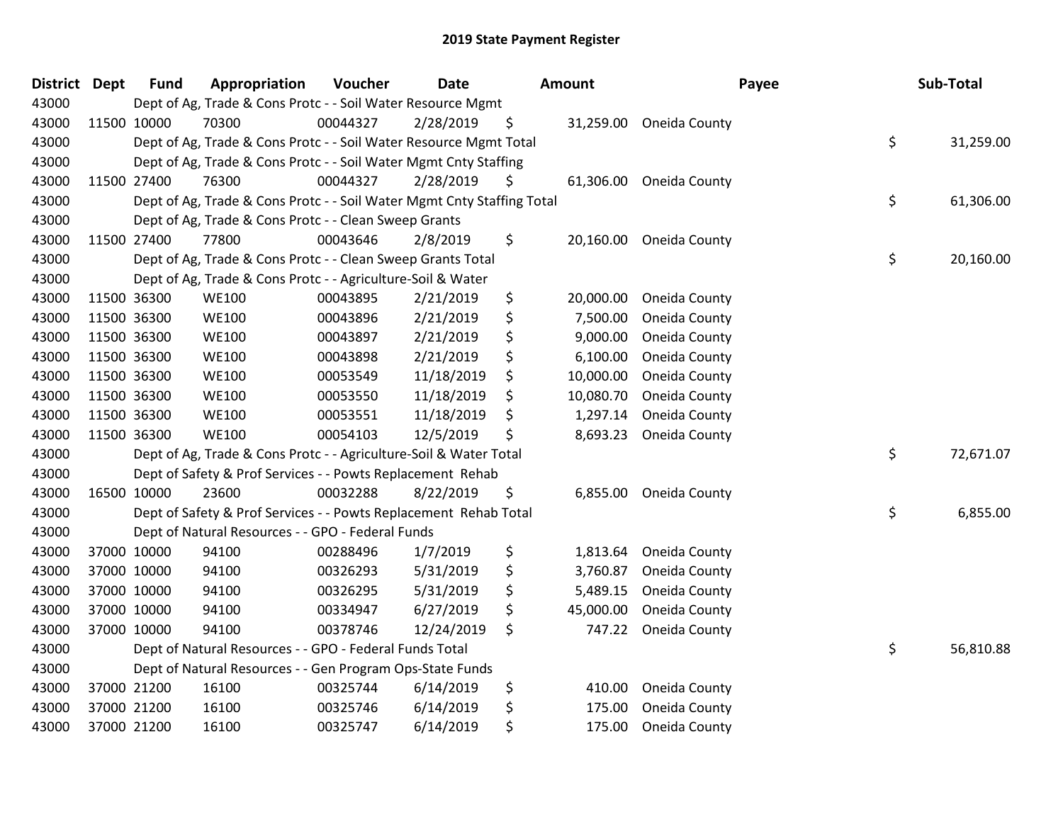| <b>District</b> | <b>Dept</b> | <b>Fund</b> | Appropriation                                                          | Voucher  | <b>Date</b> | Amount          |                         | Payee | Sub-Total |
|-----------------|-------------|-------------|------------------------------------------------------------------------|----------|-------------|-----------------|-------------------------|-------|-----------|
| 43000           |             |             | Dept of Ag, Trade & Cons Protc - - Soil Water Resource Mgmt            |          |             |                 |                         |       |           |
| 43000           | 11500 10000 |             | 70300                                                                  | 00044327 | 2/28/2019   | \$              | 31,259.00 Oneida County |       |           |
| 43000           |             |             | Dept of Ag, Trade & Cons Protc - - Soil Water Resource Mgmt Total      |          |             |                 |                         | \$    | 31,259.00 |
| 43000           |             |             | Dept of Ag, Trade & Cons Protc - - Soil Water Mgmt Cnty Staffing       |          |             |                 |                         |       |           |
| 43000           |             | 11500 27400 | 76300                                                                  | 00044327 | 2/28/2019   | \$<br>61,306.00 | Oneida County           |       |           |
| 43000           |             |             | Dept of Ag, Trade & Cons Protc - - Soil Water Mgmt Cnty Staffing Total |          |             |                 |                         | \$    | 61,306.00 |
| 43000           |             |             | Dept of Ag, Trade & Cons Protc - - Clean Sweep Grants                  |          |             |                 |                         |       |           |
| 43000           |             | 11500 27400 | 77800                                                                  | 00043646 | 2/8/2019    | \$<br>20,160.00 | Oneida County           |       |           |
| 43000           |             |             | Dept of Ag, Trade & Cons Protc - - Clean Sweep Grants Total            |          |             |                 |                         | \$    | 20,160.00 |
| 43000           |             |             | Dept of Ag, Trade & Cons Protc - - Agriculture-Soil & Water            |          |             |                 |                         |       |           |
| 43000           | 11500 36300 |             | <b>WE100</b>                                                           | 00043895 | 2/21/2019   | \$<br>20,000.00 | Oneida County           |       |           |
| 43000           | 11500 36300 |             | <b>WE100</b>                                                           | 00043896 | 2/21/2019   | \$<br>7,500.00  | Oneida County           |       |           |
| 43000           | 11500 36300 |             | <b>WE100</b>                                                           | 00043897 | 2/21/2019   | \$<br>9,000.00  | Oneida County           |       |           |
| 43000           | 11500 36300 |             | <b>WE100</b>                                                           | 00043898 | 2/21/2019   | \$<br>6,100.00  | Oneida County           |       |           |
| 43000           | 11500 36300 |             | <b>WE100</b>                                                           | 00053549 | 11/18/2019  | \$<br>10,000.00 | Oneida County           |       |           |
| 43000           | 11500 36300 |             | <b>WE100</b>                                                           | 00053550 | 11/18/2019  | \$<br>10,080.70 | Oneida County           |       |           |
| 43000           | 11500 36300 |             | <b>WE100</b>                                                           | 00053551 | 11/18/2019  | \$<br>1,297.14  | Oneida County           |       |           |
| 43000           | 11500 36300 |             | <b>WE100</b>                                                           | 00054103 | 12/5/2019   | \$<br>8,693.23  | Oneida County           |       |           |
| 43000           |             |             | Dept of Ag, Trade & Cons Protc - - Agriculture-Soil & Water Total      |          |             |                 |                         | \$    | 72,671.07 |
| 43000           |             |             | Dept of Safety & Prof Services - - Powts Replacement Rehab             |          |             |                 |                         |       |           |
| 43000           | 16500 10000 |             | 23600                                                                  | 00032288 | 8/22/2019   | \$<br>6,855.00  | Oneida County           |       |           |
| 43000           |             |             | Dept of Safety & Prof Services - - Powts Replacement Rehab Total       |          |             |                 |                         | \$    | 6,855.00  |
| 43000           |             |             | Dept of Natural Resources - - GPO - Federal Funds                      |          |             |                 |                         |       |           |
| 43000           |             | 37000 10000 | 94100                                                                  | 00288496 | 1/7/2019    | \$<br>1,813.64  | Oneida County           |       |           |
| 43000           | 37000 10000 |             | 94100                                                                  | 00326293 | 5/31/2019   | \$<br>3,760.87  | Oneida County           |       |           |
| 43000           |             | 37000 10000 | 94100                                                                  | 00326295 | 5/31/2019   | \$<br>5,489.15  | Oneida County           |       |           |
| 43000           |             | 37000 10000 | 94100                                                                  | 00334947 | 6/27/2019   | \$<br>45,000.00 | Oneida County           |       |           |
| 43000           |             | 37000 10000 | 94100                                                                  | 00378746 | 12/24/2019  | \$<br>747.22    | Oneida County           |       |           |
| 43000           |             |             | Dept of Natural Resources - - GPO - Federal Funds Total                |          |             |                 |                         | \$    | 56,810.88 |
| 43000           |             |             | Dept of Natural Resources - - Gen Program Ops-State Funds              |          |             |                 |                         |       |           |
| 43000           |             | 37000 21200 | 16100                                                                  | 00325744 | 6/14/2019   | \$<br>410.00    | Oneida County           |       |           |
| 43000           |             | 37000 21200 | 16100                                                                  | 00325746 | 6/14/2019   | \$<br>175.00    | Oneida County           |       |           |
| 43000           |             | 37000 21200 | 16100                                                                  | 00325747 | 6/14/2019   | \$<br>175.00    | Oneida County           |       |           |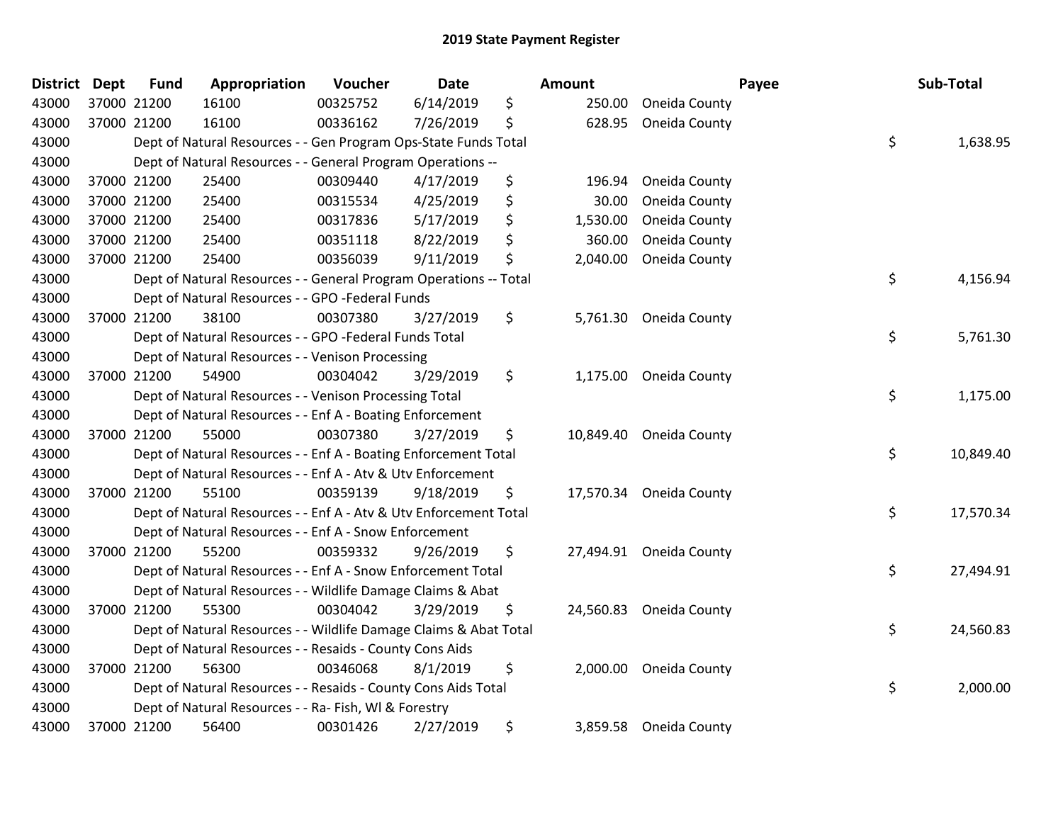| District Dept |             | <b>Fund</b> | Appropriation                                                     | Voucher  | <b>Date</b> | Amount         |                         | Payee | Sub-Total |
|---------------|-------------|-------------|-------------------------------------------------------------------|----------|-------------|----------------|-------------------------|-------|-----------|
| 43000         | 37000 21200 |             | 16100                                                             | 00325752 | 6/14/2019   | \$<br>250.00   | Oneida County           |       |           |
| 43000         |             | 37000 21200 | 16100                                                             | 00336162 | 7/26/2019   | \$<br>628.95   | Oneida County           |       |           |
| 43000         |             |             | Dept of Natural Resources - - Gen Program Ops-State Funds Total   |          |             |                |                         | \$    | 1,638.95  |
| 43000         |             |             | Dept of Natural Resources - - General Program Operations --       |          |             |                |                         |       |           |
| 43000         |             | 37000 21200 | 25400                                                             | 00309440 | 4/17/2019   | \$<br>196.94   | Oneida County           |       |           |
| 43000         |             | 37000 21200 | 25400                                                             | 00315534 | 4/25/2019   | \$<br>30.00    | Oneida County           |       |           |
| 43000         |             | 37000 21200 | 25400                                                             | 00317836 | 5/17/2019   | \$<br>1,530.00 | Oneida County           |       |           |
| 43000         |             | 37000 21200 | 25400                                                             | 00351118 | 8/22/2019   | \$<br>360.00   | Oneida County           |       |           |
| 43000         |             | 37000 21200 | 25400                                                             | 00356039 | 9/11/2019   | \$<br>2,040.00 | Oneida County           |       |           |
| 43000         |             |             | Dept of Natural Resources - - General Program Operations -- Total |          |             |                |                         | \$    | 4,156.94  |
| 43000         |             |             | Dept of Natural Resources - - GPO -Federal Funds                  |          |             |                |                         |       |           |
| 43000         |             | 37000 21200 | 38100                                                             | 00307380 | 3/27/2019   | \$             | 5,761.30 Oneida County  |       |           |
| 43000         |             |             | Dept of Natural Resources - - GPO -Federal Funds Total            |          |             |                |                         | \$    | 5,761.30  |
| 43000         |             |             | Dept of Natural Resources - - Venison Processing                  |          |             |                |                         |       |           |
| 43000         |             | 37000 21200 | 54900                                                             | 00304042 | 3/29/2019   | \$<br>1,175.00 | Oneida County           |       |           |
| 43000         |             |             | Dept of Natural Resources - - Venison Processing Total            |          |             |                |                         | \$    | 1,175.00  |
| 43000         |             |             | Dept of Natural Resources - - Enf A - Boating Enforcement         |          |             |                |                         |       |           |
| 43000         |             | 37000 21200 | 55000                                                             | 00307380 | 3/27/2019   | \$             | 10,849.40 Oneida County |       |           |
| 43000         |             |             | Dept of Natural Resources - - Enf A - Boating Enforcement Total   |          |             |                |                         | \$    | 10,849.40 |
| 43000         |             |             | Dept of Natural Resources - - Enf A - Atv & Utv Enforcement       |          |             |                |                         |       |           |
| 43000         |             | 37000 21200 | 55100                                                             | 00359139 | 9/18/2019   | \$             | 17,570.34 Oneida County |       |           |
| 43000         |             |             | Dept of Natural Resources - - Enf A - Atv & Utv Enforcement Total |          |             |                |                         | \$    | 17,570.34 |
| 43000         |             |             | Dept of Natural Resources - - Enf A - Snow Enforcement            |          |             |                |                         |       |           |
| 43000         |             | 37000 21200 | 55200                                                             | 00359332 | 9/26/2019   | \$             | 27,494.91 Oneida County |       |           |
| 43000         |             |             | Dept of Natural Resources - - Enf A - Snow Enforcement Total      |          |             |                |                         | \$    | 27,494.91 |
| 43000         |             |             | Dept of Natural Resources - - Wildlife Damage Claims & Abat       |          |             |                |                         |       |           |
| 43000         |             | 37000 21200 | 55300                                                             | 00304042 | 3/29/2019   | \$             | 24,560.83 Oneida County |       |           |
| 43000         |             |             | Dept of Natural Resources - - Wildlife Damage Claims & Abat Total |          |             |                |                         | \$    | 24,560.83 |
| 43000         |             |             | Dept of Natural Resources - - Resaids - County Cons Aids          |          |             |                |                         |       |           |
| 43000         |             | 37000 21200 | 56300                                                             | 00346068 | 8/1/2019    | \$             | 2,000.00 Oneida County  |       |           |
| 43000         |             |             | Dept of Natural Resources - - Resaids - County Cons Aids Total    |          |             |                |                         | \$    | 2,000.00  |
| 43000         |             |             | Dept of Natural Resources - - Ra- Fish, WI & Forestry             |          |             |                |                         |       |           |
| 43000         |             | 37000 21200 | 56400                                                             | 00301426 | 2/27/2019   | \$<br>3,859.58 | Oneida County           |       |           |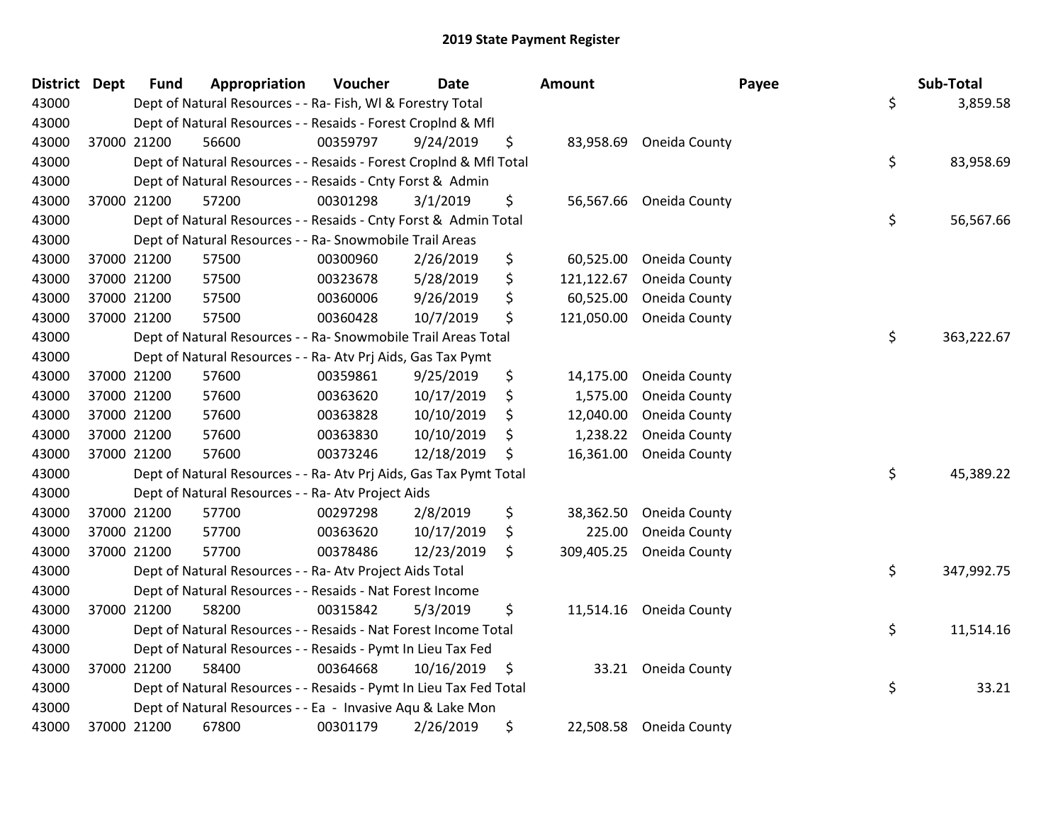| District Dept |             | <b>Fund</b> | Appropriation                                                      | Voucher  | <b>Date</b> | Amount           |                         | Payee | Sub-Total  |
|---------------|-------------|-------------|--------------------------------------------------------------------|----------|-------------|------------------|-------------------------|-------|------------|
| 43000         |             |             | Dept of Natural Resources - - Ra- Fish, WI & Forestry Total        |          |             |                  |                         | \$    | 3,859.58   |
| 43000         |             |             | Dept of Natural Resources - - Resaids - Forest Croplnd & Mfl       |          |             |                  |                         |       |            |
| 43000         |             | 37000 21200 | 56600                                                              | 00359797 | 9/24/2019   | \$               | 83,958.69 Oneida County |       |            |
| 43000         |             |             | Dept of Natural Resources - - Resaids - Forest CropInd & Mfl Total |          |             |                  |                         | \$    | 83,958.69  |
| 43000         |             |             | Dept of Natural Resources - - Resaids - Cnty Forst & Admin         |          |             |                  |                         |       |            |
| 43000         | 37000 21200 |             | 57200                                                              | 00301298 | 3/1/2019    | \$<br>56,567.66  | Oneida County           |       |            |
| 43000         |             |             | Dept of Natural Resources - - Resaids - Cnty Forst & Admin Total   |          |             |                  |                         | \$    | 56,567.66  |
| 43000         |             |             | Dept of Natural Resources - - Ra- Snowmobile Trail Areas           |          |             |                  |                         |       |            |
| 43000         |             | 37000 21200 | 57500                                                              | 00300960 | 2/26/2019   | \$<br>60,525.00  | Oneida County           |       |            |
| 43000         |             | 37000 21200 | 57500                                                              | 00323678 | 5/28/2019   | \$<br>121,122.67 | Oneida County           |       |            |
| 43000         |             | 37000 21200 | 57500                                                              | 00360006 | 9/26/2019   | \$<br>60,525.00  | Oneida County           |       |            |
| 43000         | 37000 21200 |             | 57500                                                              | 00360428 | 10/7/2019   | \$<br>121,050.00 | Oneida County           |       |            |
| 43000         |             |             | Dept of Natural Resources - - Ra- Snowmobile Trail Areas Total     |          |             |                  |                         | \$    | 363,222.67 |
| 43000         |             |             | Dept of Natural Resources - - Ra- Atv Prj Aids, Gas Tax Pymt       |          |             |                  |                         |       |            |
| 43000         | 37000 21200 |             | 57600                                                              | 00359861 | 9/25/2019   | \$<br>14,175.00  | Oneida County           |       |            |
| 43000         |             | 37000 21200 | 57600                                                              | 00363620 | 10/17/2019  | \$<br>1,575.00   | Oneida County           |       |            |
| 43000         | 37000 21200 |             | 57600                                                              | 00363828 | 10/10/2019  | \$<br>12,040.00  | Oneida County           |       |            |
| 43000         | 37000 21200 |             | 57600                                                              | 00363830 | 10/10/2019  | \$<br>1,238.22   | Oneida County           |       |            |
| 43000         | 37000 21200 |             | 57600                                                              | 00373246 | 12/18/2019  | \$<br>16,361.00  | Oneida County           |       |            |
| 43000         |             |             | Dept of Natural Resources - - Ra- Atv Prj Aids, Gas Tax Pymt Total |          |             |                  |                         | \$    | 45,389.22  |
| 43000         |             |             | Dept of Natural Resources - - Ra- Atv Project Aids                 |          |             |                  |                         |       |            |
| 43000         | 37000 21200 |             | 57700                                                              | 00297298 | 2/8/2019    | \$<br>38,362.50  | Oneida County           |       |            |
| 43000         |             | 37000 21200 | 57700                                                              | 00363620 | 10/17/2019  | \$<br>225.00     | Oneida County           |       |            |
| 43000         | 37000 21200 |             | 57700                                                              | 00378486 | 12/23/2019  | \$<br>309,405.25 | Oneida County           |       |            |
| 43000         |             |             | Dept of Natural Resources - - Ra- Atv Project Aids Total           |          |             |                  |                         | \$    | 347,992.75 |
| 43000         |             |             | Dept of Natural Resources - - Resaids - Nat Forest Income          |          |             |                  |                         |       |            |
| 43000         |             | 37000 21200 | 58200                                                              | 00315842 | 5/3/2019    | \$<br>11,514.16  | Oneida County           |       |            |
| 43000         |             |             | Dept of Natural Resources - - Resaids - Nat Forest Income Total    |          |             |                  |                         | \$    | 11,514.16  |
| 43000         |             |             | Dept of Natural Resources - - Resaids - Pymt In Lieu Tax Fed       |          |             |                  |                         |       |            |
| 43000         | 37000 21200 |             | 58400                                                              | 00364668 | 10/16/2019  | \$               | 33.21 Oneida County     |       |            |
| 43000         |             |             | Dept of Natural Resources - - Resaids - Pymt In Lieu Tax Fed Total |          |             |                  |                         | \$    | 33.21      |
| 43000         |             |             | Dept of Natural Resources - - Ea - Invasive Aqu & Lake Mon         |          |             |                  |                         |       |            |
| 43000         |             | 37000 21200 | 67800                                                              | 00301179 | 2/26/2019   | \$<br>22,508.58  | Oneida County           |       |            |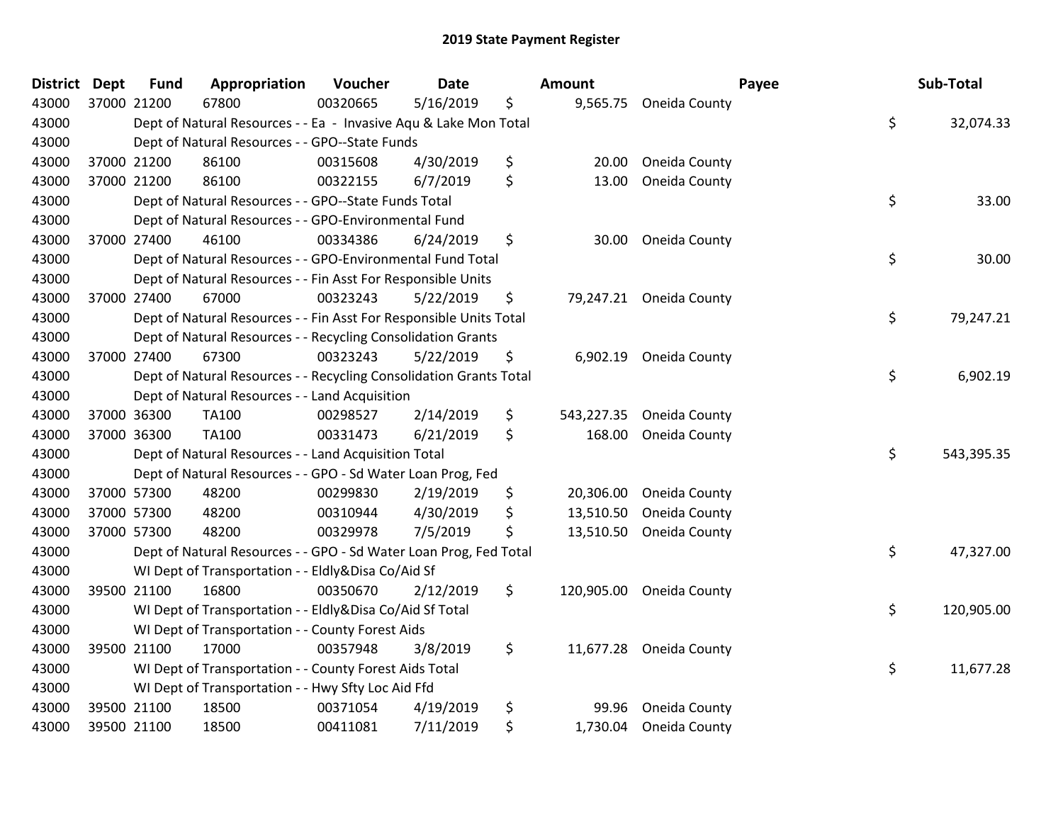| <b>District Dept</b> |             | <b>Fund</b> | Appropriation                                                      | Voucher  | <b>Date</b> | Amount           |                         | Payee | Sub-Total  |
|----------------------|-------------|-------------|--------------------------------------------------------------------|----------|-------------|------------------|-------------------------|-------|------------|
| 43000                | 37000 21200 |             | 67800                                                              | 00320665 | 5/16/2019   | \$               | 9,565.75 Oneida County  |       |            |
| 43000                |             |             | Dept of Natural Resources - - Ea - Invasive Aqu & Lake Mon Total   |          |             |                  |                         | \$    | 32,074.33  |
| 43000                |             |             | Dept of Natural Resources - - GPO--State Funds                     |          |             |                  |                         |       |            |
| 43000                |             | 37000 21200 | 86100                                                              | 00315608 | 4/30/2019   | \$<br>20.00      | Oneida County           |       |            |
| 43000                |             | 37000 21200 | 86100                                                              | 00322155 | 6/7/2019    | \$<br>13.00      | Oneida County           |       |            |
| 43000                |             |             | Dept of Natural Resources - - GPO--State Funds Total               |          |             |                  |                         | \$    | 33.00      |
| 43000                |             |             | Dept of Natural Resources - - GPO-Environmental Fund               |          |             |                  |                         |       |            |
| 43000                |             | 37000 27400 | 46100                                                              | 00334386 | 6/24/2019   | \$<br>30.00      | Oneida County           |       |            |
| 43000                |             |             | Dept of Natural Resources - - GPO-Environmental Fund Total         |          |             |                  |                         | \$    | 30.00      |
| 43000                |             |             | Dept of Natural Resources - - Fin Asst For Responsible Units       |          |             |                  |                         |       |            |
| 43000                |             | 37000 27400 | 67000                                                              | 00323243 | 5/22/2019   | \$               | 79,247.21 Oneida County |       |            |
| 43000                |             |             | Dept of Natural Resources - - Fin Asst For Responsible Units Total |          |             |                  |                         | \$    | 79,247.21  |
| 43000                |             |             | Dept of Natural Resources - - Recycling Consolidation Grants       |          |             |                  |                         |       |            |
| 43000                |             | 37000 27400 | 67300                                                              | 00323243 | 5/22/2019   | \$               | 6,902.19 Oneida County  |       |            |
| 43000                |             |             | Dept of Natural Resources - - Recycling Consolidation Grants Total |          |             |                  |                         | \$    | 6,902.19   |
| 43000                |             |             | Dept of Natural Resources - - Land Acquisition                     |          |             |                  |                         |       |            |
| 43000                |             | 37000 36300 | TA100                                                              | 00298527 | 2/14/2019   | \$<br>543,227.35 | Oneida County           |       |            |
| 43000                |             | 37000 36300 | TA100                                                              | 00331473 | 6/21/2019   | \$<br>168.00     | Oneida County           |       |            |
| 43000                |             |             | Dept of Natural Resources - - Land Acquisition Total               |          |             |                  |                         | \$    | 543,395.35 |
| 43000                |             |             | Dept of Natural Resources - - GPO - Sd Water Loan Prog, Fed        |          |             |                  |                         |       |            |
| 43000                |             | 37000 57300 | 48200                                                              | 00299830 | 2/19/2019   | \$<br>20,306.00  | Oneida County           |       |            |
| 43000                |             | 37000 57300 | 48200                                                              | 00310944 | 4/30/2019   | \$<br>13,510.50  | Oneida County           |       |            |
| 43000                |             | 37000 57300 | 48200                                                              | 00329978 | 7/5/2019    | \$               | 13,510.50 Oneida County |       |            |
| 43000                |             |             | Dept of Natural Resources - - GPO - Sd Water Loan Prog, Fed Total  |          |             |                  |                         | \$    | 47,327.00  |
| 43000                |             |             | WI Dept of Transportation - - Eldly&Disa Co/Aid Sf                 |          |             |                  |                         |       |            |
| 43000                |             | 39500 21100 | 16800                                                              | 00350670 | 2/12/2019   | \$<br>120,905.00 | Oneida County           |       |            |
| 43000                |             |             | WI Dept of Transportation - - Eldly&Disa Co/Aid Sf Total           |          |             |                  |                         | \$    | 120,905.00 |
| 43000                |             |             | WI Dept of Transportation - - County Forest Aids                   |          |             |                  |                         |       |            |
| 43000                |             | 39500 21100 | 17000                                                              | 00357948 | 3/8/2019    | \$               | 11,677.28 Oneida County |       |            |
| 43000                |             |             | WI Dept of Transportation - - County Forest Aids Total             |          |             |                  |                         | \$    | 11,677.28  |
| 43000                |             |             | WI Dept of Transportation - - Hwy Sfty Loc Aid Ffd                 |          |             |                  |                         |       |            |
| 43000                |             | 39500 21100 | 18500                                                              | 00371054 | 4/19/2019   | \$<br>99.96      | Oneida County           |       |            |
| 43000                |             | 39500 21100 | 18500                                                              | 00411081 | 7/11/2019   | \$<br>1,730.04   | Oneida County           |       |            |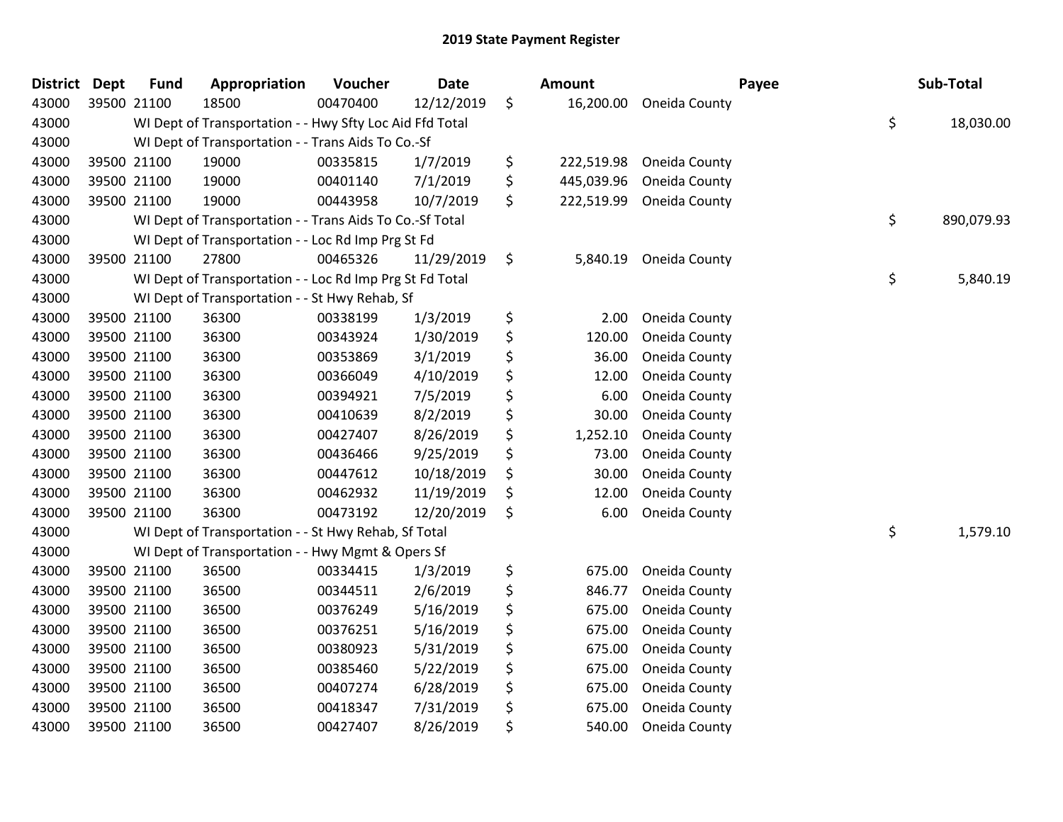| <b>District</b> | <b>Dept</b> | <b>Fund</b> | Appropriation                                            | Voucher  | <b>Date</b> | Amount           | Payee         | Sub-Total        |
|-----------------|-------------|-------------|----------------------------------------------------------|----------|-------------|------------------|---------------|------------------|
| 43000           |             | 39500 21100 | 18500                                                    | 00470400 | 12/12/2019  | \$<br>16,200.00  | Oneida County |                  |
| 43000           |             |             | WI Dept of Transportation - - Hwy Sfty Loc Aid Ffd Total |          |             |                  |               | \$<br>18,030.00  |
| 43000           |             |             | WI Dept of Transportation - - Trans Aids To Co.-Sf       |          |             |                  |               |                  |
| 43000           |             | 39500 21100 | 19000                                                    | 00335815 | 1/7/2019    | \$<br>222,519.98 | Oneida County |                  |
| 43000           |             | 39500 21100 | 19000                                                    | 00401140 | 7/1/2019    | \$<br>445,039.96 | Oneida County |                  |
| 43000           |             | 39500 21100 | 19000                                                    | 00443958 | 10/7/2019   | \$<br>222,519.99 | Oneida County |                  |
| 43000           |             |             | WI Dept of Transportation - - Trans Aids To Co.-Sf Total |          |             |                  |               | \$<br>890,079.93 |
| 43000           |             |             | WI Dept of Transportation - - Loc Rd Imp Prg St Fd       |          |             |                  |               |                  |
| 43000           |             | 39500 21100 | 27800                                                    | 00465326 | 11/29/2019  | \$<br>5,840.19   | Oneida County |                  |
| 43000           |             |             | WI Dept of Transportation - - Loc Rd Imp Prg St Fd Total |          |             |                  |               | \$<br>5,840.19   |
| 43000           |             |             | WI Dept of Transportation - - St Hwy Rehab, Sf           |          |             |                  |               |                  |
| 43000           |             | 39500 21100 | 36300                                                    | 00338199 | 1/3/2019    | \$<br>2.00       | Oneida County |                  |
| 43000           |             | 39500 21100 | 36300                                                    | 00343924 | 1/30/2019   | \$<br>120.00     | Oneida County |                  |
| 43000           |             | 39500 21100 | 36300                                                    | 00353869 | 3/1/2019    | \$<br>36.00      | Oneida County |                  |
| 43000           |             | 39500 21100 | 36300                                                    | 00366049 | 4/10/2019   | \$<br>12.00      | Oneida County |                  |
| 43000           |             | 39500 21100 | 36300                                                    | 00394921 | 7/5/2019    | \$<br>6.00       | Oneida County |                  |
| 43000           |             | 39500 21100 | 36300                                                    | 00410639 | 8/2/2019    | \$<br>30.00      | Oneida County |                  |
| 43000           |             | 39500 21100 | 36300                                                    | 00427407 | 8/26/2019   | \$<br>1,252.10   | Oneida County |                  |
| 43000           |             | 39500 21100 | 36300                                                    | 00436466 | 9/25/2019   | \$<br>73.00      | Oneida County |                  |
| 43000           |             | 39500 21100 | 36300                                                    | 00447612 | 10/18/2019  | \$<br>30.00      | Oneida County |                  |
| 43000           |             | 39500 21100 | 36300                                                    | 00462932 | 11/19/2019  | \$<br>12.00      | Oneida County |                  |
| 43000           |             | 39500 21100 | 36300                                                    | 00473192 | 12/20/2019  | \$<br>6.00       | Oneida County |                  |
| 43000           |             |             | WI Dept of Transportation - - St Hwy Rehab, Sf Total     |          |             |                  |               | \$<br>1,579.10   |
| 43000           |             |             | WI Dept of Transportation - - Hwy Mgmt & Opers Sf        |          |             |                  |               |                  |
| 43000           |             | 39500 21100 | 36500                                                    | 00334415 | 1/3/2019    | \$<br>675.00     | Oneida County |                  |
| 43000           |             | 39500 21100 | 36500                                                    | 00344511 | 2/6/2019    | \$<br>846.77     | Oneida County |                  |
| 43000           |             | 39500 21100 | 36500                                                    | 00376249 | 5/16/2019   | \$<br>675.00     | Oneida County |                  |
| 43000           |             | 39500 21100 | 36500                                                    | 00376251 | 5/16/2019   | \$<br>675.00     | Oneida County |                  |
| 43000           |             | 39500 21100 | 36500                                                    | 00380923 | 5/31/2019   | \$<br>675.00     | Oneida County |                  |
| 43000           |             | 39500 21100 | 36500                                                    | 00385460 | 5/22/2019   | \$<br>675.00     | Oneida County |                  |
| 43000           |             | 39500 21100 | 36500                                                    | 00407274 | 6/28/2019   | \$<br>675.00     | Oneida County |                  |
| 43000           |             | 39500 21100 | 36500                                                    | 00418347 | 7/31/2019   | \$<br>675.00     | Oneida County |                  |
| 43000           |             | 39500 21100 | 36500                                                    | 00427407 | 8/26/2019   | \$<br>540.00     | Oneida County |                  |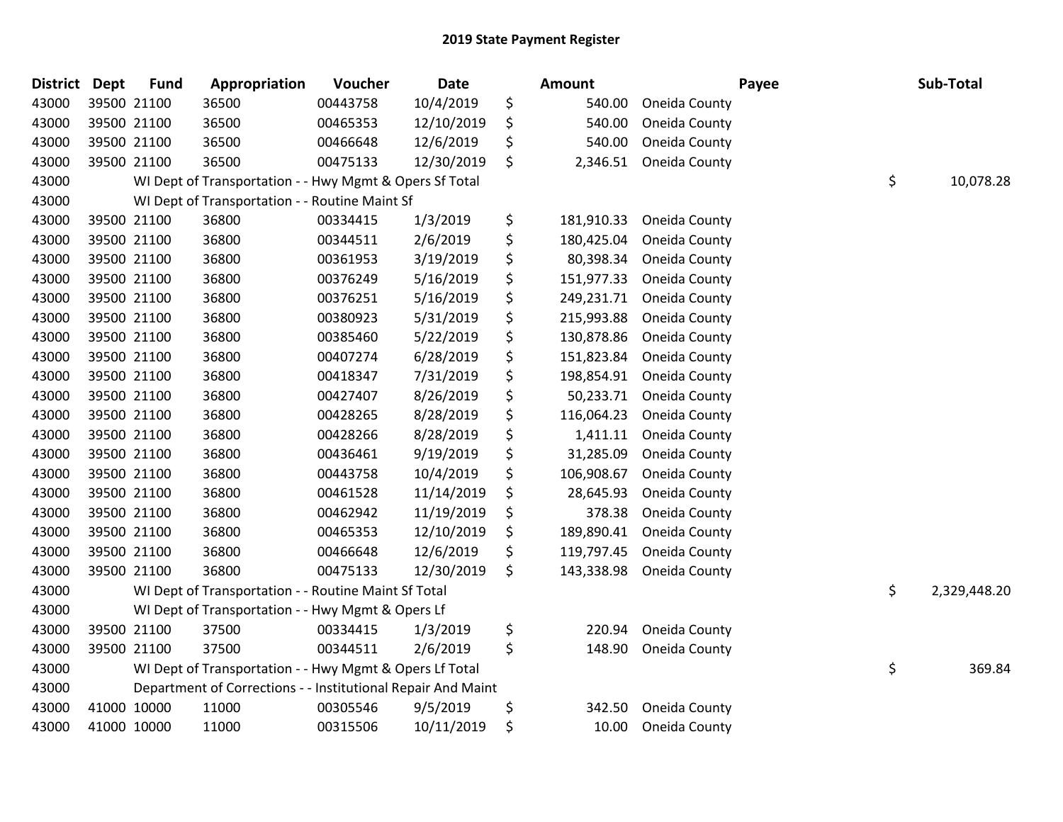| <b>District</b> | <b>Dept</b> | <b>Fund</b> | Appropriation                                                | Voucher  | <b>Date</b> | Amount           |               | Payee | Sub-Total    |
|-----------------|-------------|-------------|--------------------------------------------------------------|----------|-------------|------------------|---------------|-------|--------------|
| 43000           |             | 39500 21100 | 36500                                                        | 00443758 | 10/4/2019   | \$<br>540.00     | Oneida County |       |              |
| 43000           |             | 39500 21100 | 36500                                                        | 00465353 | 12/10/2019  | \$<br>540.00     | Oneida County |       |              |
| 43000           |             | 39500 21100 | 36500                                                        | 00466648 | 12/6/2019   | \$<br>540.00     | Oneida County |       |              |
| 43000           |             | 39500 21100 | 36500                                                        | 00475133 | 12/30/2019  | \$<br>2,346.51   | Oneida County |       |              |
| 43000           |             |             | WI Dept of Transportation - - Hwy Mgmt & Opers Sf Total      |          |             |                  |               | \$    | 10,078.28    |
| 43000           |             |             | WI Dept of Transportation - - Routine Maint Sf               |          |             |                  |               |       |              |
| 43000           |             | 39500 21100 | 36800                                                        | 00334415 | 1/3/2019    | \$<br>181,910.33 | Oneida County |       |              |
| 43000           |             | 39500 21100 | 36800                                                        | 00344511 | 2/6/2019    | \$<br>180,425.04 | Oneida County |       |              |
| 43000           |             | 39500 21100 | 36800                                                        | 00361953 | 3/19/2019   | \$<br>80,398.34  | Oneida County |       |              |
| 43000           |             | 39500 21100 | 36800                                                        | 00376249 | 5/16/2019   | \$<br>151,977.33 | Oneida County |       |              |
| 43000           |             | 39500 21100 | 36800                                                        | 00376251 | 5/16/2019   | \$<br>249,231.71 | Oneida County |       |              |
| 43000           |             | 39500 21100 | 36800                                                        | 00380923 | 5/31/2019   | \$<br>215,993.88 | Oneida County |       |              |
| 43000           |             | 39500 21100 | 36800                                                        | 00385460 | 5/22/2019   | \$<br>130,878.86 | Oneida County |       |              |
| 43000           |             | 39500 21100 | 36800                                                        | 00407274 | 6/28/2019   | \$<br>151,823.84 | Oneida County |       |              |
| 43000           |             | 39500 21100 | 36800                                                        | 00418347 | 7/31/2019   | \$<br>198,854.91 | Oneida County |       |              |
| 43000           |             | 39500 21100 | 36800                                                        | 00427407 | 8/26/2019   | \$<br>50,233.71  | Oneida County |       |              |
| 43000           |             | 39500 21100 | 36800                                                        | 00428265 | 8/28/2019   | \$<br>116,064.23 | Oneida County |       |              |
| 43000           |             | 39500 21100 | 36800                                                        | 00428266 | 8/28/2019   | \$<br>1,411.11   | Oneida County |       |              |
| 43000           |             | 39500 21100 | 36800                                                        | 00436461 | 9/19/2019   | \$<br>31,285.09  | Oneida County |       |              |
| 43000           |             | 39500 21100 | 36800                                                        | 00443758 | 10/4/2019   | \$<br>106,908.67 | Oneida County |       |              |
| 43000           |             | 39500 21100 | 36800                                                        | 00461528 | 11/14/2019  | \$<br>28,645.93  | Oneida County |       |              |
| 43000           |             | 39500 21100 | 36800                                                        | 00462942 | 11/19/2019  | \$<br>378.38     | Oneida County |       |              |
| 43000           |             | 39500 21100 | 36800                                                        | 00465353 | 12/10/2019  | \$<br>189,890.41 | Oneida County |       |              |
| 43000           |             | 39500 21100 | 36800                                                        | 00466648 | 12/6/2019   | \$<br>119,797.45 | Oneida County |       |              |
| 43000           |             | 39500 21100 | 36800                                                        | 00475133 | 12/30/2019  | \$<br>143,338.98 | Oneida County |       |              |
| 43000           |             |             | WI Dept of Transportation - - Routine Maint Sf Total         |          |             |                  |               | \$    | 2,329,448.20 |
| 43000           |             |             | WI Dept of Transportation - - Hwy Mgmt & Opers Lf            |          |             |                  |               |       |              |
| 43000           |             | 39500 21100 | 37500                                                        | 00334415 | 1/3/2019    | \$<br>220.94     | Oneida County |       |              |
| 43000           |             | 39500 21100 | 37500                                                        | 00344511 | 2/6/2019    | \$<br>148.90     | Oneida County |       |              |
| 43000           |             |             | WI Dept of Transportation - - Hwy Mgmt & Opers Lf Total      |          |             |                  |               | \$    | 369.84       |
| 43000           |             |             | Department of Corrections - - Institutional Repair And Maint |          |             |                  |               |       |              |
| 43000           |             | 41000 10000 | 11000                                                        | 00305546 | 9/5/2019    | \$<br>342.50     | Oneida County |       |              |
| 43000           |             | 41000 10000 | 11000                                                        | 00315506 | 10/11/2019  | \$<br>10.00      | Oneida County |       |              |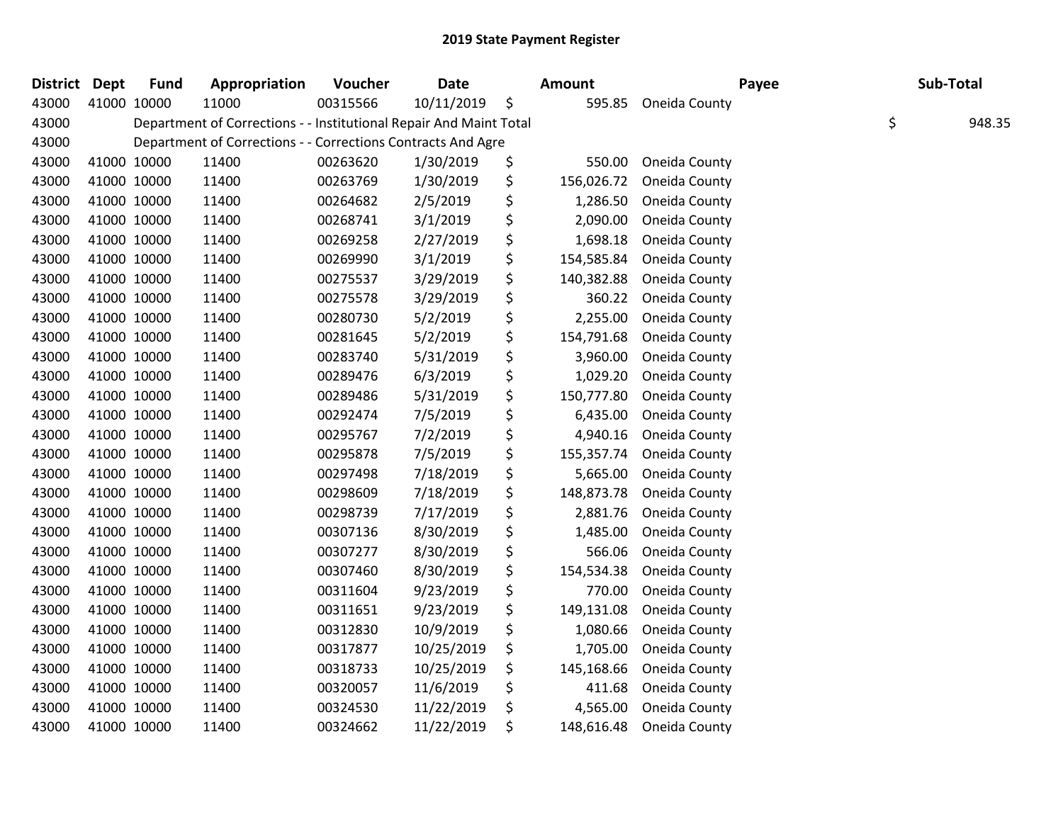| District Dept |             | <b>Fund</b> | Appropriation                                                      | Voucher  | <b>Date</b> | <b>Amount</b>    | Payee         | Sub-Total |        |
|---------------|-------------|-------------|--------------------------------------------------------------------|----------|-------------|------------------|---------------|-----------|--------|
| 43000         | 41000 10000 |             | 11000                                                              | 00315566 | 10/11/2019  | \$<br>595.85     | Oneida County |           |        |
| 43000         |             |             | Department of Corrections - - Institutional Repair And Maint Total |          |             |                  |               | \$        | 948.35 |
| 43000         |             |             | Department of Corrections - - Corrections Contracts And Agre       |          |             |                  |               |           |        |
| 43000         |             | 41000 10000 | 11400                                                              | 00263620 | 1/30/2019   | \$<br>550.00     | Oneida County |           |        |
| 43000         | 41000 10000 |             | 11400                                                              | 00263769 | 1/30/2019   | \$<br>156,026.72 | Oneida County |           |        |
| 43000         |             | 41000 10000 | 11400                                                              | 00264682 | 2/5/2019    | \$<br>1,286.50   | Oneida County |           |        |
| 43000         |             | 41000 10000 | 11400                                                              | 00268741 | 3/1/2019    | \$<br>2,090.00   | Oneida County |           |        |
| 43000         | 41000 10000 |             | 11400                                                              | 00269258 | 2/27/2019   | \$<br>1,698.18   | Oneida County |           |        |
| 43000         | 41000 10000 |             | 11400                                                              | 00269990 | 3/1/2019    | \$<br>154,585.84 | Oneida County |           |        |
| 43000         | 41000 10000 |             | 11400                                                              | 00275537 | 3/29/2019   | \$<br>140,382.88 | Oneida County |           |        |
| 43000         |             | 41000 10000 | 11400                                                              | 00275578 | 3/29/2019   | \$<br>360.22     | Oneida County |           |        |
| 43000         |             | 41000 10000 | 11400                                                              | 00280730 | 5/2/2019    | \$<br>2,255.00   | Oneida County |           |        |
| 43000         | 41000 10000 |             | 11400                                                              | 00281645 | 5/2/2019    | \$<br>154,791.68 | Oneida County |           |        |
| 43000         | 41000 10000 |             | 11400                                                              | 00283740 | 5/31/2019   | \$<br>3,960.00   | Oneida County |           |        |
| 43000         | 41000 10000 |             | 11400                                                              | 00289476 | 6/3/2019    | \$<br>1,029.20   | Oneida County |           |        |
| 43000         |             | 41000 10000 | 11400                                                              | 00289486 | 5/31/2019   | \$<br>150,777.80 | Oneida County |           |        |
| 43000         |             | 41000 10000 | 11400                                                              | 00292474 | 7/5/2019    | \$<br>6,435.00   | Oneida County |           |        |
| 43000         | 41000 10000 |             | 11400                                                              | 00295767 | 7/2/2019    | \$<br>4,940.16   | Oneida County |           |        |
| 43000         | 41000 10000 |             | 11400                                                              | 00295878 | 7/5/2019    | \$<br>155,357.74 | Oneida County |           |        |
| 43000         |             | 41000 10000 | 11400                                                              | 00297498 | 7/18/2019   | \$<br>5,665.00   | Oneida County |           |        |
| 43000         |             | 41000 10000 | 11400                                                              | 00298609 | 7/18/2019   | \$<br>148,873.78 | Oneida County |           |        |
| 43000         |             | 41000 10000 | 11400                                                              | 00298739 | 7/17/2019   | \$<br>2,881.76   | Oneida County |           |        |
| 43000         | 41000 10000 |             | 11400                                                              | 00307136 | 8/30/2019   | \$<br>1,485.00   | Oneida County |           |        |
| 43000         | 41000 10000 |             | 11400                                                              | 00307277 | 8/30/2019   | \$<br>566.06     | Oneida County |           |        |
| 43000         |             | 41000 10000 | 11400                                                              | 00307460 | 8/30/2019   | \$<br>154,534.38 | Oneida County |           |        |
| 43000         |             | 41000 10000 | 11400                                                              | 00311604 | 9/23/2019   | \$<br>770.00     | Oneida County |           |        |
| 43000         | 41000 10000 |             | 11400                                                              | 00311651 | 9/23/2019   | \$<br>149,131.08 | Oneida County |           |        |
| 43000         | 41000 10000 |             | 11400                                                              | 00312830 | 10/9/2019   | \$<br>1,080.66   | Oneida County |           |        |
| 43000         | 41000 10000 |             | 11400                                                              | 00317877 | 10/25/2019  | \$<br>1,705.00   | Oneida County |           |        |
| 43000         |             | 41000 10000 | 11400                                                              | 00318733 | 10/25/2019  | \$<br>145,168.66 | Oneida County |           |        |
| 43000         |             | 41000 10000 | 11400                                                              | 00320057 | 11/6/2019   | \$<br>411.68     | Oneida County |           |        |
| 43000         |             | 41000 10000 | 11400                                                              | 00324530 | 11/22/2019  | \$<br>4,565.00   | Oneida County |           |        |
| 43000         | 41000 10000 |             | 11400                                                              | 00324662 | 11/22/2019  | \$<br>148,616.48 | Oneida County |           |        |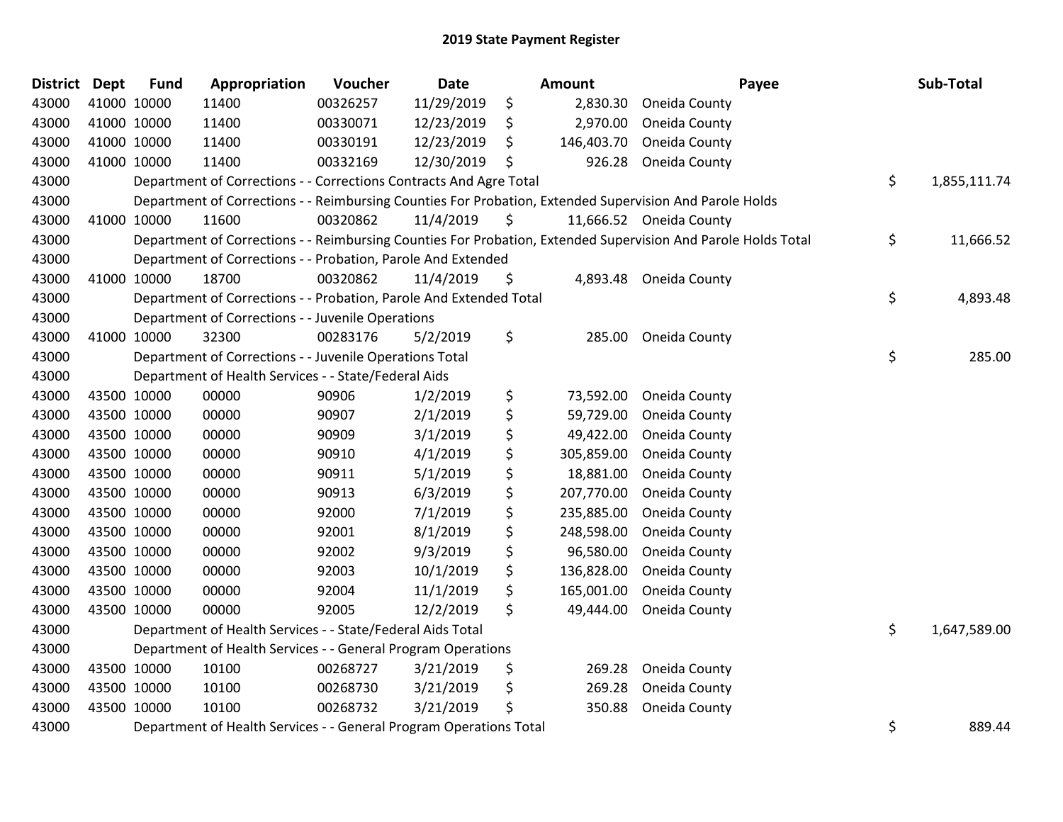| <b>District</b> | <b>Dept</b> | <b>Fund</b> | Appropriation                                                      | Voucher  | <b>Date</b> | Amount           | Payee                                                                                                         | Sub-Total          |
|-----------------|-------------|-------------|--------------------------------------------------------------------|----------|-------------|------------------|---------------------------------------------------------------------------------------------------------------|--------------------|
| 43000           | 41000 10000 |             | 11400                                                              | 00326257 | 11/29/2019  | \$<br>2,830.30   | Oneida County                                                                                                 |                    |
| 43000           | 41000 10000 |             | 11400                                                              | 00330071 | 12/23/2019  | \$<br>2,970.00   | Oneida County                                                                                                 |                    |
| 43000           | 41000 10000 |             | 11400                                                              | 00330191 | 12/23/2019  | \$<br>146,403.70 | Oneida County                                                                                                 |                    |
| 43000           | 41000 10000 |             | 11400                                                              | 00332169 | 12/30/2019  | \$<br>926.28     | Oneida County                                                                                                 |                    |
| 43000           |             |             | Department of Corrections - - Corrections Contracts And Agre Total |          |             |                  |                                                                                                               | \$<br>1,855,111.74 |
| 43000           |             |             |                                                                    |          |             |                  | Department of Corrections - - Reimbursing Counties For Probation, Extended Supervision And Parole Holds       |                    |
| 43000           |             | 41000 10000 | 11600                                                              | 00320862 | 11/4/2019   | \$               | 11,666.52 Oneida County                                                                                       |                    |
| 43000           |             |             |                                                                    |          |             |                  | Department of Corrections - - Reimbursing Counties For Probation, Extended Supervision And Parole Holds Total | \$<br>11,666.52    |
| 43000           |             |             | Department of Corrections - - Probation, Parole And Extended       |          |             |                  |                                                                                                               |                    |
| 43000           | 41000 10000 |             | 18700                                                              | 00320862 | 11/4/2019   | \$<br>4,893.48   | Oneida County                                                                                                 |                    |
| 43000           |             |             | Department of Corrections - - Probation, Parole And Extended Total |          |             |                  |                                                                                                               | \$<br>4,893.48     |
| 43000           |             |             | Department of Corrections - - Juvenile Operations                  |          |             |                  |                                                                                                               |                    |
| 43000           | 41000 10000 |             | 32300                                                              | 00283176 | 5/2/2019    | \$<br>285.00     | Oneida County                                                                                                 |                    |
| 43000           |             |             | Department of Corrections - - Juvenile Operations Total            |          |             |                  |                                                                                                               | \$<br>285.00       |
| 43000           |             |             | Department of Health Services - - State/Federal Aids               |          |             |                  |                                                                                                               |                    |
| 43000           | 43500 10000 |             | 00000                                                              | 90906    | 1/2/2019    | \$<br>73,592.00  | Oneida County                                                                                                 |                    |
| 43000           | 43500 10000 |             | 00000                                                              | 90907    | 2/1/2019    | \$<br>59,729.00  | Oneida County                                                                                                 |                    |
| 43000           | 43500 10000 |             | 00000                                                              | 90909    | 3/1/2019    | \$<br>49,422.00  | Oneida County                                                                                                 |                    |
| 43000           | 43500 10000 |             | 00000                                                              | 90910    | 4/1/2019    | \$<br>305,859.00 | Oneida County                                                                                                 |                    |
| 43000           | 43500 10000 |             | 00000                                                              | 90911    | 5/1/2019    | \$<br>18,881.00  | Oneida County                                                                                                 |                    |
| 43000           | 43500 10000 |             | 00000                                                              | 90913    | 6/3/2019    | \$<br>207,770.00 | Oneida County                                                                                                 |                    |
| 43000           | 43500 10000 |             | 00000                                                              | 92000    | 7/1/2019    | \$<br>235,885.00 | Oneida County                                                                                                 |                    |
| 43000           | 43500 10000 |             | 00000                                                              | 92001    | 8/1/2019    | \$<br>248,598.00 | Oneida County                                                                                                 |                    |
| 43000           | 43500 10000 |             | 00000                                                              | 92002    | 9/3/2019    | \$<br>96,580.00  | Oneida County                                                                                                 |                    |
| 43000           | 43500 10000 |             | 00000                                                              | 92003    | 10/1/2019   | \$<br>136,828.00 | Oneida County                                                                                                 |                    |
| 43000           | 43500 10000 |             | 00000                                                              | 92004    | 11/1/2019   | \$<br>165,001.00 | Oneida County                                                                                                 |                    |
| 43000           |             | 43500 10000 | 00000                                                              | 92005    | 12/2/2019   | \$<br>49,444.00  | Oneida County                                                                                                 |                    |
| 43000           |             |             | Department of Health Services - - State/Federal Aids Total         |          |             |                  |                                                                                                               | \$<br>1,647,589.00 |
| 43000           |             |             | Department of Health Services - - General Program Operations       |          |             |                  |                                                                                                               |                    |
| 43000           | 43500 10000 |             | 10100                                                              | 00268727 | 3/21/2019   | \$<br>269.28     | Oneida County                                                                                                 |                    |
| 43000           | 43500 10000 |             | 10100                                                              | 00268730 | 3/21/2019   | \$<br>269.28     | Oneida County                                                                                                 |                    |
| 43000           | 43500 10000 |             | 10100                                                              | 00268732 | 3/21/2019   | \$<br>350.88     | Oneida County                                                                                                 |                    |
| 43000           |             |             | Department of Health Services - - General Program Operations Total |          |             |                  |                                                                                                               | \$<br>889.44       |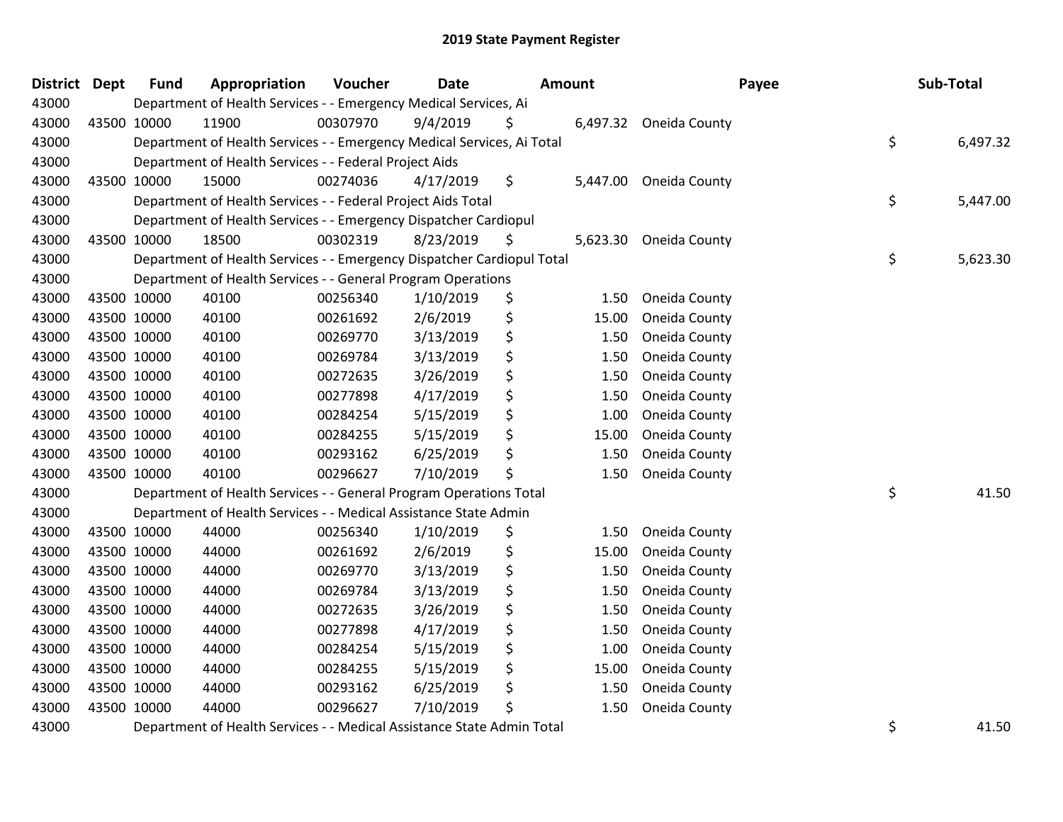| <b>District</b> | <b>Dept</b> | <b>Fund</b> | Appropriation                                                          | Voucher  | <b>Date</b> | Amount |          | Payee                  | Sub-Total      |
|-----------------|-------------|-------------|------------------------------------------------------------------------|----------|-------------|--------|----------|------------------------|----------------|
| 43000           |             |             | Department of Health Services - - Emergency Medical Services, Ai       |          |             |        |          |                        |                |
| 43000           |             | 43500 10000 | 11900                                                                  | 00307970 | 9/4/2019    | S      |          | 6,497.32 Oneida County |                |
| 43000           |             |             | Department of Health Services - - Emergency Medical Services, Ai Total |          |             |        |          |                        | \$<br>6,497.32 |
| 43000           |             |             | Department of Health Services - - Federal Project Aids                 |          |             |        |          |                        |                |
| 43000           |             | 43500 10000 | 15000                                                                  | 00274036 | 4/17/2019   | \$     | 5,447.00 | Oneida County          |                |
| 43000           |             |             | Department of Health Services - - Federal Project Aids Total           |          |             |        |          |                        | \$<br>5,447.00 |
| 43000           |             |             | Department of Health Services - - Emergency Dispatcher Cardiopul       |          |             |        |          |                        |                |
| 43000           |             | 43500 10000 | 18500                                                                  | 00302319 | 8/23/2019   | \$     | 5,623.30 | Oneida County          |                |
| 43000           |             |             | Department of Health Services - - Emergency Dispatcher Cardiopul Total |          |             |        |          |                        | \$<br>5,623.30 |
| 43000           |             |             | Department of Health Services - - General Program Operations           |          |             |        |          |                        |                |
| 43000           |             | 43500 10000 | 40100                                                                  | 00256340 | 1/10/2019   | \$     | 1.50     | Oneida County          |                |
| 43000           |             | 43500 10000 | 40100                                                                  | 00261692 | 2/6/2019    | \$     | 15.00    | Oneida County          |                |
| 43000           |             | 43500 10000 | 40100                                                                  | 00269770 | 3/13/2019   | \$     | 1.50     | Oneida County          |                |
| 43000           |             | 43500 10000 | 40100                                                                  | 00269784 | 3/13/2019   | \$     | 1.50     | Oneida County          |                |
| 43000           |             | 43500 10000 | 40100                                                                  | 00272635 | 3/26/2019   | \$     | 1.50     | Oneida County          |                |
| 43000           |             | 43500 10000 | 40100                                                                  | 00277898 | 4/17/2019   | \$     | 1.50     | Oneida County          |                |
| 43000           |             | 43500 10000 | 40100                                                                  | 00284254 | 5/15/2019   | \$     | 1.00     | Oneida County          |                |
| 43000           |             | 43500 10000 | 40100                                                                  | 00284255 | 5/15/2019   | \$     | 15.00    | Oneida County          |                |
| 43000           |             | 43500 10000 | 40100                                                                  | 00293162 | 6/25/2019   | \$     | 1.50     | Oneida County          |                |
| 43000           |             | 43500 10000 | 40100                                                                  | 00296627 | 7/10/2019   | \$     | 1.50     | Oneida County          |                |
| 43000           |             |             | Department of Health Services - - General Program Operations Total     |          |             |        |          |                        | \$<br>41.50    |
| 43000           |             |             | Department of Health Services - - Medical Assistance State Admin       |          |             |        |          |                        |                |
| 43000           |             | 43500 10000 | 44000                                                                  | 00256340 | 1/10/2019   | \$     | 1.50     | Oneida County          |                |
| 43000           |             | 43500 10000 | 44000                                                                  | 00261692 | 2/6/2019    | \$     | 15.00    | Oneida County          |                |
| 43000           |             | 43500 10000 | 44000                                                                  | 00269770 | 3/13/2019   | \$     | 1.50     | Oneida County          |                |
| 43000           |             | 43500 10000 | 44000                                                                  | 00269784 | 3/13/2019   | \$     | 1.50     | Oneida County          |                |
| 43000           |             | 43500 10000 | 44000                                                                  | 00272635 | 3/26/2019   | \$     | 1.50     | Oneida County          |                |
| 43000           |             | 43500 10000 | 44000                                                                  | 00277898 | 4/17/2019   | \$     | 1.50     | Oneida County          |                |
| 43000           |             | 43500 10000 | 44000                                                                  | 00284254 | 5/15/2019   | \$     | 1.00     | Oneida County          |                |
| 43000           |             | 43500 10000 | 44000                                                                  | 00284255 | 5/15/2019   | \$     | 15.00    | Oneida County          |                |
| 43000           |             | 43500 10000 | 44000                                                                  | 00293162 | 6/25/2019   | \$     | 1.50     | Oneida County          |                |
| 43000           |             | 43500 10000 | 44000                                                                  | 00296627 | 7/10/2019   | \$     | 1.50     | Oneida County          |                |
| 43000           |             |             | Department of Health Services - - Medical Assistance State Admin Total |          |             |        |          |                        | \$<br>41.50    |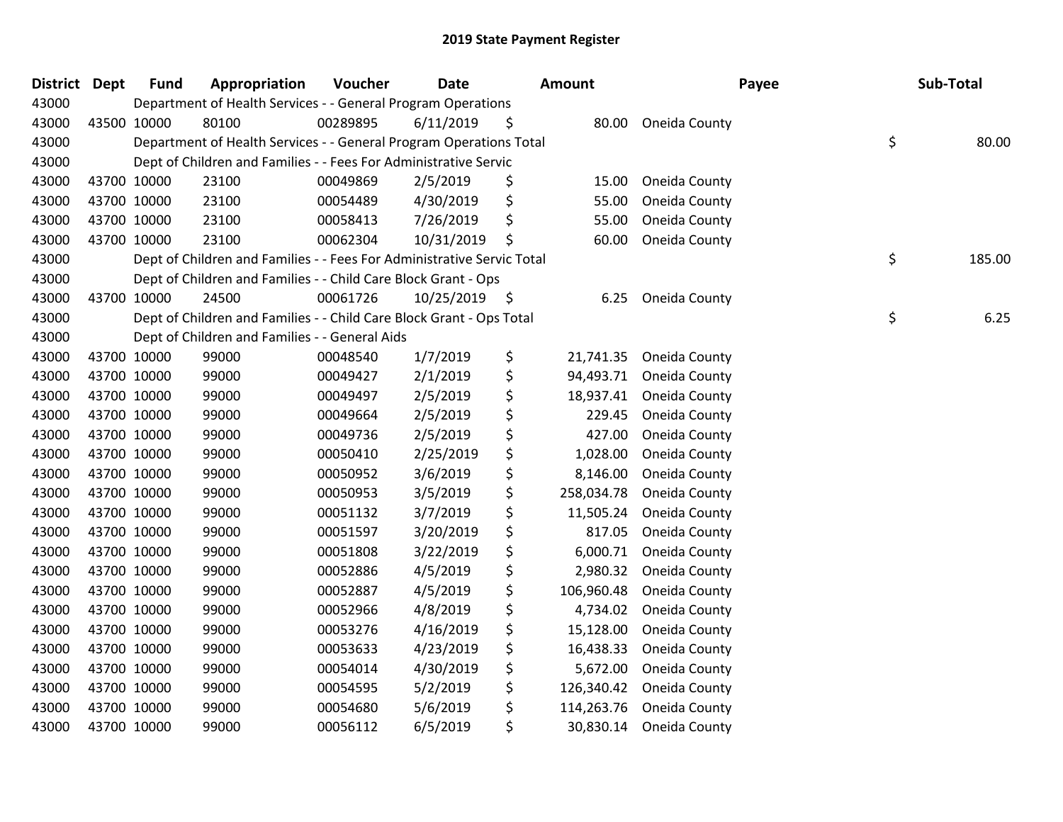| District | Dept | <b>Fund</b> | Appropriation                                                          | Voucher  | <b>Date</b> |     | <b>Amount</b> | Payee         | Sub-Total    |
|----------|------|-------------|------------------------------------------------------------------------|----------|-------------|-----|---------------|---------------|--------------|
| 43000    |      |             | Department of Health Services - - General Program Operations           |          |             |     |               |               |              |
| 43000    |      | 43500 10000 | 80100                                                                  | 00289895 | 6/11/2019   | \$  | 80.00         | Oneida County |              |
| 43000    |      |             | Department of Health Services - - General Program Operations Total     |          |             |     |               |               | \$<br>80.00  |
| 43000    |      |             | Dept of Children and Families - - Fees For Administrative Servic       |          |             |     |               |               |              |
| 43000    |      | 43700 10000 | 23100                                                                  | 00049869 | 2/5/2019    | \$  | 15.00         | Oneida County |              |
| 43000    |      | 43700 10000 | 23100                                                                  | 00054489 | 4/30/2019   | \$  | 55.00         | Oneida County |              |
| 43000    |      | 43700 10000 | 23100                                                                  | 00058413 | 7/26/2019   | \$  | 55.00         | Oneida County |              |
| 43000    |      | 43700 10000 | 23100                                                                  | 00062304 | 10/31/2019  | \$  | 60.00         | Oneida County |              |
| 43000    |      |             | Dept of Children and Families - - Fees For Administrative Servic Total |          |             |     |               |               | \$<br>185.00 |
| 43000    |      |             | Dept of Children and Families - - Child Care Block Grant - Ops         |          |             |     |               |               |              |
| 43000    |      | 43700 10000 | 24500                                                                  | 00061726 | 10/25/2019  | - S | 6.25          | Oneida County |              |
| 43000    |      |             | Dept of Children and Families - - Child Care Block Grant - Ops Total   |          |             |     |               |               | \$<br>6.25   |
| 43000    |      |             | Dept of Children and Families - - General Aids                         |          |             |     |               |               |              |
| 43000    |      | 43700 10000 | 99000                                                                  | 00048540 | 1/7/2019    | \$  | 21,741.35     | Oneida County |              |
| 43000    |      | 43700 10000 | 99000                                                                  | 00049427 | 2/1/2019    | \$  | 94,493.71     | Oneida County |              |
| 43000    |      | 43700 10000 | 99000                                                                  | 00049497 | 2/5/2019    | \$  | 18,937.41     | Oneida County |              |
| 43000    |      | 43700 10000 | 99000                                                                  | 00049664 | 2/5/2019    | \$  | 229.45        | Oneida County |              |
| 43000    |      | 43700 10000 | 99000                                                                  | 00049736 | 2/5/2019    | \$  | 427.00        | Oneida County |              |
| 43000    |      | 43700 10000 | 99000                                                                  | 00050410 | 2/25/2019   | \$  | 1,028.00      | Oneida County |              |
| 43000    |      | 43700 10000 | 99000                                                                  | 00050952 | 3/6/2019    | \$  | 8,146.00      | Oneida County |              |
| 43000    |      | 43700 10000 | 99000                                                                  | 00050953 | 3/5/2019    | \$  | 258,034.78    | Oneida County |              |
| 43000    |      | 43700 10000 | 99000                                                                  | 00051132 | 3/7/2019    | \$  | 11,505.24     | Oneida County |              |
| 43000    |      | 43700 10000 | 99000                                                                  | 00051597 | 3/20/2019   | \$  | 817.05        | Oneida County |              |
| 43000    |      | 43700 10000 | 99000                                                                  | 00051808 | 3/22/2019   | \$  | 6,000.71      | Oneida County |              |
| 43000    |      | 43700 10000 | 99000                                                                  | 00052886 | 4/5/2019    | \$  | 2,980.32      | Oneida County |              |
| 43000    |      | 43700 10000 | 99000                                                                  | 00052887 | 4/5/2019    | \$  | 106,960.48    | Oneida County |              |
| 43000    |      | 43700 10000 | 99000                                                                  | 00052966 | 4/8/2019    | \$  | 4,734.02      | Oneida County |              |
| 43000    |      | 43700 10000 | 99000                                                                  | 00053276 | 4/16/2019   | \$  | 15,128.00     | Oneida County |              |
| 43000    |      | 43700 10000 | 99000                                                                  | 00053633 | 4/23/2019   | \$  | 16,438.33     | Oneida County |              |
| 43000    |      | 43700 10000 | 99000                                                                  | 00054014 | 4/30/2019   | \$  | 5,672.00      | Oneida County |              |
| 43000    |      | 43700 10000 | 99000                                                                  | 00054595 | 5/2/2019    | \$  | 126,340.42    | Oneida County |              |
| 43000    |      | 43700 10000 | 99000                                                                  | 00054680 | 5/6/2019    | \$  | 114,263.76    | Oneida County |              |
| 43000    |      | 43700 10000 | 99000                                                                  | 00056112 | 6/5/2019    | \$  | 30,830.14     | Oneida County |              |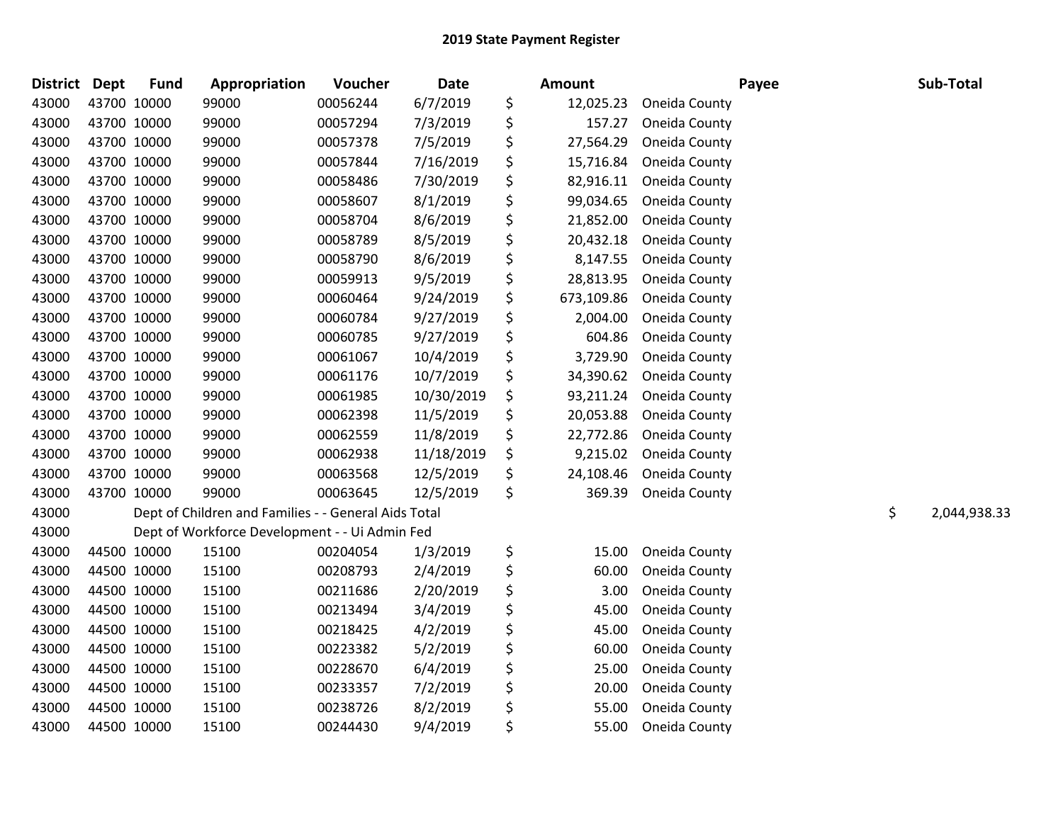| <b>District</b> | <b>Dept</b> | <b>Fund</b> | Appropriation                                        | Voucher  | <b>Date</b> | Amount           | Payee         | Sub-Total          |
|-----------------|-------------|-------------|------------------------------------------------------|----------|-------------|------------------|---------------|--------------------|
| 43000           |             | 43700 10000 | 99000                                                | 00056244 | 6/7/2019    | \$<br>12,025.23  | Oneida County |                    |
| 43000           |             | 43700 10000 | 99000                                                | 00057294 | 7/3/2019    | \$<br>157.27     | Oneida County |                    |
| 43000           | 43700 10000 |             | 99000                                                | 00057378 | 7/5/2019    | \$<br>27,564.29  | Oneida County |                    |
| 43000           |             | 43700 10000 | 99000                                                | 00057844 | 7/16/2019   | \$<br>15,716.84  | Oneida County |                    |
| 43000           |             | 43700 10000 | 99000                                                | 00058486 | 7/30/2019   | \$<br>82,916.11  | Oneida County |                    |
| 43000           |             | 43700 10000 | 99000                                                | 00058607 | 8/1/2019    | \$<br>99,034.65  | Oneida County |                    |
| 43000           |             | 43700 10000 | 99000                                                | 00058704 | 8/6/2019    | \$<br>21,852.00  | Oneida County |                    |
| 43000           |             | 43700 10000 | 99000                                                | 00058789 | 8/5/2019    | \$<br>20,432.18  | Oneida County |                    |
| 43000           |             | 43700 10000 | 99000                                                | 00058790 | 8/6/2019    | \$<br>8,147.55   | Oneida County |                    |
| 43000           |             | 43700 10000 | 99000                                                | 00059913 | 9/5/2019    | \$<br>28,813.95  | Oneida County |                    |
| 43000           |             | 43700 10000 | 99000                                                | 00060464 | 9/24/2019   | \$<br>673,109.86 | Oneida County |                    |
| 43000           |             | 43700 10000 | 99000                                                | 00060784 | 9/27/2019   | \$<br>2,004.00   | Oneida County |                    |
| 43000           |             | 43700 10000 | 99000                                                | 00060785 | 9/27/2019   | \$<br>604.86     | Oneida County |                    |
| 43000           |             | 43700 10000 | 99000                                                | 00061067 | 10/4/2019   | \$<br>3,729.90   | Oneida County |                    |
| 43000           |             | 43700 10000 | 99000                                                | 00061176 | 10/7/2019   | \$<br>34,390.62  | Oneida County |                    |
| 43000           |             | 43700 10000 | 99000                                                | 00061985 | 10/30/2019  | \$<br>93,211.24  | Oneida County |                    |
| 43000           |             | 43700 10000 | 99000                                                | 00062398 | 11/5/2019   | \$<br>20,053.88  | Oneida County |                    |
| 43000           |             | 43700 10000 | 99000                                                | 00062559 | 11/8/2019   | \$<br>22,772.86  | Oneida County |                    |
| 43000           |             | 43700 10000 | 99000                                                | 00062938 | 11/18/2019  | \$<br>9,215.02   | Oneida County |                    |
| 43000           |             | 43700 10000 | 99000                                                | 00063568 | 12/5/2019   | \$<br>24,108.46  | Oneida County |                    |
| 43000           | 43700 10000 |             | 99000                                                | 00063645 | 12/5/2019   | \$<br>369.39     | Oneida County |                    |
| 43000           |             |             | Dept of Children and Families - - General Aids Total |          |             |                  |               | \$<br>2,044,938.33 |
| 43000           |             |             | Dept of Workforce Development - - Ui Admin Fed       |          |             |                  |               |                    |
| 43000           |             | 44500 10000 | 15100                                                | 00204054 | 1/3/2019    | \$<br>15.00      | Oneida County |                    |
| 43000           |             | 44500 10000 | 15100                                                | 00208793 | 2/4/2019    | \$<br>60.00      | Oneida County |                    |
| 43000           |             | 44500 10000 | 15100                                                | 00211686 | 2/20/2019   | \$<br>3.00       | Oneida County |                    |
| 43000           |             | 44500 10000 | 15100                                                | 00213494 | 3/4/2019    | \$<br>45.00      | Oneida County |                    |
| 43000           |             | 44500 10000 | 15100                                                | 00218425 | 4/2/2019    | \$<br>45.00      | Oneida County |                    |
| 43000           |             | 44500 10000 | 15100                                                | 00223382 | 5/2/2019    | \$<br>60.00      | Oneida County |                    |
| 43000           |             | 44500 10000 | 15100                                                | 00228670 | 6/4/2019    | \$<br>25.00      | Oneida County |                    |
| 43000           |             | 44500 10000 | 15100                                                | 00233357 | 7/2/2019    | \$<br>20.00      | Oneida County |                    |
| 43000           |             | 44500 10000 | 15100                                                | 00238726 | 8/2/2019    | \$<br>55.00      | Oneida County |                    |
| 43000           |             | 44500 10000 | 15100                                                | 00244430 | 9/4/2019    | \$<br>55.00      | Oneida County |                    |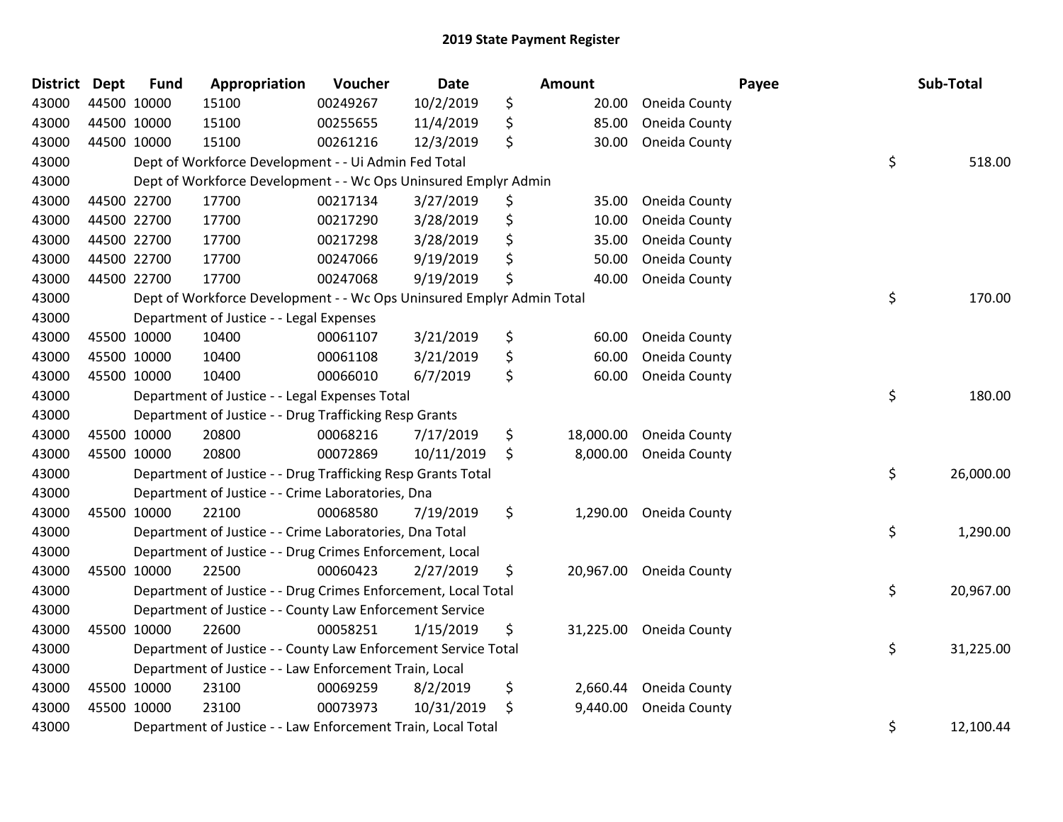| <b>District Dept</b> |             | <b>Fund</b> | Appropriation                                                         | Voucher  | <b>Date</b> | Amount          |               | Payee | Sub-Total |
|----------------------|-------------|-------------|-----------------------------------------------------------------------|----------|-------------|-----------------|---------------|-------|-----------|
| 43000                |             | 44500 10000 | 15100                                                                 | 00249267 | 10/2/2019   | \$<br>20.00     | Oneida County |       |           |
| 43000                |             | 44500 10000 | 15100                                                                 | 00255655 | 11/4/2019   | \$<br>85.00     | Oneida County |       |           |
| 43000                | 44500 10000 |             | 15100                                                                 | 00261216 | 12/3/2019   | \$<br>30.00     | Oneida County |       |           |
| 43000                |             |             | Dept of Workforce Development - - Ui Admin Fed Total                  |          |             |                 |               | \$    | 518.00    |
| 43000                |             |             | Dept of Workforce Development - - Wc Ops Uninsured Emplyr Admin       |          |             |                 |               |       |           |
| 43000                |             | 44500 22700 | 17700                                                                 | 00217134 | 3/27/2019   | \$<br>35.00     | Oneida County |       |           |
| 43000                |             | 44500 22700 | 17700                                                                 | 00217290 | 3/28/2019   | \$<br>10.00     | Oneida County |       |           |
| 43000                | 44500 22700 |             | 17700                                                                 | 00217298 | 3/28/2019   | \$<br>35.00     | Oneida County |       |           |
| 43000                | 44500 22700 |             | 17700                                                                 | 00247066 | 9/19/2019   | \$<br>50.00     | Oneida County |       |           |
| 43000                |             | 44500 22700 | 17700                                                                 | 00247068 | 9/19/2019   | \$<br>40.00     | Oneida County |       |           |
| 43000                |             |             | Dept of Workforce Development - - Wc Ops Uninsured Emplyr Admin Total |          |             |                 |               | \$    | 170.00    |
| 43000                |             |             | Department of Justice - - Legal Expenses                              |          |             |                 |               |       |           |
| 43000                |             | 45500 10000 | 10400                                                                 | 00061107 | 3/21/2019   | \$<br>60.00     | Oneida County |       |           |
| 43000                | 45500 10000 |             | 10400                                                                 | 00061108 | 3/21/2019   | \$<br>60.00     | Oneida County |       |           |
| 43000                |             | 45500 10000 | 10400                                                                 | 00066010 | 6/7/2019    | \$<br>60.00     | Oneida County |       |           |
| 43000                |             |             | Department of Justice - - Legal Expenses Total                        |          |             |                 |               | \$    | 180.00    |
| 43000                |             |             | Department of Justice - - Drug Trafficking Resp Grants                |          |             |                 |               |       |           |
| 43000                |             | 45500 10000 | 20800                                                                 | 00068216 | 7/17/2019   | \$<br>18,000.00 | Oneida County |       |           |
| 43000                | 45500 10000 |             | 20800                                                                 | 00072869 | 10/11/2019  | \$<br>8,000.00  | Oneida County |       |           |
| 43000                |             |             | Department of Justice - - Drug Trafficking Resp Grants Total          |          |             |                 |               | \$    | 26,000.00 |
| 43000                |             |             | Department of Justice - - Crime Laboratories, Dna                     |          |             |                 |               |       |           |
| 43000                |             | 45500 10000 | 22100                                                                 | 00068580 | 7/19/2019   | \$<br>1,290.00  | Oneida County |       |           |
| 43000                |             |             | Department of Justice - - Crime Laboratories, Dna Total               |          |             |                 |               | \$    | 1,290.00  |
| 43000                |             |             | Department of Justice - - Drug Crimes Enforcement, Local              |          |             |                 |               |       |           |
| 43000                |             | 45500 10000 | 22500                                                                 | 00060423 | 2/27/2019   | \$<br>20,967.00 | Oneida County |       |           |
| 43000                |             |             | Department of Justice - - Drug Crimes Enforcement, Local Total        |          |             |                 |               | \$    | 20,967.00 |
| 43000                |             |             | Department of Justice - - County Law Enforcement Service              |          |             |                 |               |       |           |
| 43000                |             | 45500 10000 | 22600                                                                 | 00058251 | 1/15/2019   | \$<br>31,225.00 | Oneida County |       |           |
| 43000                |             |             | Department of Justice - - County Law Enforcement Service Total        |          |             |                 |               | \$    | 31,225.00 |
| 43000                |             |             | Department of Justice - - Law Enforcement Train, Local                |          |             |                 |               |       |           |
| 43000                |             | 45500 10000 | 23100                                                                 | 00069259 | 8/2/2019    | \$<br>2,660.44  | Oneida County |       |           |
| 43000                |             | 45500 10000 | 23100                                                                 | 00073973 | 10/31/2019  | \$<br>9,440.00  | Oneida County |       |           |
| 43000                |             |             | Department of Justice - - Law Enforcement Train, Local Total          |          |             |                 |               | \$    | 12,100.44 |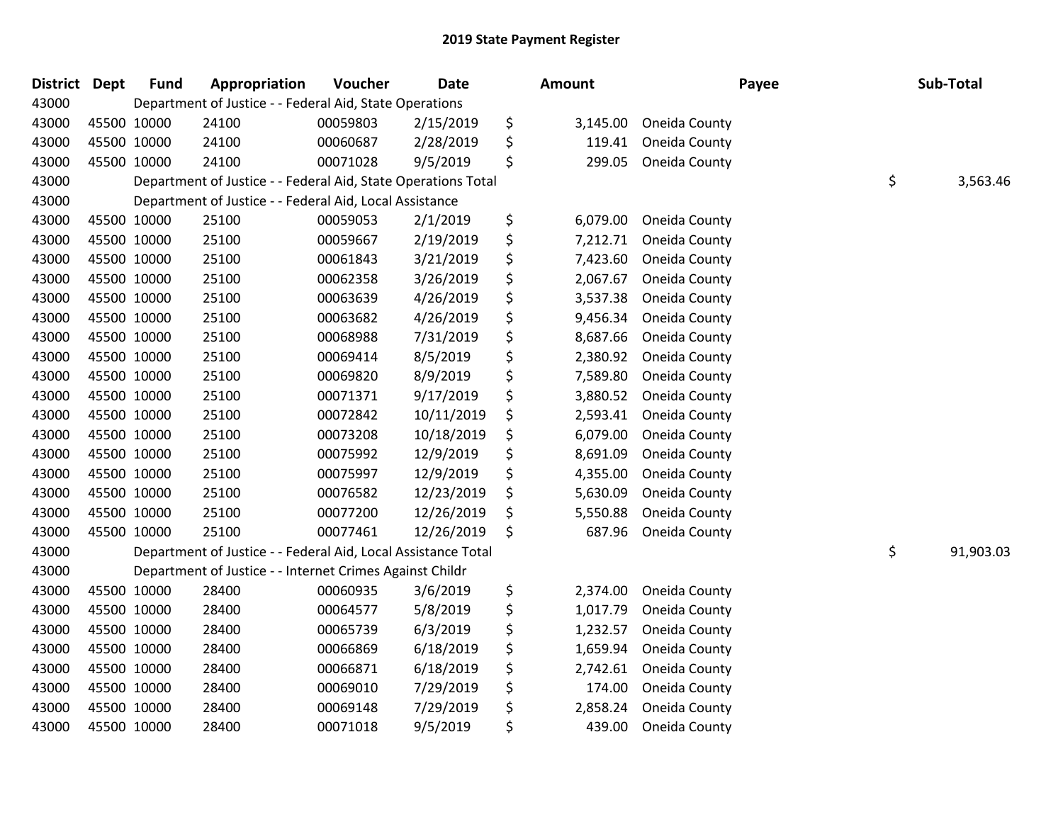| <b>District</b> | <b>Dept</b> | <b>Fund</b> | Appropriation                                                 | Voucher  | <b>Date</b> | <b>Amount</b>  | Payee         | Sub-Total       |
|-----------------|-------------|-------------|---------------------------------------------------------------|----------|-------------|----------------|---------------|-----------------|
| 43000           |             |             | Department of Justice - - Federal Aid, State Operations       |          |             |                |               |                 |
| 43000           | 45500 10000 |             | 24100                                                         | 00059803 | 2/15/2019   | \$<br>3,145.00 | Oneida County |                 |
| 43000           | 45500 10000 |             | 24100                                                         | 00060687 | 2/28/2019   | \$<br>119.41   | Oneida County |                 |
| 43000           | 45500 10000 |             | 24100                                                         | 00071028 | 9/5/2019    | \$<br>299.05   | Oneida County |                 |
| 43000           |             |             | Department of Justice - - Federal Aid, State Operations Total |          |             |                |               | \$<br>3,563.46  |
| 43000           |             |             | Department of Justice - - Federal Aid, Local Assistance       |          |             |                |               |                 |
| 43000           | 45500 10000 |             | 25100                                                         | 00059053 | 2/1/2019    | \$<br>6,079.00 | Oneida County |                 |
| 43000           | 45500 10000 |             | 25100                                                         | 00059667 | 2/19/2019   | \$<br>7,212.71 | Oneida County |                 |
| 43000           | 45500 10000 |             | 25100                                                         | 00061843 | 3/21/2019   | \$<br>7,423.60 | Oneida County |                 |
| 43000           | 45500 10000 |             | 25100                                                         | 00062358 | 3/26/2019   | \$<br>2,067.67 | Oneida County |                 |
| 43000           | 45500 10000 |             | 25100                                                         | 00063639 | 4/26/2019   | \$<br>3,537.38 | Oneida County |                 |
| 43000           | 45500 10000 |             | 25100                                                         | 00063682 | 4/26/2019   | \$<br>9,456.34 | Oneida County |                 |
| 43000           | 45500 10000 |             | 25100                                                         | 00068988 | 7/31/2019   | \$<br>8,687.66 | Oneida County |                 |
| 43000           | 45500 10000 |             | 25100                                                         | 00069414 | 8/5/2019    | \$<br>2,380.92 | Oneida County |                 |
| 43000           | 45500 10000 |             | 25100                                                         | 00069820 | 8/9/2019    | \$<br>7,589.80 | Oneida County |                 |
| 43000           | 45500 10000 |             | 25100                                                         | 00071371 | 9/17/2019   | \$<br>3,880.52 | Oneida County |                 |
| 43000           | 45500 10000 |             | 25100                                                         | 00072842 | 10/11/2019  | \$<br>2,593.41 | Oneida County |                 |
| 43000           | 45500 10000 |             | 25100                                                         | 00073208 | 10/18/2019  | \$<br>6,079.00 | Oneida County |                 |
| 43000           | 45500 10000 |             | 25100                                                         | 00075992 | 12/9/2019   | \$<br>8,691.09 | Oneida County |                 |
| 43000           | 45500 10000 |             | 25100                                                         | 00075997 | 12/9/2019   | \$<br>4,355.00 | Oneida County |                 |
| 43000           | 45500 10000 |             | 25100                                                         | 00076582 | 12/23/2019  | \$<br>5,630.09 | Oneida County |                 |
| 43000           | 45500 10000 |             | 25100                                                         | 00077200 | 12/26/2019  | \$<br>5,550.88 | Oneida County |                 |
| 43000           | 45500 10000 |             | 25100                                                         | 00077461 | 12/26/2019  | \$<br>687.96   | Oneida County |                 |
| 43000           |             |             | Department of Justice - - Federal Aid, Local Assistance Total |          |             |                |               | \$<br>91,903.03 |
| 43000           |             |             | Department of Justice - - Internet Crimes Against Childr      |          |             |                |               |                 |
| 43000           | 45500 10000 |             | 28400                                                         | 00060935 | 3/6/2019    | \$<br>2,374.00 | Oneida County |                 |
| 43000           | 45500 10000 |             | 28400                                                         | 00064577 | 5/8/2019    | \$<br>1,017.79 | Oneida County |                 |
| 43000           | 45500 10000 |             | 28400                                                         | 00065739 | 6/3/2019    | \$<br>1,232.57 | Oneida County |                 |
| 43000           | 45500 10000 |             | 28400                                                         | 00066869 | 6/18/2019   | \$<br>1,659.94 | Oneida County |                 |
| 43000           | 45500 10000 |             | 28400                                                         | 00066871 | 6/18/2019   | \$<br>2,742.61 | Oneida County |                 |
| 43000           | 45500 10000 |             | 28400                                                         | 00069010 | 7/29/2019   | \$<br>174.00   | Oneida County |                 |
| 43000           | 45500 10000 |             | 28400                                                         | 00069148 | 7/29/2019   | \$<br>2,858.24 | Oneida County |                 |
| 43000           | 45500 10000 |             | 28400                                                         | 00071018 | 9/5/2019    | \$<br>439.00   | Oneida County |                 |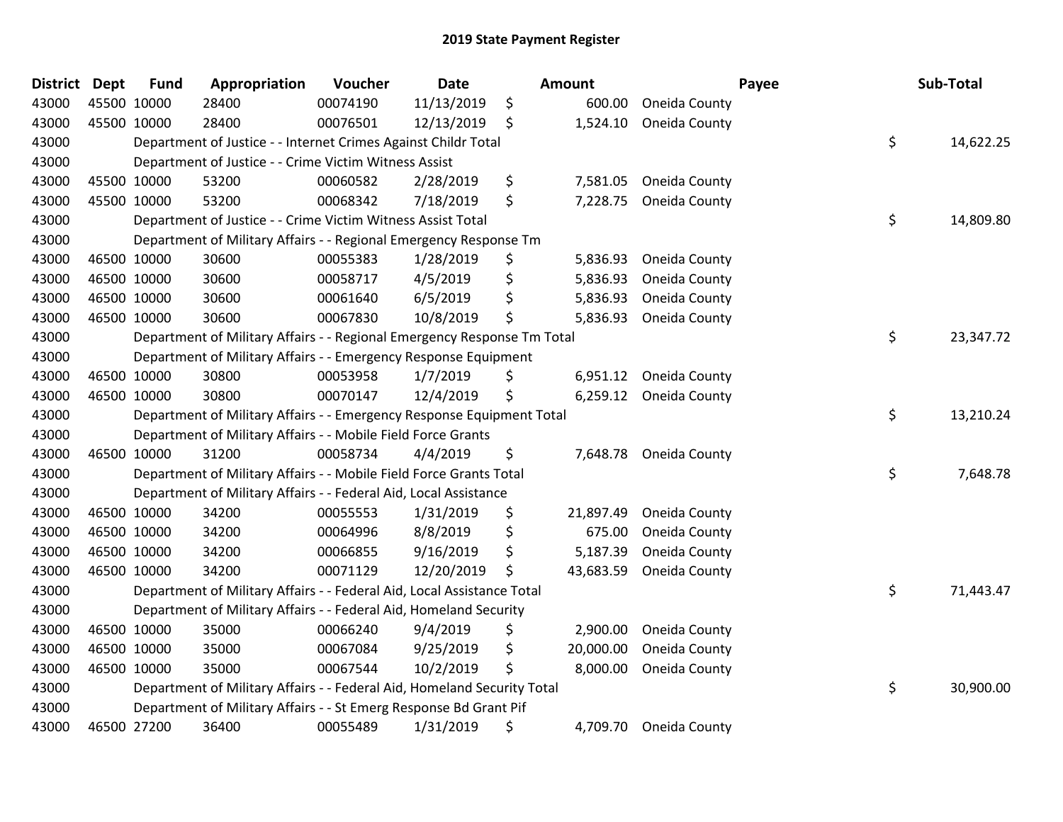| <b>District</b> | <b>Dept</b> | <b>Fund</b> | Appropriation                                                           | Voucher  | <b>Date</b> | <b>Amount</b>   |               | Payee | Sub-Total |
|-----------------|-------------|-------------|-------------------------------------------------------------------------|----------|-------------|-----------------|---------------|-------|-----------|
| 43000           | 45500 10000 |             | 28400                                                                   | 00074190 | 11/13/2019  | \$<br>600.00    | Oneida County |       |           |
| 43000           | 45500 10000 |             | 28400                                                                   | 00076501 | 12/13/2019  | \$<br>1,524.10  | Oneida County |       |           |
| 43000           |             |             | Department of Justice - - Internet Crimes Against Childr Total          |          |             |                 |               | \$    | 14,622.25 |
| 43000           |             |             | Department of Justice - - Crime Victim Witness Assist                   |          |             |                 |               |       |           |
| 43000           |             | 45500 10000 | 53200                                                                   | 00060582 | 2/28/2019   | \$<br>7,581.05  | Oneida County |       |           |
| 43000           |             | 45500 10000 | 53200                                                                   | 00068342 | 7/18/2019   | \$<br>7,228.75  | Oneida County |       |           |
| 43000           |             |             | Department of Justice - - Crime Victim Witness Assist Total             |          |             |                 |               | \$    | 14,809.80 |
| 43000           |             |             | Department of Military Affairs - - Regional Emergency Response Tm       |          |             |                 |               |       |           |
| 43000           | 46500 10000 |             | 30600                                                                   | 00055383 | 1/28/2019   | \$<br>5,836.93  | Oneida County |       |           |
| 43000           | 46500 10000 |             | 30600                                                                   | 00058717 | 4/5/2019    | \$<br>5,836.93  | Oneida County |       |           |
| 43000           |             | 46500 10000 | 30600                                                                   | 00061640 | 6/5/2019    | \$<br>5,836.93  | Oneida County |       |           |
| 43000           |             | 46500 10000 | 30600                                                                   | 00067830 | 10/8/2019   | \$<br>5,836.93  | Oneida County |       |           |
| 43000           |             |             | Department of Military Affairs - - Regional Emergency Response Tm Total |          |             |                 |               | \$    | 23,347.72 |
| 43000           |             |             | Department of Military Affairs - - Emergency Response Equipment         |          |             |                 |               |       |           |
| 43000           |             | 46500 10000 | 30800                                                                   | 00053958 | 1/7/2019    | \$<br>6,951.12  | Oneida County |       |           |
| 43000           |             | 46500 10000 | 30800                                                                   | 00070147 | 12/4/2019   | \$<br>6,259.12  | Oneida County |       |           |
| 43000           |             |             | Department of Military Affairs - - Emergency Response Equipment Total   |          |             |                 |               | \$    | 13,210.24 |
| 43000           |             |             | Department of Military Affairs - - Mobile Field Force Grants            |          |             |                 |               |       |           |
| 43000           | 46500 10000 |             | 31200                                                                   | 00058734 | 4/4/2019    | \$<br>7,648.78  | Oneida County |       |           |
| 43000           |             |             | Department of Military Affairs - - Mobile Field Force Grants Total      |          |             |                 |               | \$    | 7,648.78  |
| 43000           |             |             | Department of Military Affairs - - Federal Aid, Local Assistance        |          |             |                 |               |       |           |
| 43000           |             | 46500 10000 | 34200                                                                   | 00055553 | 1/31/2019   | \$<br>21,897.49 | Oneida County |       |           |
| 43000           |             | 46500 10000 | 34200                                                                   | 00064996 | 8/8/2019    | \$<br>675.00    | Oneida County |       |           |
| 43000           | 46500 10000 |             | 34200                                                                   | 00066855 | 9/16/2019   | \$<br>5,187.39  | Oneida County |       |           |
| 43000           |             | 46500 10000 | 34200                                                                   | 00071129 | 12/20/2019  | \$<br>43,683.59 | Oneida County |       |           |
| 43000           |             |             | Department of Military Affairs - - Federal Aid, Local Assistance Total  |          |             |                 |               | \$    | 71,443.47 |
| 43000           |             |             | Department of Military Affairs - - Federal Aid, Homeland Security       |          |             |                 |               |       |           |
| 43000           |             | 46500 10000 | 35000                                                                   | 00066240 | 9/4/2019    | \$<br>2,900.00  | Oneida County |       |           |
| 43000           | 46500 10000 |             | 35000                                                                   | 00067084 | 9/25/2019   | \$<br>20,000.00 | Oneida County |       |           |
| 43000           |             | 46500 10000 | 35000                                                                   | 00067544 | 10/2/2019   | \$<br>8,000.00  | Oneida County |       |           |
| 43000           |             |             | Department of Military Affairs - - Federal Aid, Homeland Security Total |          |             |                 |               | \$    | 30,900.00 |
| 43000           |             |             | Department of Military Affairs - - St Emerg Response Bd Grant Pif       |          |             |                 |               |       |           |
| 43000           | 46500 27200 |             | 36400                                                                   | 00055489 | 1/31/2019   | \$<br>4,709.70  | Oneida County |       |           |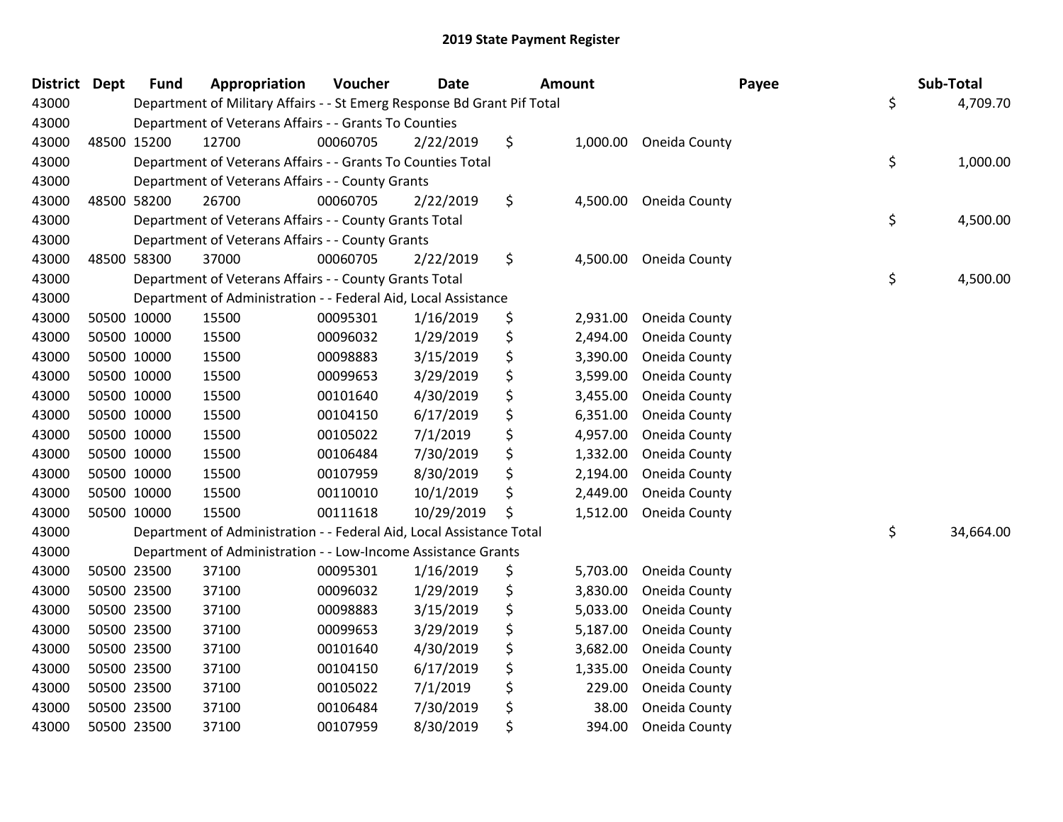| <b>District</b> | <b>Dept</b> | <b>Fund</b> | Appropriation                                                           | Voucher  | <b>Date</b> | <b>Amount</b> |          | Payee         | Sub-Total       |
|-----------------|-------------|-------------|-------------------------------------------------------------------------|----------|-------------|---------------|----------|---------------|-----------------|
| 43000           |             |             | Department of Military Affairs - - St Emerg Response Bd Grant Pif Total |          |             |               |          |               | \$<br>4,709.70  |
| 43000           |             |             | Department of Veterans Affairs - - Grants To Counties                   |          |             |               |          |               |                 |
| 43000           |             | 48500 15200 | 12700                                                                   | 00060705 | 2/22/2019   | \$            | 1,000.00 | Oneida County |                 |
| 43000           |             |             | Department of Veterans Affairs - - Grants To Counties Total             |          |             |               |          |               | \$<br>1,000.00  |
| 43000           |             |             | Department of Veterans Affairs - - County Grants                        |          |             |               |          |               |                 |
| 43000           |             | 48500 58200 | 26700                                                                   | 00060705 | 2/22/2019   | \$            | 4,500.00 | Oneida County |                 |
| 43000           |             |             | Department of Veterans Affairs - - County Grants Total                  |          |             |               |          |               | \$<br>4,500.00  |
| 43000           |             |             | Department of Veterans Affairs - - County Grants                        |          |             |               |          |               |                 |
| 43000           | 48500 58300 |             | 37000                                                                   | 00060705 | 2/22/2019   | \$            | 4,500.00 | Oneida County |                 |
| 43000           |             |             | Department of Veterans Affairs - - County Grants Total                  |          |             |               |          |               | \$<br>4,500.00  |
| 43000           |             |             | Department of Administration - - Federal Aid, Local Assistance          |          |             |               |          |               |                 |
| 43000           |             | 50500 10000 | 15500                                                                   | 00095301 | 1/16/2019   | \$            | 2,931.00 | Oneida County |                 |
| 43000           |             | 50500 10000 | 15500                                                                   | 00096032 | 1/29/2019   | \$            | 2,494.00 | Oneida County |                 |
| 43000           | 50500 10000 |             | 15500                                                                   | 00098883 | 3/15/2019   | \$            | 3,390.00 | Oneida County |                 |
| 43000           | 50500 10000 |             | 15500                                                                   | 00099653 | 3/29/2019   | \$            | 3,599.00 | Oneida County |                 |
| 43000           |             | 50500 10000 | 15500                                                                   | 00101640 | 4/30/2019   | \$            | 3,455.00 | Oneida County |                 |
| 43000           |             | 50500 10000 | 15500                                                                   | 00104150 | 6/17/2019   | \$            | 6,351.00 | Oneida County |                 |
| 43000           |             | 50500 10000 | 15500                                                                   | 00105022 | 7/1/2019    | \$            | 4,957.00 | Oneida County |                 |
| 43000           | 50500 10000 |             | 15500                                                                   | 00106484 | 7/30/2019   | \$            | 1,332.00 | Oneida County |                 |
| 43000           | 50500 10000 |             | 15500                                                                   | 00107959 | 8/30/2019   | \$            | 2,194.00 | Oneida County |                 |
| 43000           |             | 50500 10000 | 15500                                                                   | 00110010 | 10/1/2019   | \$            | 2,449.00 | Oneida County |                 |
| 43000           |             | 50500 10000 | 15500                                                                   | 00111618 | 10/29/2019  | \$            | 1,512.00 | Oneida County |                 |
| 43000           |             |             | Department of Administration - - Federal Aid, Local Assistance Total    |          |             |               |          |               | \$<br>34,664.00 |
| 43000           |             |             | Department of Administration - - Low-Income Assistance Grants           |          |             |               |          |               |                 |
| 43000           | 50500 23500 |             | 37100                                                                   | 00095301 | 1/16/2019   | \$            | 5,703.00 | Oneida County |                 |
| 43000           |             | 50500 23500 | 37100                                                                   | 00096032 | 1/29/2019   | \$            | 3,830.00 | Oneida County |                 |
| 43000           |             | 50500 23500 | 37100                                                                   | 00098883 | 3/15/2019   | \$            | 5,033.00 | Oneida County |                 |
| 43000           |             | 50500 23500 | 37100                                                                   | 00099653 | 3/29/2019   | \$            | 5,187.00 | Oneida County |                 |
| 43000           | 50500 23500 |             | 37100                                                                   | 00101640 | 4/30/2019   | \$            | 3,682.00 | Oneida County |                 |
| 43000           | 50500 23500 |             | 37100                                                                   | 00104150 | 6/17/2019   | \$            | 1,335.00 | Oneida County |                 |
| 43000           |             | 50500 23500 | 37100                                                                   | 00105022 | 7/1/2019    | \$            | 229.00   | Oneida County |                 |
| 43000           |             | 50500 23500 | 37100                                                                   | 00106484 | 7/30/2019   | \$            | 38.00    | Oneida County |                 |
| 43000           |             | 50500 23500 | 37100                                                                   | 00107959 | 8/30/2019   | \$            | 394.00   | Oneida County |                 |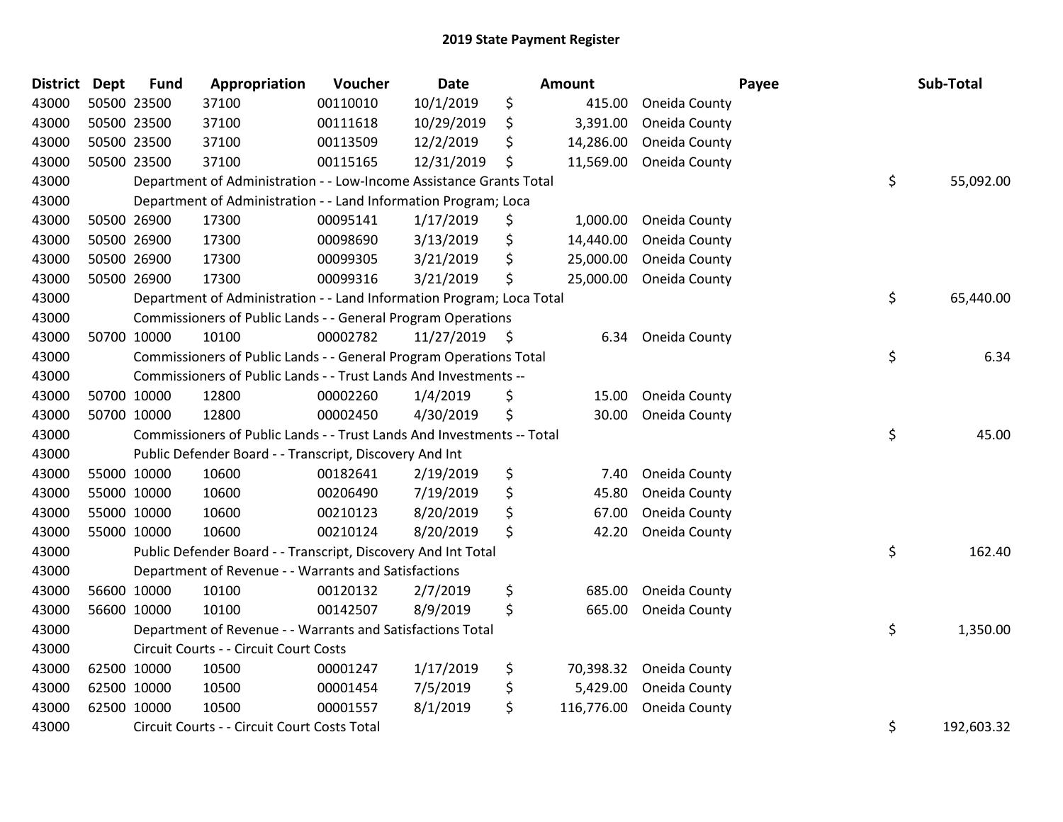| <b>District</b> | <b>Dept</b> | <b>Fund</b> | Appropriation                                                          | Voucher  | Date            | Amount           |               | Payee | Sub-Total  |
|-----------------|-------------|-------------|------------------------------------------------------------------------|----------|-----------------|------------------|---------------|-------|------------|
| 43000           |             | 50500 23500 | 37100                                                                  | 00110010 | 10/1/2019       | \$<br>415.00     | Oneida County |       |            |
| 43000           |             | 50500 23500 | 37100                                                                  | 00111618 | 10/29/2019      | \$<br>3,391.00   | Oneida County |       |            |
| 43000           |             | 50500 23500 | 37100                                                                  | 00113509 | 12/2/2019       | \$<br>14,286.00  | Oneida County |       |            |
| 43000           |             | 50500 23500 | 37100                                                                  | 00115165 | 12/31/2019      | \$<br>11,569.00  | Oneida County |       |            |
| 43000           |             |             | Department of Administration - - Low-Income Assistance Grants Total    |          |                 |                  |               | \$    | 55,092.00  |
| 43000           |             |             | Department of Administration - - Land Information Program; Loca        |          |                 |                  |               |       |            |
| 43000           |             | 50500 26900 | 17300                                                                  | 00095141 | 1/17/2019       | \$<br>1,000.00   | Oneida County |       |            |
| 43000           |             | 50500 26900 | 17300                                                                  | 00098690 | 3/13/2019       | \$<br>14,440.00  | Oneida County |       |            |
| 43000           |             | 50500 26900 | 17300                                                                  | 00099305 | 3/21/2019       | \$<br>25,000.00  | Oneida County |       |            |
| 43000           |             | 50500 26900 | 17300                                                                  | 00099316 | 3/21/2019       | \$<br>25,000.00  | Oneida County |       |            |
| 43000           |             |             | Department of Administration - - Land Information Program; Loca Total  |          |                 |                  |               | \$    | 65,440.00  |
| 43000           |             |             | Commissioners of Public Lands - - General Program Operations           |          |                 |                  |               |       |            |
| 43000           |             | 50700 10000 | 10100                                                                  | 00002782 | $11/27/2019$ \$ | 6.34             | Oneida County |       |            |
| 43000           |             |             | Commissioners of Public Lands - - General Program Operations Total     |          |                 |                  |               | \$    | 6.34       |
| 43000           |             |             | Commissioners of Public Lands - - Trust Lands And Investments --       |          |                 |                  |               |       |            |
| 43000           |             | 50700 10000 | 12800                                                                  | 00002260 | 1/4/2019        | \$<br>15.00      | Oneida County |       |            |
| 43000           |             | 50700 10000 | 12800                                                                  | 00002450 | 4/30/2019       | \$<br>30.00      | Oneida County |       |            |
| 43000           |             |             | Commissioners of Public Lands - - Trust Lands And Investments -- Total |          |                 |                  |               | \$    | 45.00      |
| 43000           |             |             | Public Defender Board - - Transcript, Discovery And Int                |          |                 |                  |               |       |            |
| 43000           |             | 55000 10000 | 10600                                                                  | 00182641 | 2/19/2019       | \$<br>7.40       | Oneida County |       |            |
| 43000           |             | 55000 10000 | 10600                                                                  | 00206490 | 7/19/2019       | \$<br>45.80      | Oneida County |       |            |
| 43000           |             | 55000 10000 | 10600                                                                  | 00210123 | 8/20/2019       | \$<br>67.00      | Oneida County |       |            |
| 43000           |             | 55000 10000 | 10600                                                                  | 00210124 | 8/20/2019       | \$<br>42.20      | Oneida County |       |            |
| 43000           |             |             | Public Defender Board - - Transcript, Discovery And Int Total          |          |                 |                  |               | \$    | 162.40     |
| 43000           |             |             | Department of Revenue - - Warrants and Satisfactions                   |          |                 |                  |               |       |            |
| 43000           |             | 56600 10000 | 10100                                                                  | 00120132 | 2/7/2019        | \$<br>685.00     | Oneida County |       |            |
| 43000           |             | 56600 10000 | 10100                                                                  | 00142507 | 8/9/2019        | \$<br>665.00     | Oneida County |       |            |
| 43000           |             |             | Department of Revenue - - Warrants and Satisfactions Total             |          |                 |                  |               | \$    | 1,350.00   |
| 43000           |             |             | Circuit Courts - - Circuit Court Costs                                 |          |                 |                  |               |       |            |
| 43000           |             | 62500 10000 | 10500                                                                  | 00001247 | 1/17/2019       | \$<br>70,398.32  | Oneida County |       |            |
| 43000           |             | 62500 10000 | 10500                                                                  | 00001454 | 7/5/2019        | \$<br>5,429.00   | Oneida County |       |            |
| 43000           |             | 62500 10000 | 10500                                                                  | 00001557 | 8/1/2019        | \$<br>116,776.00 | Oneida County |       |            |
| 43000           |             |             | Circuit Courts - - Circuit Court Costs Total                           |          |                 |                  |               | \$    | 192,603.32 |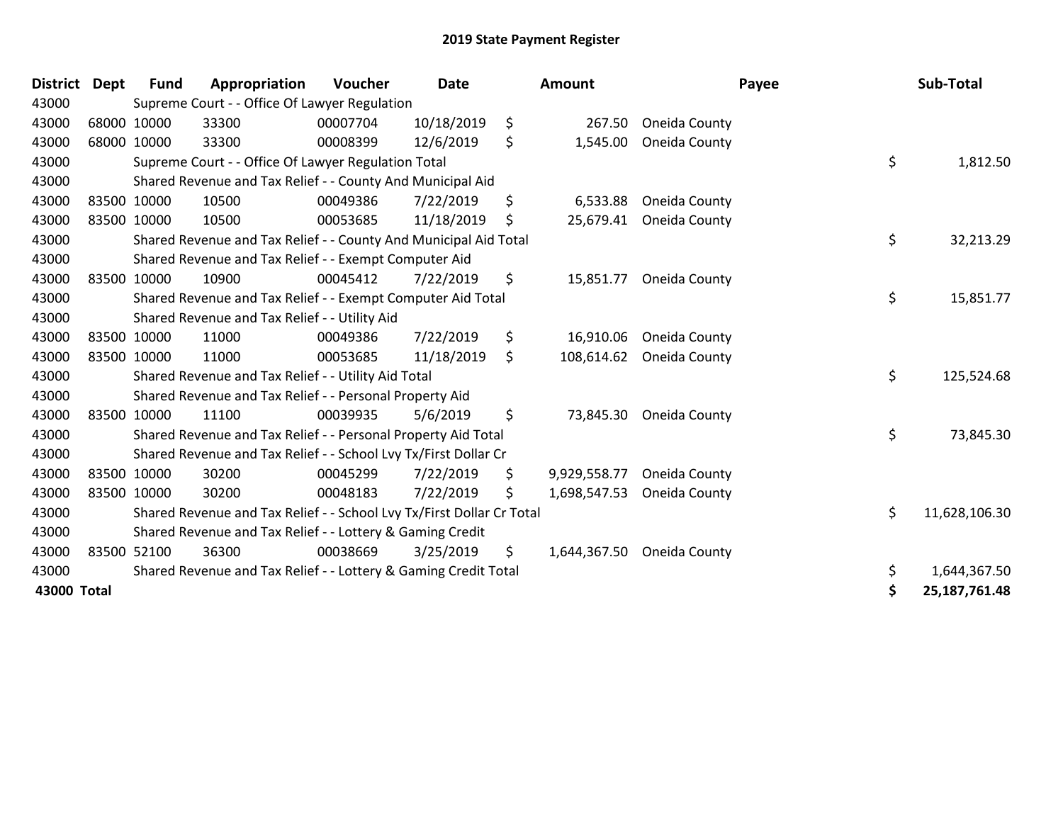| District    | <b>Dept</b> | <b>Fund</b> | Appropriation                                                         | <b>Voucher</b> | <b>Date</b> | Amount             | Payee         | Sub-Total           |
|-------------|-------------|-------------|-----------------------------------------------------------------------|----------------|-------------|--------------------|---------------|---------------------|
| 43000       |             |             | Supreme Court - - Office Of Lawyer Regulation                         |                |             |                    |               |                     |
| 43000       |             | 68000 10000 | 33300                                                                 | 00007704       | 10/18/2019  | \$<br>267.50       | Oneida County |                     |
| 43000       |             | 68000 10000 | 33300                                                                 | 00008399       | 12/6/2019   | \$<br>1,545.00     | Oneida County |                     |
| 43000       |             |             | Supreme Court - - Office Of Lawyer Regulation Total                   |                |             |                    |               | \$<br>1,812.50      |
| 43000       |             |             | Shared Revenue and Tax Relief - - County And Municipal Aid            |                |             |                    |               |                     |
| 43000       |             | 83500 10000 | 10500                                                                 | 00049386       | 7/22/2019   | \$<br>6,533.88     | Oneida County |                     |
| 43000       | 83500 10000 |             | 10500                                                                 | 00053685       | 11/18/2019  | \$<br>25,679.41    | Oneida County |                     |
| 43000       |             |             | Shared Revenue and Tax Relief - - County And Municipal Aid Total      |                |             |                    |               | \$<br>32,213.29     |
| 43000       |             |             | Shared Revenue and Tax Relief - - Exempt Computer Aid                 |                |             |                    |               |                     |
| 43000       |             | 83500 10000 | 10900                                                                 | 00045412       | 7/22/2019   | \$<br>15,851.77    | Oneida County |                     |
| 43000       |             |             | Shared Revenue and Tax Relief - - Exempt Computer Aid Total           |                |             |                    |               | \$<br>15,851.77     |
| 43000       |             |             | Shared Revenue and Tax Relief - - Utility Aid                         |                |             |                    |               |                     |
| 43000       |             | 83500 10000 | 11000                                                                 | 00049386       | 7/22/2019   | \$<br>16,910.06    | Oneida County |                     |
| 43000       |             | 83500 10000 | 11000                                                                 | 00053685       | 11/18/2019  | \$<br>108,614.62   | Oneida County |                     |
| 43000       |             |             | Shared Revenue and Tax Relief - - Utility Aid Total                   |                |             |                    |               | \$<br>125,524.68    |
| 43000       |             |             | Shared Revenue and Tax Relief - - Personal Property Aid               |                |             |                    |               |                     |
| 43000       |             | 83500 10000 | 11100                                                                 | 00039935       | 5/6/2019    | \$<br>73,845.30    | Oneida County |                     |
| 43000       |             |             | Shared Revenue and Tax Relief - - Personal Property Aid Total         |                |             |                    |               | \$<br>73,845.30     |
| 43000       |             |             | Shared Revenue and Tax Relief - - School Lvy Tx/First Dollar Cr       |                |             |                    |               |                     |
| 43000       |             | 83500 10000 | 30200                                                                 | 00045299       | 7/22/2019   | \$<br>9,929,558.77 | Oneida County |                     |
| 43000       |             | 83500 10000 | 30200                                                                 | 00048183       | 7/22/2019   | \$<br>1,698,547.53 | Oneida County |                     |
| 43000       |             |             | Shared Revenue and Tax Relief - - School Lvy Tx/First Dollar Cr Total |                |             |                    |               | \$<br>11,628,106.30 |
| 43000       |             |             | Shared Revenue and Tax Relief - - Lottery & Gaming Credit             |                |             |                    |               |                     |
| 43000       |             | 83500 52100 | 36300                                                                 | 00038669       | 3/25/2019   | \$<br>1,644,367.50 | Oneida County |                     |
| 43000       |             |             | Shared Revenue and Tax Relief - - Lottery & Gaming Credit Total       |                |             |                    |               | \$<br>1,644,367.50  |
| 43000 Total |             |             |                                                                       |                |             |                    |               | \$<br>25,187,761.48 |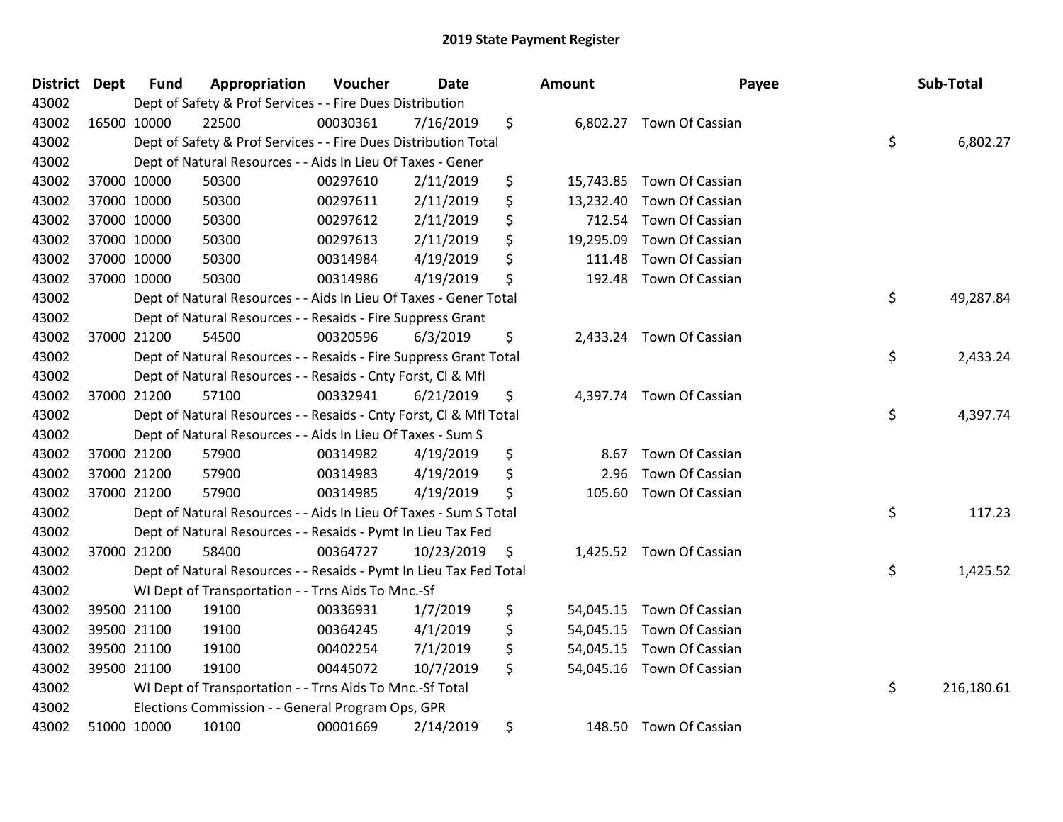| District Dept | <b>Fund</b> | Appropriation                                                      | Voucher  | <b>Date</b> | Amount          | Payee                     | Sub-Total        |
|---------------|-------------|--------------------------------------------------------------------|----------|-------------|-----------------|---------------------------|------------------|
| 43002         |             | Dept of Safety & Prof Services - - Fire Dues Distribution          |          |             |                 |                           |                  |
| 43002         | 16500 10000 | 22500                                                              | 00030361 | 7/16/2019   | \$              | 6,802.27 Town Of Cassian  |                  |
| 43002         |             | Dept of Safety & Prof Services - - Fire Dues Distribution Total    |          |             |                 |                           | \$<br>6,802.27   |
| 43002         |             | Dept of Natural Resources - - Aids In Lieu Of Taxes - Gener        |          |             |                 |                           |                  |
| 43002         | 37000 10000 | 50300                                                              | 00297610 | 2/11/2019   | \$<br>15,743.85 | Town Of Cassian           |                  |
| 43002         | 37000 10000 | 50300                                                              | 00297611 | 2/11/2019   | \$<br>13,232.40 | Town Of Cassian           |                  |
| 43002         | 37000 10000 | 50300                                                              | 00297612 | 2/11/2019   | \$<br>712.54    | Town Of Cassian           |                  |
| 43002         | 37000 10000 | 50300                                                              | 00297613 | 2/11/2019   | \$<br>19,295.09 | Town Of Cassian           |                  |
| 43002         | 37000 10000 | 50300                                                              | 00314984 | 4/19/2019   | \$<br>111.48    | Town Of Cassian           |                  |
| 43002         | 37000 10000 | 50300                                                              | 00314986 | 4/19/2019   | \$<br>192.48    | Town Of Cassian           |                  |
| 43002         |             | Dept of Natural Resources - - Aids In Lieu Of Taxes - Gener Total  |          |             |                 |                           | \$<br>49,287.84  |
| 43002         |             | Dept of Natural Resources - - Resaids - Fire Suppress Grant        |          |             |                 |                           |                  |
| 43002         | 37000 21200 | 54500                                                              | 00320596 | 6/3/2019    | \$              | 2,433.24 Town Of Cassian  |                  |
| 43002         |             | Dept of Natural Resources - - Resaids - Fire Suppress Grant Total  |          |             |                 |                           | \$<br>2,433.24   |
| 43002         |             | Dept of Natural Resources - - Resaids - Cnty Forst, Cl & Mfl       |          |             |                 |                           |                  |
| 43002         | 37000 21200 | 57100                                                              | 00332941 | 6/21/2019   | \$              | 4,397.74 Town Of Cassian  |                  |
| 43002         |             | Dept of Natural Resources - - Resaids - Cnty Forst, Cl & Mfl Total |          |             |                 |                           | \$<br>4,397.74   |
| 43002         |             | Dept of Natural Resources - - Aids In Lieu Of Taxes - Sum S        |          |             |                 |                           |                  |
| 43002         | 37000 21200 | 57900                                                              | 00314982 | 4/19/2019   | \$<br>8.67      | Town Of Cassian           |                  |
| 43002         | 37000 21200 | 57900                                                              | 00314983 | 4/19/2019   | \$<br>2.96      | Town Of Cassian           |                  |
| 43002         | 37000 21200 | 57900                                                              | 00314985 | 4/19/2019   | \$<br>105.60    | Town Of Cassian           |                  |
| 43002         |             | Dept of Natural Resources - - Aids In Lieu Of Taxes - Sum S Total  |          |             |                 |                           | \$<br>117.23     |
| 43002         |             | Dept of Natural Resources - - Resaids - Pymt In Lieu Tax Fed       |          |             |                 |                           |                  |
| 43002         | 37000 21200 | 58400                                                              | 00364727 | 10/23/2019  | \$              | 1,425.52 Town Of Cassian  |                  |
| 43002         |             | Dept of Natural Resources - - Resaids - Pymt In Lieu Tax Fed Total |          |             |                 |                           | \$<br>1,425.52   |
| 43002         |             | WI Dept of Transportation - - Trns Aids To Mnc.-Sf                 |          |             |                 |                           |                  |
| 43002         | 39500 21100 | 19100                                                              | 00336931 | 1/7/2019    | \$<br>54,045.15 | Town Of Cassian           |                  |
| 43002         | 39500 21100 | 19100                                                              | 00364245 | 4/1/2019    | \$              | 54,045.15 Town Of Cassian |                  |
| 43002         | 39500 21100 | 19100                                                              | 00402254 | 7/1/2019    | \$              | 54,045.15 Town Of Cassian |                  |
| 43002         | 39500 21100 | 19100                                                              | 00445072 | 10/7/2019   | \$              | 54,045.16 Town Of Cassian |                  |
| 43002         |             | WI Dept of Transportation - - Trns Aids To Mnc.-Sf Total           |          |             |                 |                           | \$<br>216,180.61 |
| 43002         |             | Elections Commission - - General Program Ops, GPR                  |          |             |                 |                           |                  |
| 43002         | 51000 10000 | 10100                                                              | 00001669 | 2/14/2019   | \$<br>148.50    | Town Of Cassian           |                  |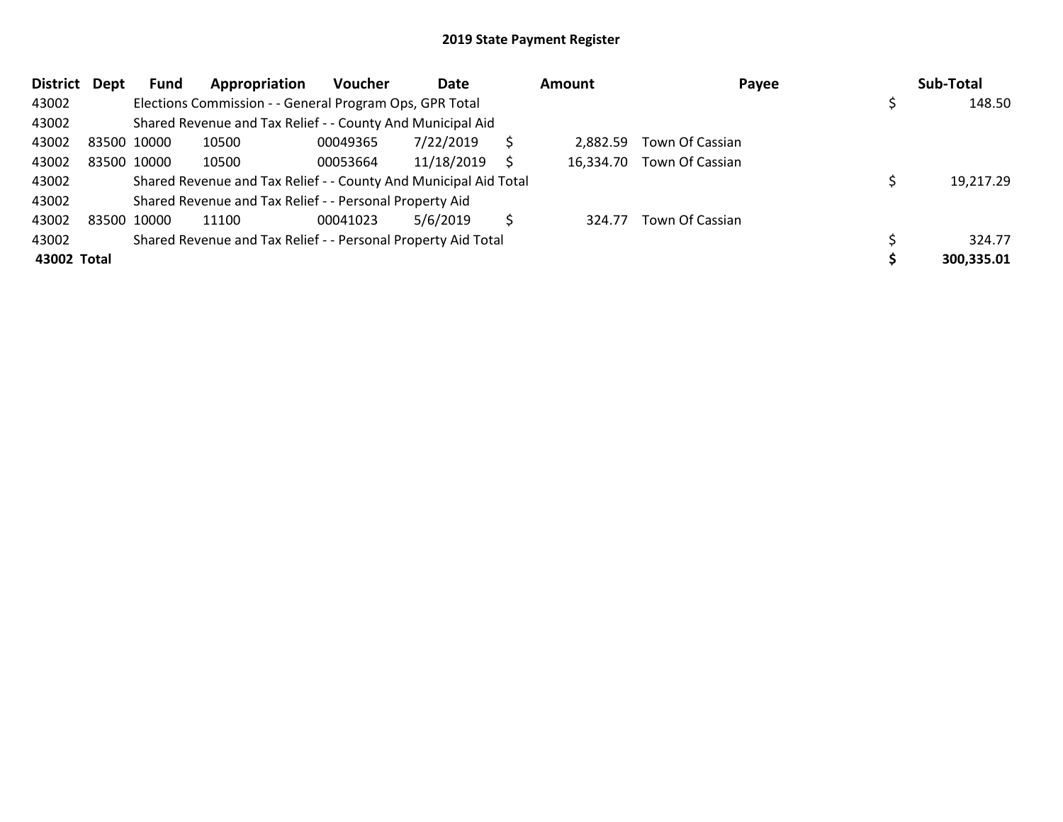| <b>District</b> | Dept | Fund        | Appropriation                                                    | <b>Voucher</b> | Date       |    | Amount   | Payee                     | Sub-Total  |
|-----------------|------|-------------|------------------------------------------------------------------|----------------|------------|----|----------|---------------------------|------------|
| 43002           |      |             | Elections Commission - - General Program Ops, GPR Total          |                |            |    |          |                           | 148.50     |
| 43002           |      |             | Shared Revenue and Tax Relief - - County And Municipal Aid       |                |            |    |          |                           |            |
| 43002           |      | 83500 10000 | 10500                                                            | 00049365       | 7/22/2019  | Ś  | 2.882.59 | Town Of Cassian           |            |
| 43002           |      | 83500 10000 | 10500                                                            | 00053664       | 11/18/2019 | S. |          | 16,334.70 Town Of Cassian |            |
| 43002           |      |             | Shared Revenue and Tax Relief - - County And Municipal Aid Total |                |            |    |          |                           | 19,217.29  |
| 43002           |      |             | Shared Revenue and Tax Relief - - Personal Property Aid          |                |            |    |          |                           |            |
| 43002           |      | 83500 10000 | 11100                                                            | 00041023       | 5/6/2019   | S  | 324.77   | Town Of Cassian           |            |
| 43002           |      |             | Shared Revenue and Tax Relief - - Personal Property Aid Total    |                |            |    |          |                           | 324.77     |
| 43002 Total     |      |             |                                                                  |                |            |    |          |                           | 300,335.01 |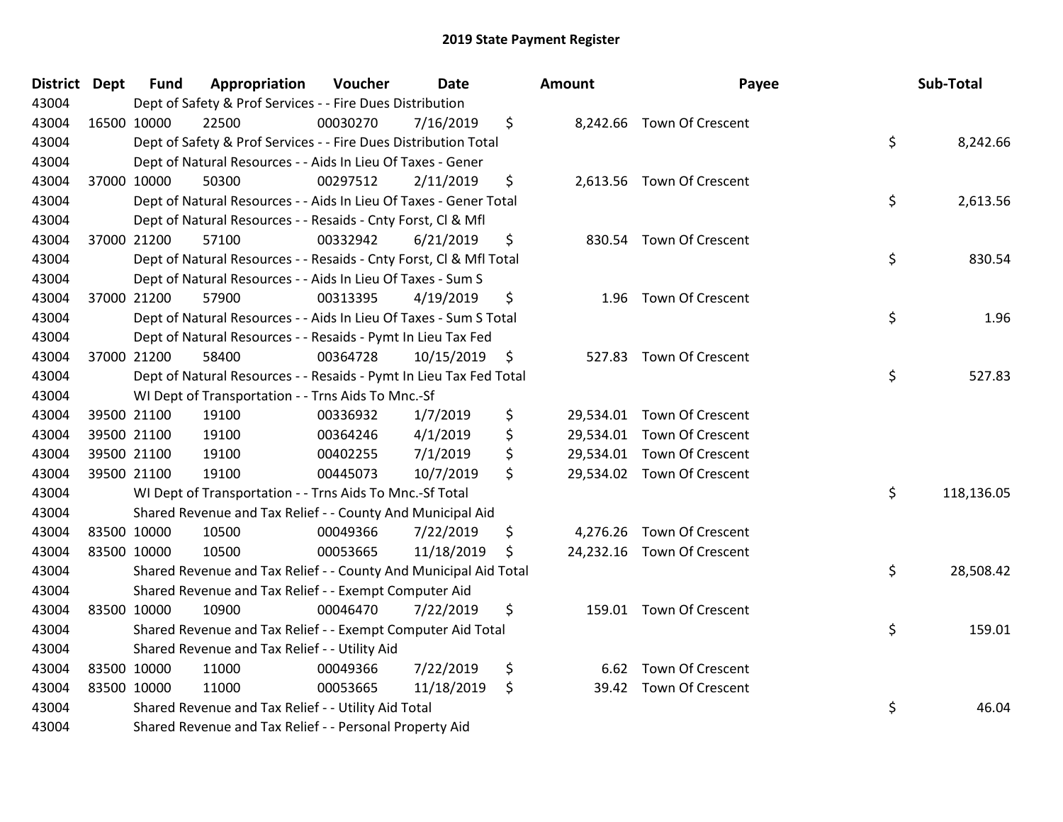| District Dept | <b>Fund</b> | Appropriation                                                      | Voucher  | <b>Date</b> | <b>Amount</b> |                            | Payee | Sub-Total  |
|---------------|-------------|--------------------------------------------------------------------|----------|-------------|---------------|----------------------------|-------|------------|
| 43004         |             | Dept of Safety & Prof Services - - Fire Dues Distribution          |          |             |               |                            |       |            |
| 43004         | 16500 10000 | 22500                                                              | 00030270 | 7/16/2019   | \$            | 8,242.66 Town Of Crescent  |       |            |
| 43004         |             | Dept of Safety & Prof Services - - Fire Dues Distribution Total    |          |             |               |                            | \$    | 8,242.66   |
| 43004         |             | Dept of Natural Resources - - Aids In Lieu Of Taxes - Gener        |          |             |               |                            |       |            |
| 43004         | 37000 10000 | 50300                                                              | 00297512 | 2/11/2019   | \$            | 2,613.56 Town Of Crescent  |       |            |
| 43004         |             | Dept of Natural Resources - - Aids In Lieu Of Taxes - Gener Total  |          |             |               |                            | \$    | 2,613.56   |
| 43004         |             | Dept of Natural Resources - - Resaids - Cnty Forst, Cl & Mfl       |          |             |               |                            |       |            |
| 43004         | 37000 21200 | 57100                                                              | 00332942 | 6/21/2019   | \$            | 830.54 Town Of Crescent    |       |            |
| 43004         |             | Dept of Natural Resources - - Resaids - Cnty Forst, CI & Mfl Total |          |             |               |                            | \$    | 830.54     |
| 43004         |             | Dept of Natural Resources - - Aids In Lieu Of Taxes - Sum S        |          |             |               |                            |       |            |
| 43004         | 37000 21200 | 57900                                                              | 00313395 | 4/19/2019   | \$            | 1.96 Town Of Crescent      |       |            |
| 43004         |             | Dept of Natural Resources - - Aids In Lieu Of Taxes - Sum S Total  |          |             |               |                            | \$    | 1.96       |
| 43004         |             | Dept of Natural Resources - - Resaids - Pymt In Lieu Tax Fed       |          |             |               |                            |       |            |
| 43004         | 37000 21200 | 58400                                                              | 00364728 | 10/15/2019  | \$            | 527.83 Town Of Crescent    |       |            |
| 43004         |             | Dept of Natural Resources - - Resaids - Pymt In Lieu Tax Fed Total |          |             |               |                            | \$    | 527.83     |
| 43004         |             | WI Dept of Transportation - - Trns Aids To Mnc.-Sf                 |          |             |               |                            |       |            |
| 43004         | 39500 21100 | 19100                                                              | 00336932 | 1/7/2019    | \$            | 29,534.01 Town Of Crescent |       |            |
| 43004         | 39500 21100 | 19100                                                              | 00364246 | 4/1/2019    | \$            | 29,534.01 Town Of Crescent |       |            |
| 43004         | 39500 21100 | 19100                                                              | 00402255 | 7/1/2019    | \$            | 29,534.01 Town Of Crescent |       |            |
| 43004         | 39500 21100 | 19100                                                              | 00445073 | 10/7/2019   | \$            | 29,534.02 Town Of Crescent |       |            |
| 43004         |             | WI Dept of Transportation - - Trns Aids To Mnc.-Sf Total           |          |             |               |                            | \$    | 118,136.05 |
| 43004         |             | Shared Revenue and Tax Relief - - County And Municipal Aid         |          |             |               |                            |       |            |
| 43004         | 83500 10000 | 10500                                                              | 00049366 | 7/22/2019   | \$            | 4,276.26 Town Of Crescent  |       |            |
| 43004         | 83500 10000 | 10500                                                              | 00053665 | 11/18/2019  | \$            | 24,232.16 Town Of Crescent |       |            |
| 43004         |             | Shared Revenue and Tax Relief - - County And Municipal Aid Total   |          |             |               |                            | \$    | 28,508.42  |
| 43004         |             | Shared Revenue and Tax Relief - - Exempt Computer Aid              |          |             |               |                            |       |            |
| 43004         | 83500 10000 | 10900                                                              | 00046470 | 7/22/2019   | \$            | 159.01 Town Of Crescent    |       |            |
| 43004         |             | Shared Revenue and Tax Relief - - Exempt Computer Aid Total        |          |             |               |                            | \$    | 159.01     |
| 43004         |             | Shared Revenue and Tax Relief - - Utility Aid                      |          |             |               |                            |       |            |
| 43004         | 83500 10000 | 11000                                                              | 00049366 | 7/22/2019   | \$            | 6.62 Town Of Crescent      |       |            |
| 43004         | 83500 10000 | 11000                                                              | 00053665 | 11/18/2019  | \$            | 39.42 Town Of Crescent     |       |            |
| 43004         |             | Shared Revenue and Tax Relief - - Utility Aid Total                |          |             |               |                            | \$    | 46.04      |
| 43004         |             | Shared Revenue and Tax Relief - - Personal Property Aid            |          |             |               |                            |       |            |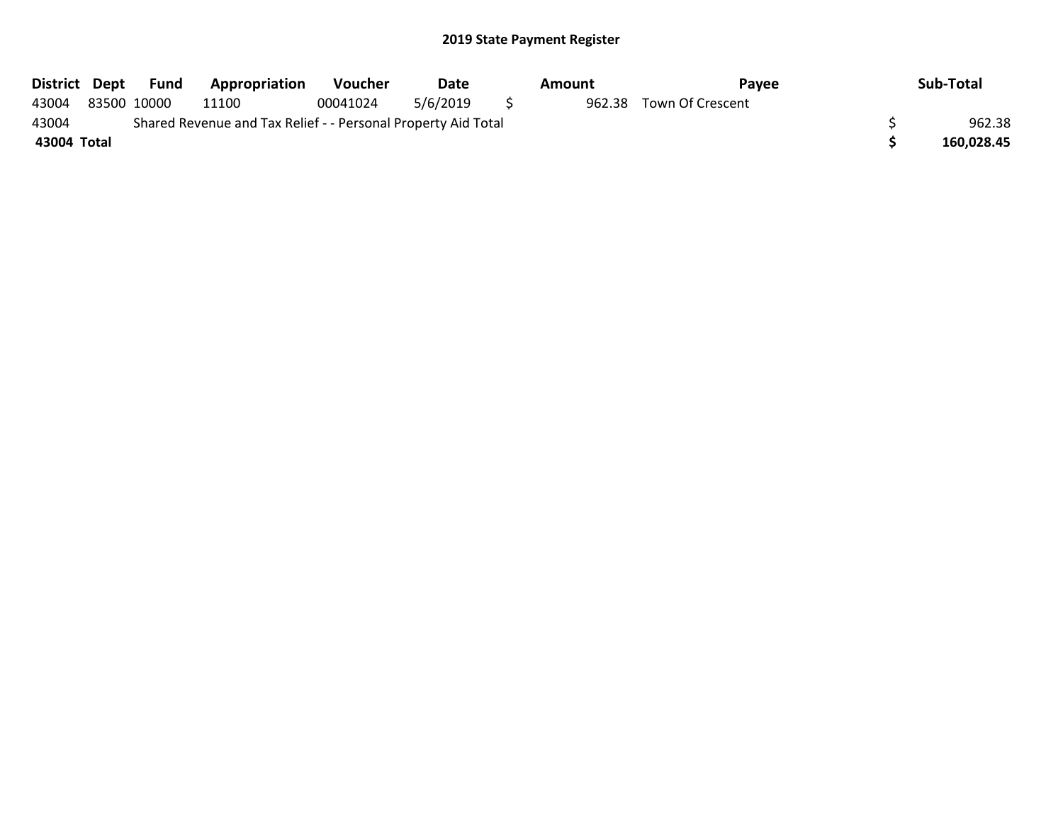| District Dept | Fund        | <b>Appropriation</b>                                          | <b>Voucher</b> | Date     |   | Amount | Pavee                   | Sub-Total  |
|---------------|-------------|---------------------------------------------------------------|----------------|----------|---|--------|-------------------------|------------|
| 43004         | 83500 10000 | 11100                                                         | 00041024       | 5/6/2019 | S |        | 962.38 Town Of Crescent |            |
| 43004         |             | Shared Revenue and Tax Relief - - Personal Property Aid Total |                |          |   |        |                         | 962.38     |
| 43004 Total   |             |                                                               |                |          |   |        |                         | 160.028.45 |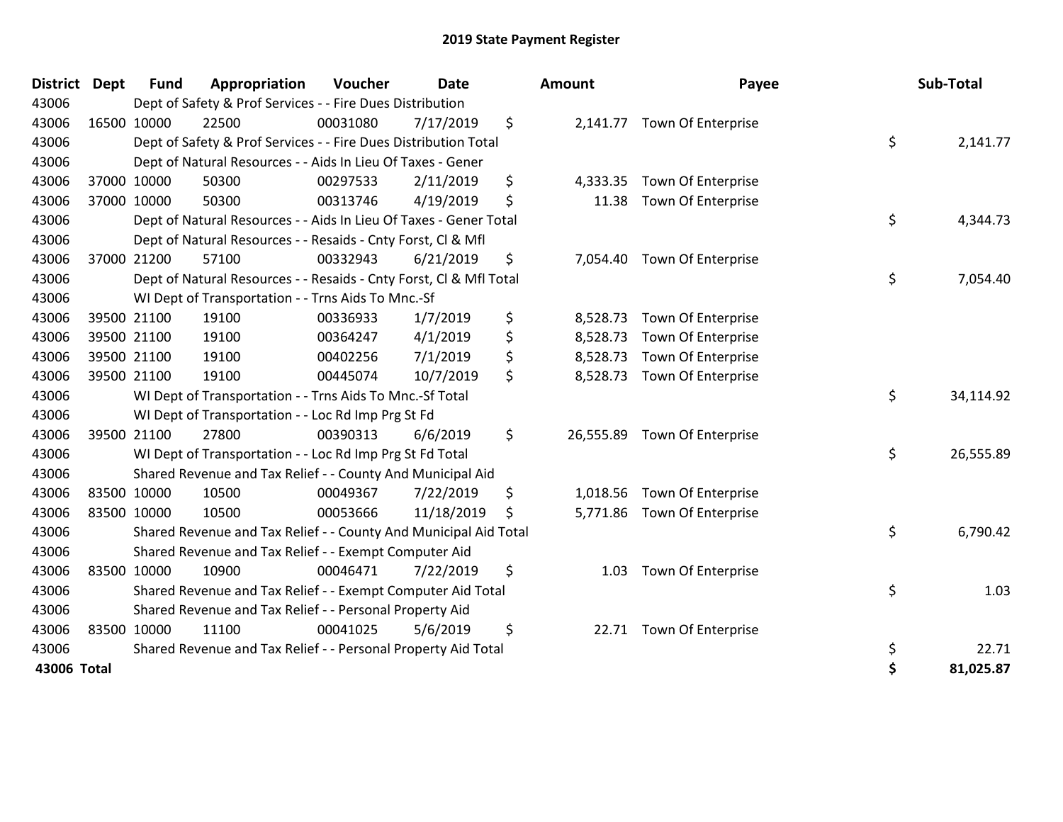| <b>District</b> | <b>Dept</b> | <b>Fund</b> | Appropriation                                                      | Voucher  | Date       |         | Amount    | Payee                       | Sub-Total       |
|-----------------|-------------|-------------|--------------------------------------------------------------------|----------|------------|---------|-----------|-----------------------------|-----------------|
| 43006           |             |             | Dept of Safety & Prof Services - - Fire Dues Distribution          |          |            |         |           |                             |                 |
| 43006           |             | 16500 10000 | 22500                                                              | 00031080 | 7/17/2019  | \$      |           | 2,141.77 Town Of Enterprise |                 |
| 43006           |             |             | Dept of Safety & Prof Services - - Fire Dues Distribution Total    |          |            |         |           |                             | \$<br>2,141.77  |
| 43006           |             |             | Dept of Natural Resources - - Aids In Lieu Of Taxes - Gener        |          |            |         |           |                             |                 |
| 43006           |             | 37000 10000 | 50300                                                              | 00297533 | 2/11/2019  | \$      | 4,333.35  | Town Of Enterprise          |                 |
| 43006           |             | 37000 10000 | 50300                                                              | 00313746 | 4/19/2019  | \$      | 11.38     | Town Of Enterprise          |                 |
| 43006           |             |             | Dept of Natural Resources - - Aids In Lieu Of Taxes - Gener Total  |          |            |         |           |                             | \$<br>4,344.73  |
| 43006           |             |             | Dept of Natural Resources - - Resaids - Cnty Forst, Cl & Mfl       |          |            |         |           |                             |                 |
| 43006           |             | 37000 21200 | 57100                                                              | 00332943 | 6/21/2019  | \$      | 7,054.40  | Town Of Enterprise          |                 |
| 43006           |             |             | Dept of Natural Resources - - Resaids - Cnty Forst, Cl & Mfl Total |          |            |         |           |                             | \$<br>7,054.40  |
| 43006           |             |             | WI Dept of Transportation - - Trns Aids To Mnc.-Sf                 |          |            |         |           |                             |                 |
| 43006           |             | 39500 21100 | 19100                                                              | 00336933 | 1/7/2019   | \$      | 8,528.73  | Town Of Enterprise          |                 |
| 43006           |             | 39500 21100 | 19100                                                              | 00364247 | 4/1/2019   | \$      | 8,528.73  | Town Of Enterprise          |                 |
| 43006           |             | 39500 21100 | 19100                                                              | 00402256 | 7/1/2019   | \$      | 8,528.73  | Town Of Enterprise          |                 |
| 43006           |             | 39500 21100 | 19100                                                              | 00445074 | 10/7/2019  | $\zeta$ | 8,528.73  | Town Of Enterprise          |                 |
| 43006           |             |             | WI Dept of Transportation - - Trns Aids To Mnc.-Sf Total           |          |            |         |           |                             | \$<br>34,114.92 |
| 43006           |             |             | WI Dept of Transportation - - Loc Rd Imp Prg St Fd                 |          |            |         |           |                             |                 |
| 43006           |             | 39500 21100 | 27800                                                              | 00390313 | 6/6/2019   | \$      | 26,555.89 | <b>Town Of Enterprise</b>   |                 |
| 43006           |             |             | WI Dept of Transportation - - Loc Rd Imp Prg St Fd Total           |          |            |         |           |                             | \$<br>26,555.89 |
| 43006           |             |             | Shared Revenue and Tax Relief - - County And Municipal Aid         |          |            |         |           |                             |                 |
| 43006           |             | 83500 10000 | 10500                                                              | 00049367 | 7/22/2019  | \$      | 1,018.56  | <b>Town Of Enterprise</b>   |                 |
| 43006           |             | 83500 10000 | 10500                                                              | 00053666 | 11/18/2019 | \$      | 5,771.86  | Town Of Enterprise          |                 |
| 43006           |             |             | Shared Revenue and Tax Relief - - County And Municipal Aid Total   |          |            |         |           |                             | \$<br>6,790.42  |
| 43006           |             |             | Shared Revenue and Tax Relief - - Exempt Computer Aid              |          |            |         |           |                             |                 |
| 43006           |             | 83500 10000 | 10900                                                              | 00046471 | 7/22/2019  | \$      | 1.03      | <b>Town Of Enterprise</b>   |                 |
| 43006           |             |             | Shared Revenue and Tax Relief - - Exempt Computer Aid Total        |          |            |         |           |                             | \$<br>1.03      |
| 43006           |             |             | Shared Revenue and Tax Relief - - Personal Property Aid            |          |            |         |           |                             |                 |
| 43006           |             | 83500 10000 | 11100                                                              | 00041025 | 5/6/2019   | \$      |           | 22.71 Town Of Enterprise    |                 |
| 43006           |             |             | Shared Revenue and Tax Relief - - Personal Property Aid Total      |          |            |         |           |                             | \$<br>22.71     |
| 43006 Total     |             |             |                                                                    |          |            |         |           |                             | \$<br>81,025.87 |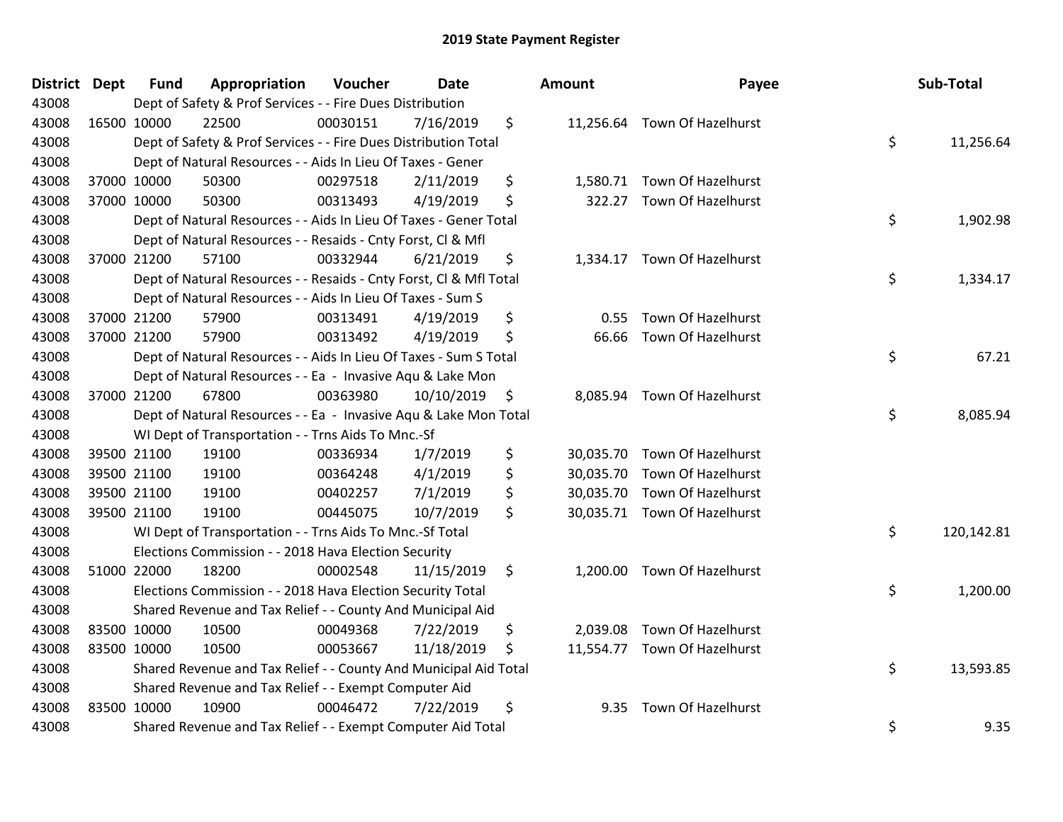| <b>District Dept</b> | <b>Fund</b> | Appropriation                                                      | Voucher  | <b>Date</b> | <b>Amount</b>   | Payee                        | Sub-Total        |
|----------------------|-------------|--------------------------------------------------------------------|----------|-------------|-----------------|------------------------------|------------------|
| 43008                |             | Dept of Safety & Prof Services - - Fire Dues Distribution          |          |             |                 |                              |                  |
| 43008                | 16500 10000 | 22500                                                              | 00030151 | 7/16/2019   | \$              | 11,256.64 Town Of Hazelhurst |                  |
| 43008                |             | Dept of Safety & Prof Services - - Fire Dues Distribution Total    |          |             |                 |                              | \$<br>11,256.64  |
| 43008                |             | Dept of Natural Resources - - Aids In Lieu Of Taxes - Gener        |          |             |                 |                              |                  |
| 43008                | 37000 10000 | 50300                                                              | 00297518 | 2/11/2019   | \$<br>1,580.71  | <b>Town Of Hazelhurst</b>    |                  |
| 43008                | 37000 10000 | 50300                                                              | 00313493 | 4/19/2019   | \$<br>322.27    | Town Of Hazelhurst           |                  |
| 43008                |             | Dept of Natural Resources - - Aids In Lieu Of Taxes - Gener Total  |          |             |                 |                              | \$<br>1,902.98   |
| 43008                |             | Dept of Natural Resources - - Resaids - Cnty Forst, Cl & Mfl       |          |             |                 |                              |                  |
| 43008                | 37000 21200 | 57100                                                              | 00332944 | 6/21/2019   | \$              | 1,334.17 Town Of Hazelhurst  |                  |
| 43008                |             | Dept of Natural Resources - - Resaids - Cnty Forst, Cl & Mfl Total |          |             |                 |                              | \$<br>1,334.17   |
| 43008                |             | Dept of Natural Resources - - Aids In Lieu Of Taxes - Sum S        |          |             |                 |                              |                  |
| 43008                | 37000 21200 | 57900                                                              | 00313491 | 4/19/2019   | \$<br>0.55      | Town Of Hazelhurst           |                  |
| 43008                | 37000 21200 | 57900                                                              | 00313492 | 4/19/2019   | \$<br>66.66     | <b>Town Of Hazelhurst</b>    |                  |
| 43008                |             | Dept of Natural Resources - - Aids In Lieu Of Taxes - Sum S Total  |          |             |                 |                              | \$<br>67.21      |
| 43008                |             | Dept of Natural Resources - - Ea - Invasive Aqu & Lake Mon         |          |             |                 |                              |                  |
| 43008                | 37000 21200 | 67800                                                              | 00363980 | 10/10/2019  | \$<br>8,085.94  | <b>Town Of Hazelhurst</b>    |                  |
| 43008                |             | Dept of Natural Resources - - Ea - Invasive Aqu & Lake Mon Total   |          |             |                 |                              | \$<br>8,085.94   |
| 43008                |             | WI Dept of Transportation - - Trns Aids To Mnc.-Sf                 |          |             |                 |                              |                  |
| 43008                | 39500 21100 | 19100                                                              | 00336934 | 1/7/2019    | \$              | 30,035.70 Town Of Hazelhurst |                  |
| 43008                | 39500 21100 | 19100                                                              | 00364248 | 4/1/2019    | \$<br>30,035.70 | <b>Town Of Hazelhurst</b>    |                  |
| 43008                | 39500 21100 | 19100                                                              | 00402257 | 7/1/2019    | \$<br>30,035.70 | <b>Town Of Hazelhurst</b>    |                  |
| 43008                | 39500 21100 | 19100                                                              | 00445075 | 10/7/2019   | \$              | 30,035.71 Town Of Hazelhurst |                  |
| 43008                |             | WI Dept of Transportation - - Trns Aids To Mnc.-Sf Total           |          |             |                 |                              | \$<br>120,142.81 |
| 43008                |             | Elections Commission - - 2018 Hava Election Security               |          |             |                 |                              |                  |
| 43008                | 51000 22000 | 18200                                                              | 00002548 | 11/15/2019  | \$<br>1,200.00  | <b>Town Of Hazelhurst</b>    |                  |
| 43008                |             | Elections Commission - - 2018 Hava Election Security Total         |          |             |                 |                              | \$<br>1,200.00   |
| 43008                |             | Shared Revenue and Tax Relief - - County And Municipal Aid         |          |             |                 |                              |                  |
| 43008                | 83500 10000 | 10500                                                              | 00049368 | 7/22/2019   | \$              | 2,039.08 Town Of Hazelhurst  |                  |
| 43008                | 83500 10000 | 10500                                                              | 00053667 | 11/18/2019  | \$              | 11,554.77 Town Of Hazelhurst |                  |
| 43008                |             | Shared Revenue and Tax Relief - - County And Municipal Aid Total   |          |             |                 |                              | \$<br>13,593.85  |
| 43008                |             | Shared Revenue and Tax Relief - - Exempt Computer Aid              |          |             |                 |                              |                  |
| 43008                | 83500 10000 | 10900                                                              | 00046472 | 7/22/2019   | \$<br>9.35      | Town Of Hazelhurst           |                  |
| 43008                |             | Shared Revenue and Tax Relief - - Exempt Computer Aid Total        |          |             |                 |                              | \$<br>9.35       |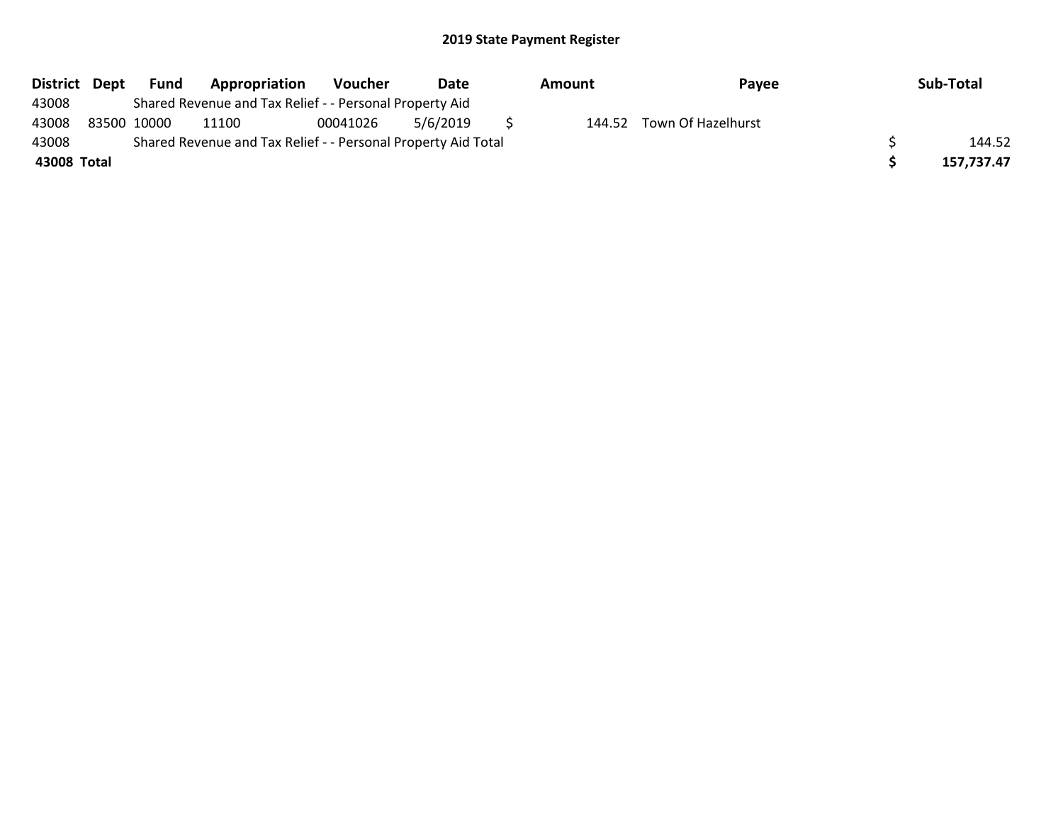| District Dept | Fund        | Appropriation                                                 | <b>Voucher</b> | Date     | Amount | Payee              | Sub-Total  |
|---------------|-------------|---------------------------------------------------------------|----------------|----------|--------|--------------------|------------|
| 43008         |             | Shared Revenue and Tax Relief - - Personal Property Aid       |                |          |        |                    |            |
| 43008         | 83500 10000 | 11100                                                         | 00041026       | 5/6/2019 | 144.52 | Town Of Hazelhurst |            |
| 43008         |             | Shared Revenue and Tax Relief - - Personal Property Aid Total |                |          |        |                    | 144.52     |
| 43008 Total   |             |                                                               |                |          |        |                    | 157.737.47 |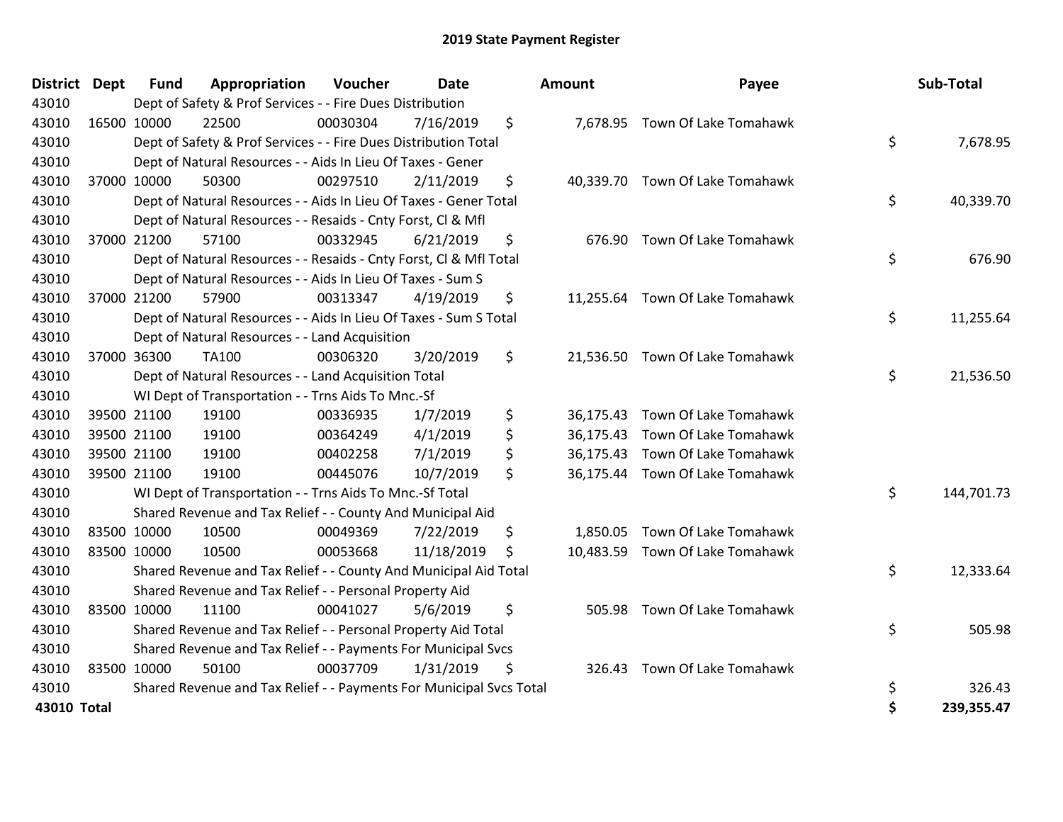| <b>District</b> | <b>Dept</b> | <b>Fund</b> | Appropriation                                                       | Voucher  | <b>Date</b> | Amount          | Payee                           | Sub-Total        |
|-----------------|-------------|-------------|---------------------------------------------------------------------|----------|-------------|-----------------|---------------------------------|------------------|
| 43010           |             |             | Dept of Safety & Prof Services - - Fire Dues Distribution           |          |             |                 |                                 |                  |
| 43010           |             | 16500 10000 | 22500                                                               | 00030304 | 7/16/2019   | \$              | 7,678.95 Town Of Lake Tomahawk  |                  |
| 43010           |             |             | Dept of Safety & Prof Services - - Fire Dues Distribution Total     |          |             |                 |                                 | \$<br>7,678.95   |
| 43010           |             |             | Dept of Natural Resources - - Aids In Lieu Of Taxes - Gener         |          |             |                 |                                 |                  |
| 43010           |             | 37000 10000 | 50300                                                               | 00297510 | 2/11/2019   | \$              | 40,339.70 Town Of Lake Tomahawk |                  |
| 43010           |             |             | Dept of Natural Resources - - Aids In Lieu Of Taxes - Gener Total   |          |             |                 |                                 | \$<br>40,339.70  |
| 43010           |             |             | Dept of Natural Resources - - Resaids - Cnty Forst, Cl & Mfl        |          |             |                 |                                 |                  |
| 43010           |             | 37000 21200 | 57100                                                               | 00332945 | 6/21/2019   | \$<br>676.90    | Town Of Lake Tomahawk           |                  |
| 43010           |             |             | Dept of Natural Resources - - Resaids - Cnty Forst, Cl & Mfl Total  |          |             |                 |                                 | \$<br>676.90     |
| 43010           |             |             | Dept of Natural Resources - - Aids In Lieu Of Taxes - Sum S         |          |             |                 |                                 |                  |
| 43010           |             | 37000 21200 | 57900                                                               | 00313347 | 4/19/2019   | \$<br>11,255.64 | Town Of Lake Tomahawk           |                  |
| 43010           |             |             | Dept of Natural Resources - - Aids In Lieu Of Taxes - Sum S Total   |          |             |                 |                                 | \$<br>11,255.64  |
| 43010           |             |             | Dept of Natural Resources - - Land Acquisition                      |          |             |                 |                                 |                  |
| 43010           |             | 37000 36300 | <b>TA100</b>                                                        | 00306320 | 3/20/2019   | \$              | 21,536.50 Town Of Lake Tomahawk |                  |
| 43010           |             |             | Dept of Natural Resources - - Land Acquisition Total                |          |             |                 |                                 | \$<br>21,536.50  |
| 43010           |             |             | WI Dept of Transportation - - Trns Aids To Mnc.-Sf                  |          |             |                 |                                 |                  |
| 43010           |             | 39500 21100 | 19100                                                               | 00336935 | 1/7/2019    | \$              | 36,175.43 Town Of Lake Tomahawk |                  |
| 43010           |             | 39500 21100 | 19100                                                               | 00364249 | 4/1/2019    | \$<br>36,175.43 | Town Of Lake Tomahawk           |                  |
| 43010           |             | 39500 21100 | 19100                                                               | 00402258 | 7/1/2019    | \$<br>36,175.43 | Town Of Lake Tomahawk           |                  |
| 43010           |             | 39500 21100 | 19100                                                               | 00445076 | 10/7/2019   | \$              | 36,175.44 Town Of Lake Tomahawk |                  |
| 43010           |             |             | WI Dept of Transportation - - Trns Aids To Mnc.-Sf Total            |          |             |                 |                                 | \$<br>144,701.73 |
| 43010           |             |             | Shared Revenue and Tax Relief - - County And Municipal Aid          |          |             |                 |                                 |                  |
| 43010           |             | 83500 10000 | 10500                                                               | 00049369 | 7/22/2019   | \$              | 1,850.05 Town Of Lake Tomahawk  |                  |
| 43010           | 83500 10000 |             | 10500                                                               | 00053668 | 11/18/2019  | \$              | 10,483.59 Town Of Lake Tomahawk |                  |
| 43010           |             |             | Shared Revenue and Tax Relief - - County And Municipal Aid Total    |          |             |                 |                                 | \$<br>12,333.64  |
| 43010           |             |             | Shared Revenue and Tax Relief - - Personal Property Aid             |          |             |                 |                                 |                  |
| 43010           |             | 83500 10000 | 11100                                                               | 00041027 | 5/6/2019    | \$<br>505.98    | Town Of Lake Tomahawk           |                  |
| 43010           |             |             | Shared Revenue and Tax Relief - - Personal Property Aid Total       |          |             |                 |                                 | \$<br>505.98     |
| 43010           |             |             | Shared Revenue and Tax Relief - - Payments For Municipal Svcs       |          |             |                 |                                 |                  |
| 43010           | 83500 10000 |             | 50100                                                               | 00037709 | 1/31/2019   | \$<br>326.43    | Town Of Lake Tomahawk           |                  |
| 43010           |             |             | Shared Revenue and Tax Relief - - Payments For Municipal Svcs Total |          |             |                 |                                 | \$<br>326.43     |
| 43010 Total     |             |             |                                                                     |          |             |                 |                                 | \$<br>239,355.47 |

| District Dept |             | <b>Fund</b> | Appropriation                                                       | Voucher  | <b>Date</b> | <b>Amount</b> | Payee                           | Sub-Total        |
|---------------|-------------|-------------|---------------------------------------------------------------------|----------|-------------|---------------|---------------------------------|------------------|
| 43010         |             |             | Dept of Safety & Prof Services - - Fire Dues Distribution           |          |             |               |                                 |                  |
| 43010         | 16500 10000 |             | 22500                                                               | 00030304 | 7/16/2019   | \$            | 7,678.95 Town Of Lake Tomahawk  |                  |
| 43010         |             |             | Dept of Safety & Prof Services - - Fire Dues Distribution Total     |          |             |               |                                 | \$<br>7,678.95   |
| 43010         |             |             | Dept of Natural Resources - - Aids In Lieu Of Taxes - Gener         |          |             |               |                                 |                  |
| 43010         |             | 37000 10000 | 50300                                                               | 00297510 | 2/11/2019   | \$            | 40,339.70 Town Of Lake Tomahawk |                  |
| 43010         |             |             | Dept of Natural Resources - - Aids In Lieu Of Taxes - Gener Total   |          |             |               |                                 | \$<br>40,339.70  |
| 43010         |             |             | Dept of Natural Resources - - Resaids - Cnty Forst, CI & Mfl        |          |             |               |                                 |                  |
| 43010         |             | 37000 21200 | 57100                                                               | 00332945 | 6/21/2019   | \$            | 676.90 Town Of Lake Tomahawk    |                  |
| 43010         |             |             | Dept of Natural Resources - - Resaids - Cnty Forst, Cl & Mfl Total  |          |             |               |                                 | \$<br>676.90     |
| 43010         |             |             | Dept of Natural Resources - - Aids In Lieu Of Taxes - Sum S         |          |             |               |                                 |                  |
| 43010         |             | 37000 21200 | 57900                                                               | 00313347 | 4/19/2019   | \$            | 11,255.64 Town Of Lake Tomahawk |                  |
| 43010         |             |             | Dept of Natural Resources - - Aids In Lieu Of Taxes - Sum S Total   |          |             |               |                                 | \$<br>11,255.64  |
| 43010         |             |             | Dept of Natural Resources - - Land Acquisition                      |          |             |               |                                 |                  |
| 43010         |             | 37000 36300 | TA100                                                               | 00306320 | 3/20/2019   | \$            | 21,536.50 Town Of Lake Tomahawk |                  |
| 43010         |             |             | Dept of Natural Resources - - Land Acquisition Total                |          |             |               |                                 | \$<br>21,536.50  |
| 43010         |             |             | WI Dept of Transportation - - Trns Aids To Mnc.-Sf                  |          |             |               |                                 |                  |
| 43010         |             | 39500 21100 | 19100                                                               | 00336935 | 1/7/2019    | \$            | 36,175.43 Town Of Lake Tomahawk |                  |
| 43010         |             | 39500 21100 | 19100                                                               | 00364249 | 4/1/2019    | \$            | 36,175.43 Town Of Lake Tomahawk |                  |
| 43010         |             | 39500 21100 | 19100                                                               | 00402258 | 7/1/2019    | \$            | 36,175.43 Town Of Lake Tomahawk |                  |
| 43010         | 39500 21100 |             | 19100                                                               | 00445076 | 10/7/2019   | \$            | 36,175.44 Town Of Lake Tomahawk |                  |
| 43010         |             |             | WI Dept of Transportation - - Trns Aids To Mnc.-Sf Total            |          |             |               |                                 | \$<br>144,701.73 |
| 43010         |             |             | Shared Revenue and Tax Relief - - County And Municipal Aid          |          |             |               |                                 |                  |
| 43010         |             | 83500 10000 | 10500                                                               | 00049369 | 7/22/2019   | \$            | 1,850.05 Town Of Lake Tomahawk  |                  |
| 43010         |             | 83500 10000 | 10500                                                               | 00053668 | 11/18/2019  | \$            | 10,483.59 Town Of Lake Tomahawk |                  |
| 43010         |             |             | Shared Revenue and Tax Relief - - County And Municipal Aid Total    |          |             |               |                                 | \$<br>12,333.64  |
| 43010         |             |             | Shared Revenue and Tax Relief - - Personal Property Aid             |          |             |               |                                 |                  |
| 43010         |             | 83500 10000 | 11100                                                               | 00041027 | 5/6/2019    | \$            | 505.98 Town Of Lake Tomahawk    |                  |
| 43010         |             |             | Shared Revenue and Tax Relief - - Personal Property Aid Total       |          |             |               |                                 | \$<br>505.98     |
| 43010         |             |             | Shared Revenue and Tax Relief - - Payments For Municipal Svcs       |          |             |               |                                 |                  |
| 43010         |             | 83500 10000 | 50100                                                               | 00037709 | 1/31/2019   | \$<br>326.43  | Town Of Lake Tomahawk           |                  |
| 43010         |             |             | Shared Revenue and Tax Relief - - Payments For Municipal Svcs Total |          |             |               |                                 | \$<br>326.43     |
| 43010 Total   |             |             |                                                                     |          |             |               |                                 | \$<br>239,355.47 |
|               |             |             |                                                                     |          |             |               |                                 |                  |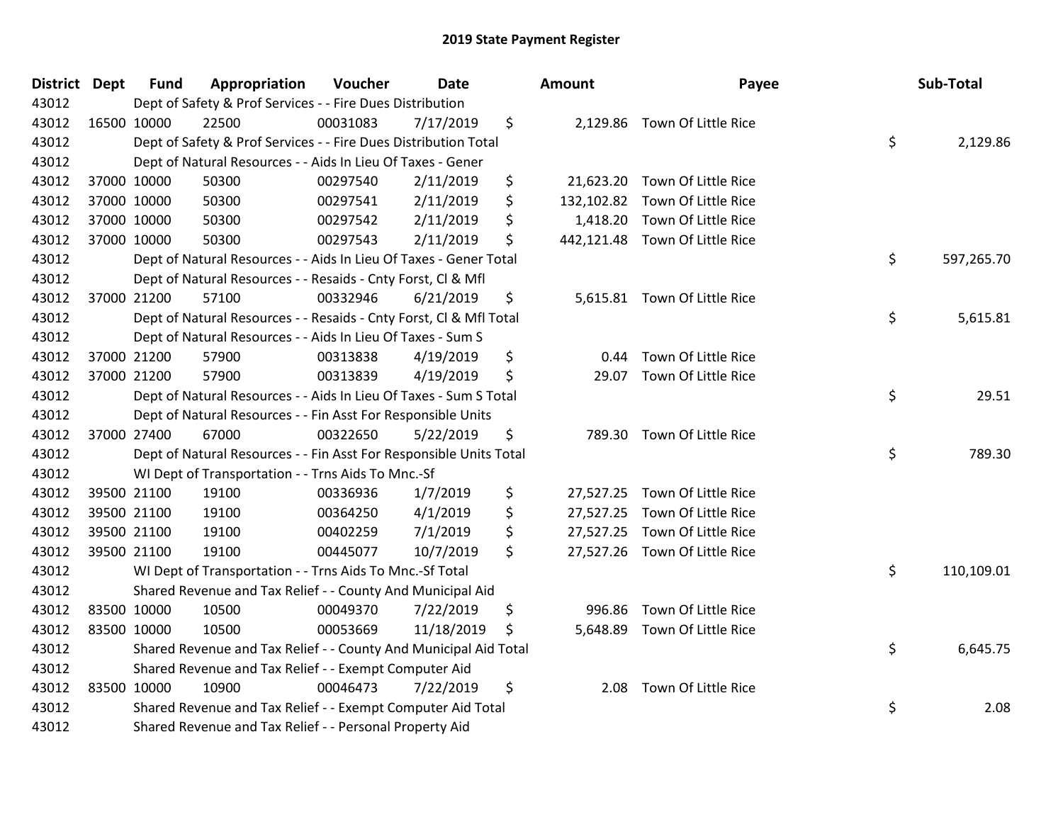| <b>District Dept</b> | <b>Fund</b> | Appropriation                                                      | Voucher  | <b>Date</b> |    | <b>Amount</b> | Payee                          | Sub-Total        |
|----------------------|-------------|--------------------------------------------------------------------|----------|-------------|----|---------------|--------------------------------|------------------|
| 43012                |             | Dept of Safety & Prof Services - - Fire Dues Distribution          |          |             |    |               |                                |                  |
| 43012                | 16500 10000 | 22500                                                              | 00031083 | 7/17/2019   | \$ |               | 2,129.86 Town Of Little Rice   |                  |
| 43012                |             | Dept of Safety & Prof Services - - Fire Dues Distribution Total    |          |             |    |               |                                | \$<br>2,129.86   |
| 43012                |             | Dept of Natural Resources - - Aids In Lieu Of Taxes - Gener        |          |             |    |               |                                |                  |
| 43012                | 37000 10000 | 50300                                                              | 00297540 | 2/11/2019   | \$ |               | 21,623.20 Town Of Little Rice  |                  |
| 43012                | 37000 10000 | 50300                                                              | 00297541 | 2/11/2019   | \$ |               | 132,102.82 Town Of Little Rice |                  |
| 43012                | 37000 10000 | 50300                                                              | 00297542 | 2/11/2019   | Ś. |               | 1,418.20 Town Of Little Rice   |                  |
| 43012                | 37000 10000 | 50300                                                              | 00297543 | 2/11/2019   | \$ |               | 442,121.48 Town Of Little Rice |                  |
| 43012                |             | Dept of Natural Resources - - Aids In Lieu Of Taxes - Gener Total  |          |             |    |               |                                | \$<br>597,265.70 |
| 43012                |             | Dept of Natural Resources - - Resaids - Cnty Forst, CI & Mfl       |          |             |    |               |                                |                  |
| 43012                | 37000 21200 | 57100                                                              | 00332946 | 6/21/2019   | \$ |               | 5,615.81 Town Of Little Rice   |                  |
| 43012                |             | Dept of Natural Resources - - Resaids - Cnty Forst, Cl & Mfl Total |          |             |    |               |                                | \$<br>5,615.81   |
| 43012                |             | Dept of Natural Resources - - Aids In Lieu Of Taxes - Sum S        |          |             |    |               |                                |                  |
| 43012                | 37000 21200 | 57900                                                              | 00313838 | 4/19/2019   | \$ |               | 0.44 Town Of Little Rice       |                  |
| 43012                | 37000 21200 | 57900                                                              | 00313839 | 4/19/2019   | \$ |               | 29.07 Town Of Little Rice      |                  |
| 43012                |             | Dept of Natural Resources - - Aids In Lieu Of Taxes - Sum S Total  |          |             |    |               |                                | \$<br>29.51      |
| 43012                |             | Dept of Natural Resources - - Fin Asst For Responsible Units       |          |             |    |               |                                |                  |
| 43012                | 37000 27400 | 67000                                                              | 00322650 | 5/22/2019   | \$ |               | 789.30 Town Of Little Rice     |                  |
| 43012                |             | Dept of Natural Resources - - Fin Asst For Responsible Units Total |          |             |    |               |                                | \$<br>789.30     |
| 43012                |             | WI Dept of Transportation - - Trns Aids To Mnc.-Sf                 |          |             |    |               |                                |                  |
| 43012                | 39500 21100 | 19100                                                              | 00336936 | 1/7/2019    | \$ |               | 27,527.25 Town Of Little Rice  |                  |
| 43012                | 39500 21100 | 19100                                                              | 00364250 | 4/1/2019    | \$ |               | 27,527.25 Town Of Little Rice  |                  |
| 43012                | 39500 21100 | 19100                                                              | 00402259 | 7/1/2019    | \$ |               | 27,527.25 Town Of Little Rice  |                  |
| 43012                | 39500 21100 | 19100                                                              | 00445077 | 10/7/2019   | \$ |               | 27,527.26 Town Of Little Rice  |                  |
| 43012                |             | WI Dept of Transportation - - Trns Aids To Mnc.-Sf Total           |          |             |    |               |                                | \$<br>110,109.01 |
| 43012                |             | Shared Revenue and Tax Relief - - County And Municipal Aid         |          |             |    |               |                                |                  |
| 43012                | 83500 10000 | 10500                                                              | 00049370 | 7/22/2019   | \$ | 996.86        | Town Of Little Rice            |                  |
| 43012                | 83500 10000 | 10500                                                              | 00053669 | 11/18/2019  | \$ |               | 5,648.89 Town Of Little Rice   |                  |
| 43012                |             | Shared Revenue and Tax Relief - - County And Municipal Aid Total   |          |             |    |               |                                | \$<br>6,645.75   |
| 43012                |             | Shared Revenue and Tax Relief - - Exempt Computer Aid              |          |             |    |               |                                |                  |
| 43012                | 83500 10000 | 10900                                                              | 00046473 | 7/22/2019   | \$ |               | 2.08 Town Of Little Rice       |                  |
| 43012                |             | Shared Revenue and Tax Relief - - Exempt Computer Aid Total        |          |             |    |               |                                | \$<br>2.08       |
| 43012                |             | Shared Revenue and Tax Relief - - Personal Property Aid            |          |             |    |               |                                |                  |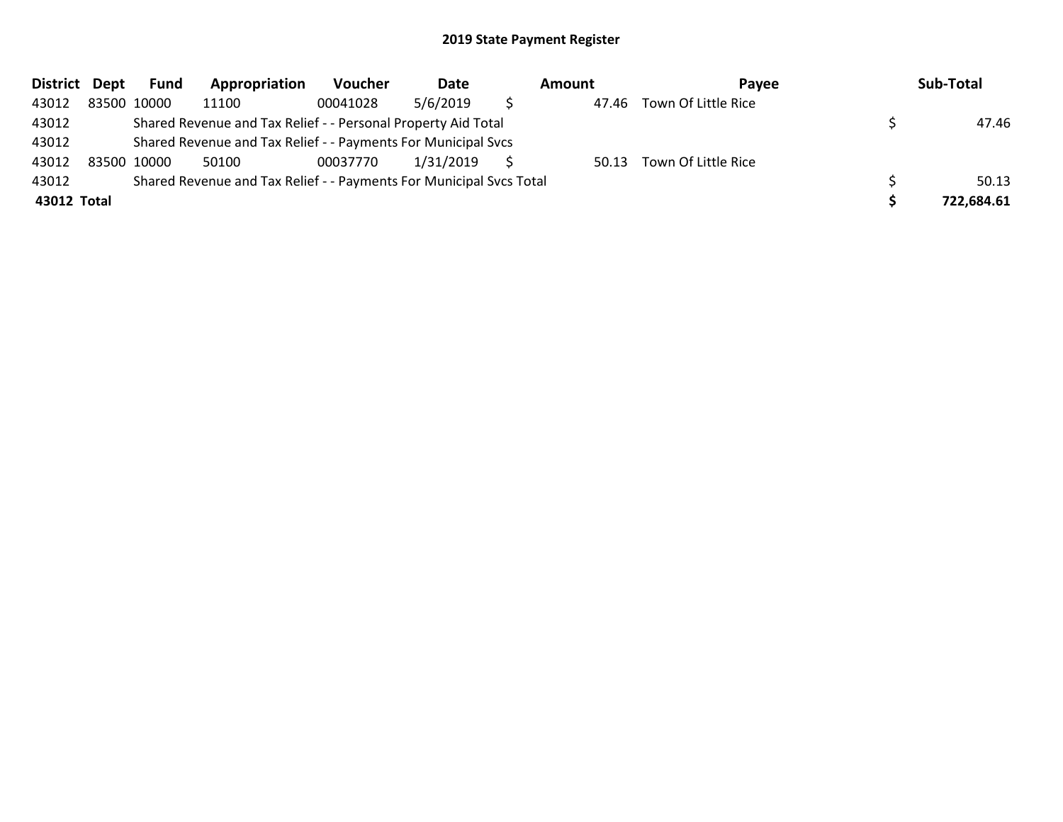| District Dept | Fund        | Appropriation                                                       | Voucher  | Date      | Amount | Pavee               | Sub-Total  |
|---------------|-------------|---------------------------------------------------------------------|----------|-----------|--------|---------------------|------------|
| 43012         | 83500 10000 | 11100                                                               | 00041028 | 5/6/2019  | 47.46  | Town Of Little Rice |            |
| 43012         |             | Shared Revenue and Tax Relief - - Personal Property Aid Total       |          |           |        |                     | 47.46      |
| 43012         |             | Shared Revenue and Tax Relief - - Payments For Municipal Svcs       |          |           |        |                     |            |
| 43012         | 83500 10000 | 50100                                                               | 00037770 | 1/31/2019 | 50.13  | Town Of Little Rice |            |
| 43012         |             | Shared Revenue and Tax Relief - - Payments For Municipal Svcs Total |          |           |        |                     | 50.13      |
| 43012 Total   |             |                                                                     |          |           |        |                     | 722,684.61 |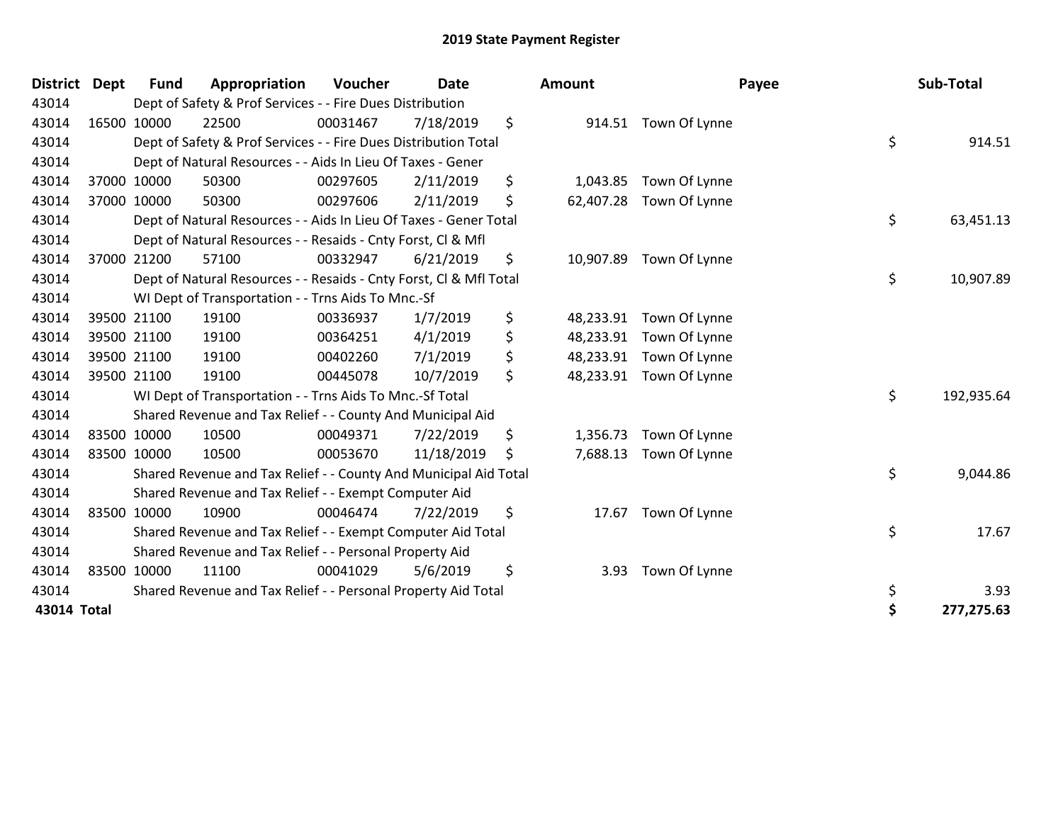| <b>District</b> | <b>Dept</b> | <b>Fund</b> | Appropriation                                                      | Voucher  | Date       | <b>Amount</b>   | Payee                   | Sub-Total        |
|-----------------|-------------|-------------|--------------------------------------------------------------------|----------|------------|-----------------|-------------------------|------------------|
| 43014           |             |             | Dept of Safety & Prof Services - - Fire Dues Distribution          |          |            |                 |                         |                  |
| 43014           |             | 16500 10000 | 22500                                                              | 00031467 | 7/18/2019  | \$              | 914.51 Town Of Lynne    |                  |
| 43014           |             |             | Dept of Safety & Prof Services - - Fire Dues Distribution Total    |          |            |                 |                         | \$<br>914.51     |
| 43014           |             |             | Dept of Natural Resources - - Aids In Lieu Of Taxes - Gener        |          |            |                 |                         |                  |
| 43014           |             | 37000 10000 | 50300                                                              | 00297605 | 2/11/2019  | \$<br>1,043.85  | Town Of Lynne           |                  |
| 43014           |             | 37000 10000 | 50300                                                              | 00297606 | 2/11/2019  | \$<br>62,407.28 | Town Of Lynne           |                  |
| 43014           |             |             | Dept of Natural Resources - - Aids In Lieu Of Taxes - Gener Total  |          |            |                 |                         | \$<br>63,451.13  |
| 43014           |             |             | Dept of Natural Resources - - Resaids - Cnty Forst, Cl & Mfl       |          |            |                 |                         |                  |
| 43014           |             | 37000 21200 | 57100                                                              | 00332947 | 6/21/2019  | \$              | 10,907.89 Town Of Lynne |                  |
| 43014           |             |             | Dept of Natural Resources - - Resaids - Cnty Forst, CI & Mfl Total |          |            |                 |                         | \$<br>10,907.89  |
| 43014           |             |             | WI Dept of Transportation - - Trns Aids To Mnc.-Sf                 |          |            |                 |                         |                  |
| 43014           |             | 39500 21100 | 19100                                                              | 00336937 | 1/7/2019   | \$<br>48,233.91 | Town Of Lynne           |                  |
| 43014           |             | 39500 21100 | 19100                                                              | 00364251 | 4/1/2019   | \$              | 48,233.91 Town Of Lynne |                  |
| 43014           |             | 39500 21100 | 19100                                                              | 00402260 | 7/1/2019   | \$<br>48,233.91 | Town Of Lynne           |                  |
| 43014           |             | 39500 21100 | 19100                                                              | 00445078 | 10/7/2019  | \$<br>48,233.91 | Town Of Lynne           |                  |
| 43014           |             |             | WI Dept of Transportation - - Trns Aids To Mnc.-Sf Total           |          |            |                 |                         | \$<br>192,935.64 |
| 43014           |             |             | Shared Revenue and Tax Relief - - County And Municipal Aid         |          |            |                 |                         |                  |
| 43014           |             | 83500 10000 | 10500                                                              | 00049371 | 7/22/2019  | \$<br>1,356.73  | Town Of Lynne           |                  |
| 43014           | 83500 10000 |             | 10500                                                              | 00053670 | 11/18/2019 | \$<br>7,688.13  | Town Of Lynne           |                  |
| 43014           |             |             | Shared Revenue and Tax Relief - - County And Municipal Aid Total   |          |            |                 |                         | \$<br>9,044.86   |
| 43014           |             |             | Shared Revenue and Tax Relief - - Exempt Computer Aid              |          |            |                 |                         |                  |
| 43014           |             | 83500 10000 | 10900                                                              | 00046474 | 7/22/2019  | \$<br>17.67     | Town Of Lynne           |                  |
| 43014           |             |             | Shared Revenue and Tax Relief - - Exempt Computer Aid Total        |          |            |                 |                         | \$<br>17.67      |
| 43014           |             |             | Shared Revenue and Tax Relief - - Personal Property Aid            |          |            |                 |                         |                  |
| 43014           |             | 83500 10000 | 11100                                                              | 00041029 | 5/6/2019   | \$<br>3.93      | Town Of Lynne           |                  |
| 43014           |             |             | Shared Revenue and Tax Relief - - Personal Property Aid Total      |          |            |                 |                         | \$<br>3.93       |
| 43014 Total     |             |             |                                                                    |          |            |                 |                         | \$<br>277,275.63 |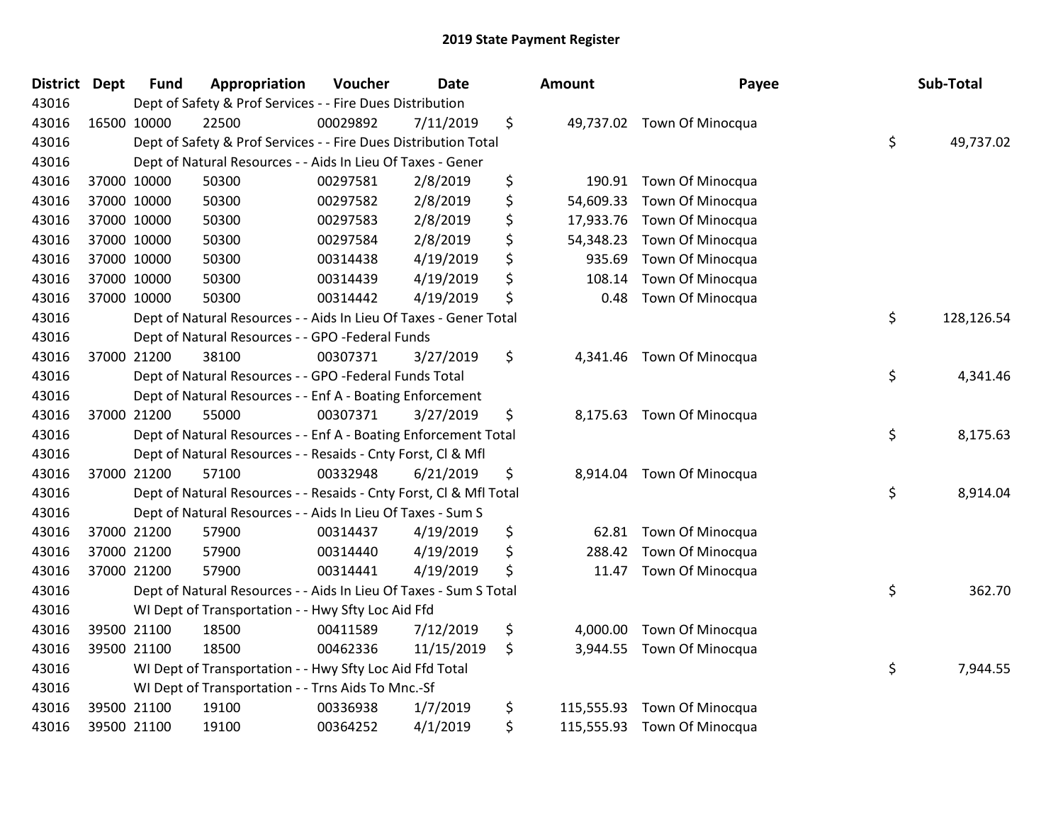| <b>District</b> | <b>Dept</b> | <b>Fund</b> | Appropriation                                                      | Voucher  | <b>Date</b> | Amount           | Payee                      | Sub-Total        |
|-----------------|-------------|-------------|--------------------------------------------------------------------|----------|-------------|------------------|----------------------------|------------------|
| 43016           |             |             | Dept of Safety & Prof Services - - Fire Dues Distribution          |          |             |                  |                            |                  |
| 43016           |             | 16500 10000 | 22500                                                              | 00029892 | 7/11/2019   | \$               | 49,737.02 Town Of Minocqua |                  |
| 43016           |             |             | Dept of Safety & Prof Services - - Fire Dues Distribution Total    |          |             |                  |                            | \$<br>49,737.02  |
| 43016           |             |             | Dept of Natural Resources - - Aids In Lieu Of Taxes - Gener        |          |             |                  |                            |                  |
| 43016           |             | 37000 10000 | 50300                                                              | 00297581 | 2/8/2019    | \$<br>190.91     | Town Of Minocqua           |                  |
| 43016           |             | 37000 10000 | 50300                                                              | 00297582 | 2/8/2019    | \$<br>54,609.33  | Town Of Minocqua           |                  |
| 43016           |             | 37000 10000 | 50300                                                              | 00297583 | 2/8/2019    | \$<br>17,933.76  | Town Of Minocqua           |                  |
| 43016           |             | 37000 10000 | 50300                                                              | 00297584 | 2/8/2019    | \$<br>54,348.23  | Town Of Minocqua           |                  |
| 43016           |             | 37000 10000 | 50300                                                              | 00314438 | 4/19/2019   | \$<br>935.69     | Town Of Minocqua           |                  |
| 43016           |             | 37000 10000 | 50300                                                              | 00314439 | 4/19/2019   | \$<br>108.14     | Town Of Minocqua           |                  |
| 43016           |             | 37000 10000 | 50300                                                              | 00314442 | 4/19/2019   | \$<br>0.48       | Town Of Minocqua           |                  |
| 43016           |             |             | Dept of Natural Resources - - Aids In Lieu Of Taxes - Gener Total  |          |             |                  |                            | \$<br>128,126.54 |
| 43016           |             |             | Dept of Natural Resources - - GPO -Federal Funds                   |          |             |                  |                            |                  |
| 43016           |             | 37000 21200 | 38100                                                              | 00307371 | 3/27/2019   | \$<br>4,341.46   | Town Of Minocqua           |                  |
| 43016           |             |             | Dept of Natural Resources - - GPO -Federal Funds Total             |          |             |                  |                            | \$<br>4,341.46   |
| 43016           |             |             | Dept of Natural Resources - - Enf A - Boating Enforcement          |          |             |                  |                            |                  |
| 43016           |             | 37000 21200 | 55000                                                              | 00307371 | 3/27/2019   | \$<br>8,175.63   | Town Of Minocqua           |                  |
| 43016           |             |             | Dept of Natural Resources - - Enf A - Boating Enforcement Total    |          |             |                  |                            | \$<br>8,175.63   |
| 43016           |             |             | Dept of Natural Resources - - Resaids - Cnty Forst, Cl & Mfl       |          |             |                  |                            |                  |
| 43016           |             | 37000 21200 | 57100                                                              | 00332948 | 6/21/2019   | \$               | 8,914.04 Town Of Minocqua  |                  |
| 43016           |             |             | Dept of Natural Resources - - Resaids - Cnty Forst, CI & Mfl Total |          |             |                  |                            | \$<br>8,914.04   |
| 43016           |             |             | Dept of Natural Resources - - Aids In Lieu Of Taxes - Sum S        |          |             |                  |                            |                  |
| 43016           |             | 37000 21200 | 57900                                                              | 00314437 | 4/19/2019   | \$<br>62.81      | Town Of Minocqua           |                  |
| 43016           |             | 37000 21200 | 57900                                                              | 00314440 | 4/19/2019   | \$<br>288.42     | Town Of Minocqua           |                  |
| 43016           |             | 37000 21200 | 57900                                                              | 00314441 | 4/19/2019   | \$<br>11.47      | Town Of Minocqua           |                  |
| 43016           |             |             | Dept of Natural Resources - - Aids In Lieu Of Taxes - Sum S Total  |          |             |                  |                            | \$<br>362.70     |
| 43016           |             |             | WI Dept of Transportation - - Hwy Sfty Loc Aid Ffd                 |          |             |                  |                            |                  |
| 43016           |             | 39500 21100 | 18500                                                              | 00411589 | 7/12/2019   | \$<br>4,000.00   | Town Of Minocqua           |                  |
| 43016           |             | 39500 21100 | 18500                                                              | 00462336 | 11/15/2019  | \$<br>3,944.55   | Town Of Minocqua           |                  |
| 43016           |             |             | WI Dept of Transportation - - Hwy Sfty Loc Aid Ffd Total           |          |             |                  |                            | \$<br>7,944.55   |
| 43016           |             |             | WI Dept of Transportation - - Trns Aids To Mnc.-Sf                 |          |             |                  |                            |                  |
| 43016           |             | 39500 21100 | 19100                                                              | 00336938 | 1/7/2019    | \$<br>115,555.93 | Town Of Minocqua           |                  |
| 43016           |             | 39500 21100 | 19100                                                              | 00364252 | 4/1/2019    | \$<br>115,555.93 | Town Of Minocqua           |                  |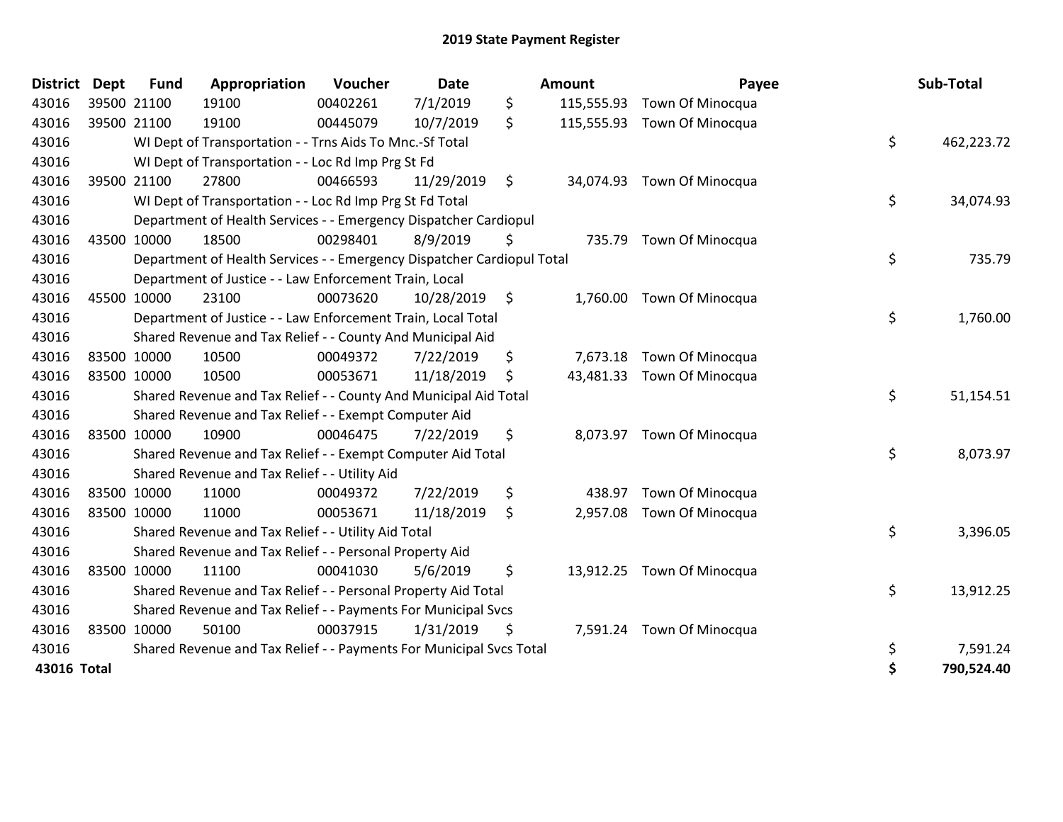| <b>District</b> | <b>Dept</b> | <b>Fund</b> | Appropriation                                                          | Voucher  | Date       |      | <b>Amount</b> | Payee                      | Sub-Total        |
|-----------------|-------------|-------------|------------------------------------------------------------------------|----------|------------|------|---------------|----------------------------|------------------|
| 43016           | 39500 21100 |             | 19100                                                                  | 00402261 | 7/1/2019   | \$   | 115,555.93    | Town Of Minocqua           |                  |
| 43016           |             | 39500 21100 | 19100                                                                  | 00445079 | 10/7/2019  | \$   | 115,555.93    | <b>Town Of Minocqua</b>    |                  |
| 43016           |             |             | WI Dept of Transportation - - Trns Aids To Mnc.-Sf Total               |          |            |      |               |                            | \$<br>462,223.72 |
| 43016           |             |             | WI Dept of Transportation - - Loc Rd Imp Prg St Fd                     |          |            |      |               |                            |                  |
| 43016           |             | 39500 21100 | 27800                                                                  | 00466593 | 11/29/2019 | \$   |               | 34,074.93 Town Of Minocqua |                  |
| 43016           |             |             | WI Dept of Transportation - - Loc Rd Imp Prg St Fd Total               |          |            |      |               |                            | \$<br>34,074.93  |
| 43016           |             |             | Department of Health Services - - Emergency Dispatcher Cardiopul       |          |            |      |               |                            |                  |
| 43016           |             | 43500 10000 | 18500                                                                  | 00298401 | 8/9/2019   | \$   | 735.79        | Town Of Minocqua           |                  |
| 43016           |             |             | Department of Health Services - - Emergency Dispatcher Cardiopul Total |          |            |      |               |                            | \$<br>735.79     |
| 43016           |             |             | Department of Justice - - Law Enforcement Train, Local                 |          |            |      |               |                            |                  |
| 43016           |             | 45500 10000 | 23100                                                                  | 00073620 | 10/28/2019 | - \$ |               | 1,760.00 Town Of Minocqua  |                  |
| 43016           |             |             | Department of Justice - - Law Enforcement Train, Local Total           |          |            |      |               |                            | \$<br>1,760.00   |
| 43016           |             |             | Shared Revenue and Tax Relief - - County And Municipal Aid             |          |            |      |               |                            |                  |
| 43016           |             | 83500 10000 | 10500                                                                  | 00049372 | 7/22/2019  | \$   | 7,673.18      | Town Of Minocqua           |                  |
| 43016           |             | 83500 10000 | 10500                                                                  | 00053671 | 11/18/2019 | \$   | 43,481.33     | <b>Town Of Minocqua</b>    |                  |
| 43016           |             |             | Shared Revenue and Tax Relief - - County And Municipal Aid Total       |          |            |      |               |                            | \$<br>51,154.51  |
| 43016           |             |             | Shared Revenue and Tax Relief - - Exempt Computer Aid                  |          |            |      |               |                            |                  |
| 43016           |             | 83500 10000 | 10900                                                                  | 00046475 | 7/22/2019  | \$   |               | 8,073.97 Town Of Minocqua  |                  |
| 43016           |             |             | Shared Revenue and Tax Relief - - Exempt Computer Aid Total            |          |            |      |               |                            | \$<br>8,073.97   |
| 43016           |             |             | Shared Revenue and Tax Relief - - Utility Aid                          |          |            |      |               |                            |                  |
| 43016           |             | 83500 10000 | 11000                                                                  | 00049372 | 7/22/2019  | \$   | 438.97        | Town Of Minocqua           |                  |
| 43016           |             | 83500 10000 | 11000                                                                  | 00053671 | 11/18/2019 | \$   | 2,957.08      | Town Of Minocqua           |                  |
| 43016           |             |             | Shared Revenue and Tax Relief - - Utility Aid Total                    |          |            |      |               |                            | \$<br>3,396.05   |
| 43016           |             |             | Shared Revenue and Tax Relief - - Personal Property Aid                |          |            |      |               |                            |                  |
| 43016           |             | 83500 10000 | 11100                                                                  | 00041030 | 5/6/2019   | \$   |               | 13,912.25 Town Of Minocqua |                  |
| 43016           |             |             | Shared Revenue and Tax Relief - - Personal Property Aid Total          |          |            |      |               |                            | \$<br>13,912.25  |
| 43016           |             |             | Shared Revenue and Tax Relief - - Payments For Municipal Svcs          |          |            |      |               |                            |                  |
| 43016           |             | 83500 10000 | 50100                                                                  | 00037915 | 1/31/2019  | \$   |               | 7,591.24 Town Of Minocqua  |                  |
| 43016           |             |             | Shared Revenue and Tax Relief - - Payments For Municipal Svcs Total    |          |            |      |               |                            | \$<br>7,591.24   |
| 43016 Total     |             |             |                                                                        |          |            |      |               |                            | \$<br>790,524.40 |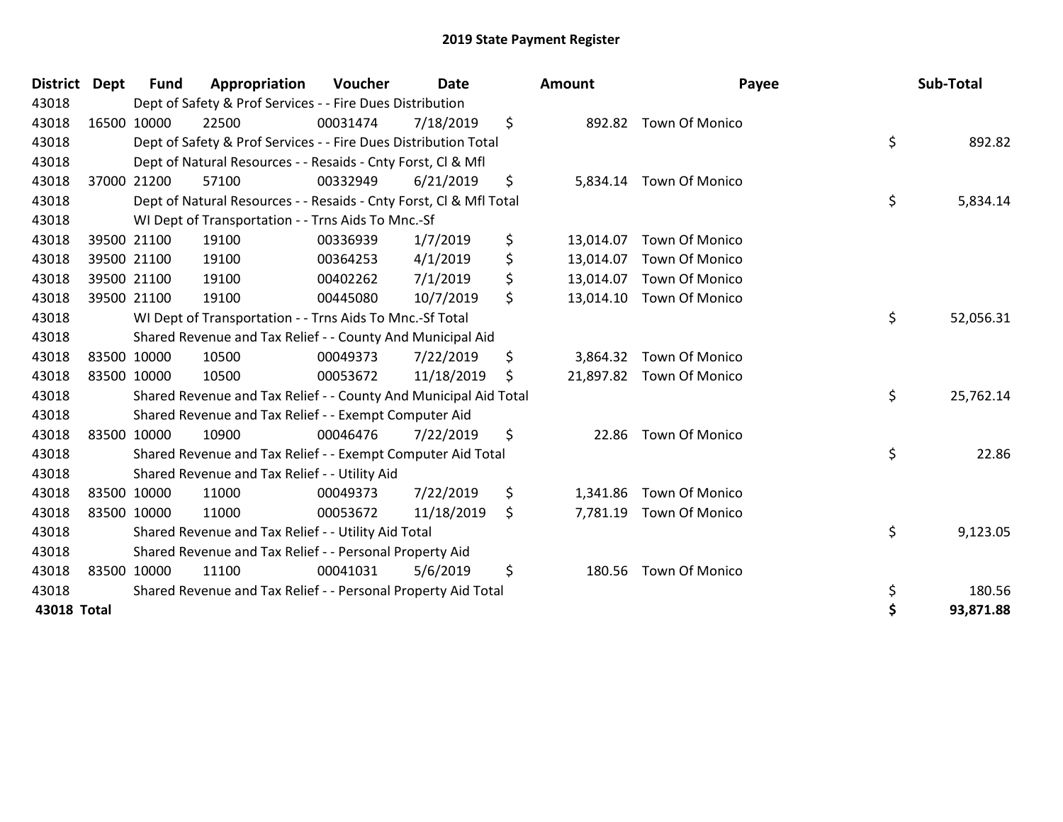| <b>District</b> | <b>Dept</b> | <b>Fund</b> | Appropriation                                                      | <b>Voucher</b> | <b>Date</b> | <b>Amount</b>   | Payee                    | Sub-Total       |
|-----------------|-------------|-------------|--------------------------------------------------------------------|----------------|-------------|-----------------|--------------------------|-----------------|
| 43018           |             |             | Dept of Safety & Prof Services - - Fire Dues Distribution          |                |             |                 |                          |                 |
| 43018           |             | 16500 10000 | 22500                                                              | 00031474       | 7/18/2019   | \$              | 892.82 Town Of Monico    |                 |
| 43018           |             |             | Dept of Safety & Prof Services - - Fire Dues Distribution Total    |                |             |                 |                          | \$<br>892.82    |
| 43018           |             |             | Dept of Natural Resources - - Resaids - Cnty Forst, CI & Mfl       |                |             |                 |                          |                 |
| 43018           |             | 37000 21200 | 57100                                                              | 00332949       | 6/21/2019   | \$<br>5,834.14  | Town Of Monico           |                 |
| 43018           |             |             | Dept of Natural Resources - - Resaids - Cnty Forst, Cl & Mfl Total |                |             |                 |                          | \$<br>5,834.14  |
| 43018           |             |             | WI Dept of Transportation - - Trns Aids To Mnc.-Sf                 |                |             |                 |                          |                 |
| 43018           |             | 39500 21100 | 19100                                                              | 00336939       | 1/7/2019    | \$<br>13,014.07 | Town Of Monico           |                 |
| 43018           |             | 39500 21100 | 19100                                                              | 00364253       | 4/1/2019    | \$<br>13,014.07 | Town Of Monico           |                 |
| 43018           |             | 39500 21100 | 19100                                                              | 00402262       | 7/1/2019    | \$<br>13,014.07 | <b>Town Of Monico</b>    |                 |
| 43018           |             | 39500 21100 | 19100                                                              | 00445080       | 10/7/2019   | \$              | 13,014.10 Town Of Monico |                 |
| 43018           |             |             | WI Dept of Transportation - - Trns Aids To Mnc.-Sf Total           |                |             |                 |                          | \$<br>52,056.31 |
| 43018           |             |             | Shared Revenue and Tax Relief - - County And Municipal Aid         |                |             |                 |                          |                 |
| 43018           |             | 83500 10000 | 10500                                                              | 00049373       | 7/22/2019   | \$<br>3,864.32  | Town Of Monico           |                 |
| 43018           |             | 83500 10000 | 10500                                                              | 00053672       | 11/18/2019  | \$              | 21,897.82 Town Of Monico |                 |
| 43018           |             |             | Shared Revenue and Tax Relief - - County And Municipal Aid Total   |                |             |                 |                          | \$<br>25,762.14 |
| 43018           |             |             | Shared Revenue and Tax Relief - - Exempt Computer Aid              |                |             |                 |                          |                 |
| 43018           |             | 83500 10000 | 10900                                                              | 00046476       | 7/22/2019   | \$              | 22.86 Town Of Monico     |                 |
| 43018           |             |             | Shared Revenue and Tax Relief - - Exempt Computer Aid Total        |                |             |                 |                          | \$<br>22.86     |
| 43018           |             |             | Shared Revenue and Tax Relief - - Utility Aid                      |                |             |                 |                          |                 |
| 43018           |             | 83500 10000 | 11000                                                              | 00049373       | 7/22/2019   | \$<br>1,341.86  | Town Of Monico           |                 |
| 43018           | 83500 10000 |             | 11000                                                              | 00053672       | 11/18/2019  | \$<br>7,781.19  | <b>Town Of Monico</b>    |                 |
| 43018           |             |             | Shared Revenue and Tax Relief - - Utility Aid Total                |                |             |                 |                          | \$<br>9,123.05  |
| 43018           |             |             | Shared Revenue and Tax Relief - - Personal Property Aid            |                |             |                 |                          |                 |
| 43018           |             | 83500 10000 | 11100                                                              | 00041031       | 5/6/2019    | \$<br>180.56    | <b>Town Of Monico</b>    |                 |
| 43018           |             |             | Shared Revenue and Tax Relief - - Personal Property Aid Total      |                |             |                 |                          | \$<br>180.56    |
| 43018 Total     |             |             |                                                                    |                |             |                 |                          | \$<br>93,871.88 |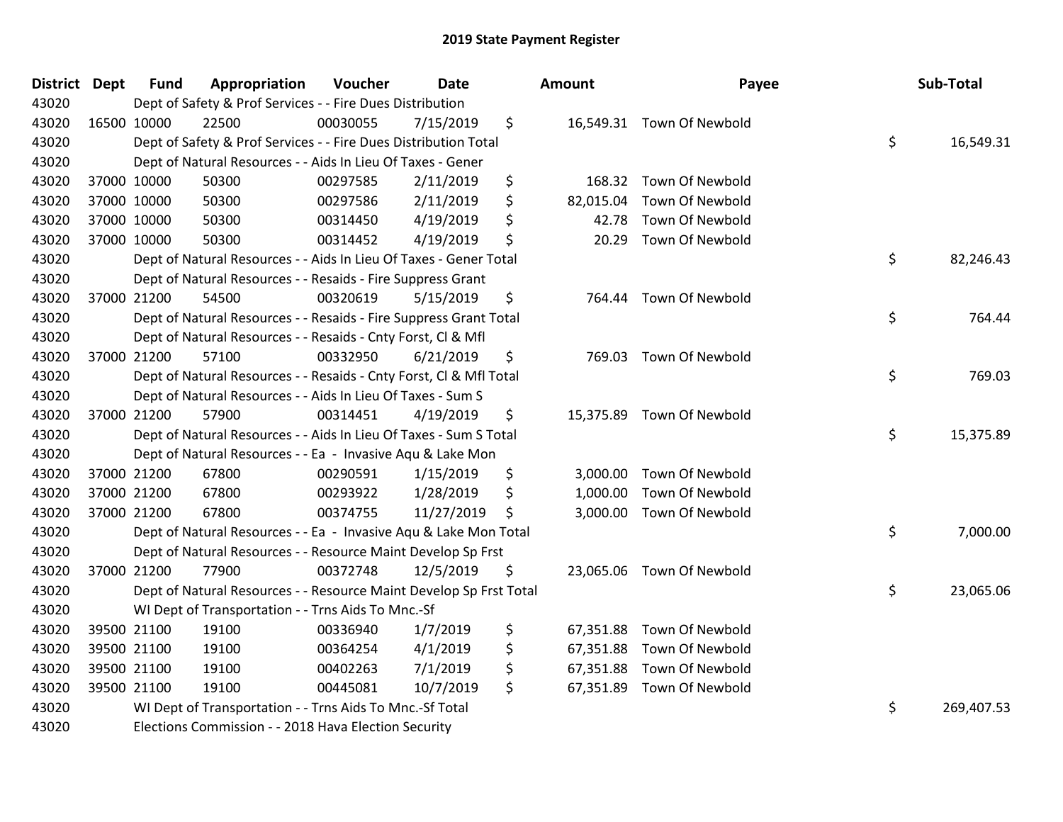| District Dept | <b>Fund</b> | Appropriation                                                      | Voucher  | Date       | Amount          | Payee                     | Sub-Total        |
|---------------|-------------|--------------------------------------------------------------------|----------|------------|-----------------|---------------------------|------------------|
| 43020         |             | Dept of Safety & Prof Services - - Fire Dues Distribution          |          |            |                 |                           |                  |
| 43020         | 16500 10000 | 22500                                                              | 00030055 | 7/15/2019  | \$              | 16,549.31 Town Of Newbold |                  |
| 43020         |             | Dept of Safety & Prof Services - - Fire Dues Distribution Total    |          |            |                 |                           | \$<br>16,549.31  |
| 43020         |             | Dept of Natural Resources - - Aids In Lieu Of Taxes - Gener        |          |            |                 |                           |                  |
| 43020         | 37000 10000 | 50300                                                              | 00297585 | 2/11/2019  | \$<br>168.32    | Town Of Newbold           |                  |
| 43020         | 37000 10000 | 50300                                                              | 00297586 | 2/11/2019  | \$<br>82,015.04 | Town Of Newbold           |                  |
| 43020         | 37000 10000 | 50300                                                              | 00314450 | 4/19/2019  | \$<br>42.78     | Town Of Newbold           |                  |
| 43020         | 37000 10000 | 50300                                                              | 00314452 | 4/19/2019  | \$<br>20.29     | <b>Town Of Newbold</b>    |                  |
| 43020         |             | Dept of Natural Resources - - Aids In Lieu Of Taxes - Gener Total  |          |            |                 |                           | \$<br>82,246.43  |
| 43020         |             | Dept of Natural Resources - - Resaids - Fire Suppress Grant        |          |            |                 |                           |                  |
| 43020         | 37000 21200 | 54500                                                              | 00320619 | 5/15/2019  | \$              | 764.44 Town Of Newbold    |                  |
| 43020         |             | Dept of Natural Resources - - Resaids - Fire Suppress Grant Total  |          |            |                 |                           | \$<br>764.44     |
| 43020         |             | Dept of Natural Resources - - Resaids - Cnty Forst, Cl & Mfl       |          |            |                 |                           |                  |
| 43020         | 37000 21200 | 57100                                                              | 00332950 | 6/21/2019  | \$<br>769.03    | <b>Town Of Newbold</b>    |                  |
| 43020         |             | Dept of Natural Resources - - Resaids - Cnty Forst, Cl & Mfl Total |          |            |                 |                           | \$<br>769.03     |
| 43020         |             | Dept of Natural Resources - - Aids In Lieu Of Taxes - Sum S        |          |            |                 |                           |                  |
| 43020         | 37000 21200 | 57900                                                              | 00314451 | 4/19/2019  | \$              | 15,375.89 Town Of Newbold |                  |
| 43020         |             | Dept of Natural Resources - - Aids In Lieu Of Taxes - Sum S Total  |          |            |                 |                           | \$<br>15,375.89  |
| 43020         |             | Dept of Natural Resources - - Ea - Invasive Aqu & Lake Mon         |          |            |                 |                           |                  |
| 43020         | 37000 21200 | 67800                                                              | 00290591 | 1/15/2019  | \$<br>3,000.00  | <b>Town Of Newbold</b>    |                  |
| 43020         | 37000 21200 | 67800                                                              | 00293922 | 1/28/2019  | \$<br>1,000.00  | Town Of Newbold           |                  |
| 43020         | 37000 21200 | 67800                                                              | 00374755 | 11/27/2019 | \$<br>3,000.00  | <b>Town Of Newbold</b>    |                  |
| 43020         |             | Dept of Natural Resources - - Ea - Invasive Aqu & Lake Mon Total   |          |            |                 |                           | \$<br>7,000.00   |
| 43020         |             | Dept of Natural Resources - - Resource Maint Develop Sp Frst       |          |            |                 |                           |                  |
| 43020         | 37000 21200 | 77900                                                              | 00372748 | 12/5/2019  | \$<br>23,065.06 | Town Of Newbold           |                  |
| 43020         |             | Dept of Natural Resources - - Resource Maint Develop Sp Frst Total |          |            |                 |                           | \$<br>23,065.06  |
| 43020         |             | WI Dept of Transportation - - Trns Aids To Mnc.-Sf                 |          |            |                 |                           |                  |
| 43020         | 39500 21100 | 19100                                                              | 00336940 | 1/7/2019   | \$<br>67,351.88 | Town Of Newbold           |                  |
| 43020         | 39500 21100 | 19100                                                              | 00364254 | 4/1/2019   | \$<br>67,351.88 | <b>Town Of Newbold</b>    |                  |
| 43020         | 39500 21100 | 19100                                                              | 00402263 | 7/1/2019   | \$<br>67,351.88 | Town Of Newbold           |                  |
| 43020         | 39500 21100 | 19100                                                              | 00445081 | 10/7/2019  | \$              | 67,351.89 Town Of Newbold |                  |
| 43020         |             | WI Dept of Transportation - - Trns Aids To Mnc.-Sf Total           |          |            |                 |                           | \$<br>269,407.53 |
| 43020         |             | Elections Commission - - 2018 Hava Election Security               |          |            |                 |                           |                  |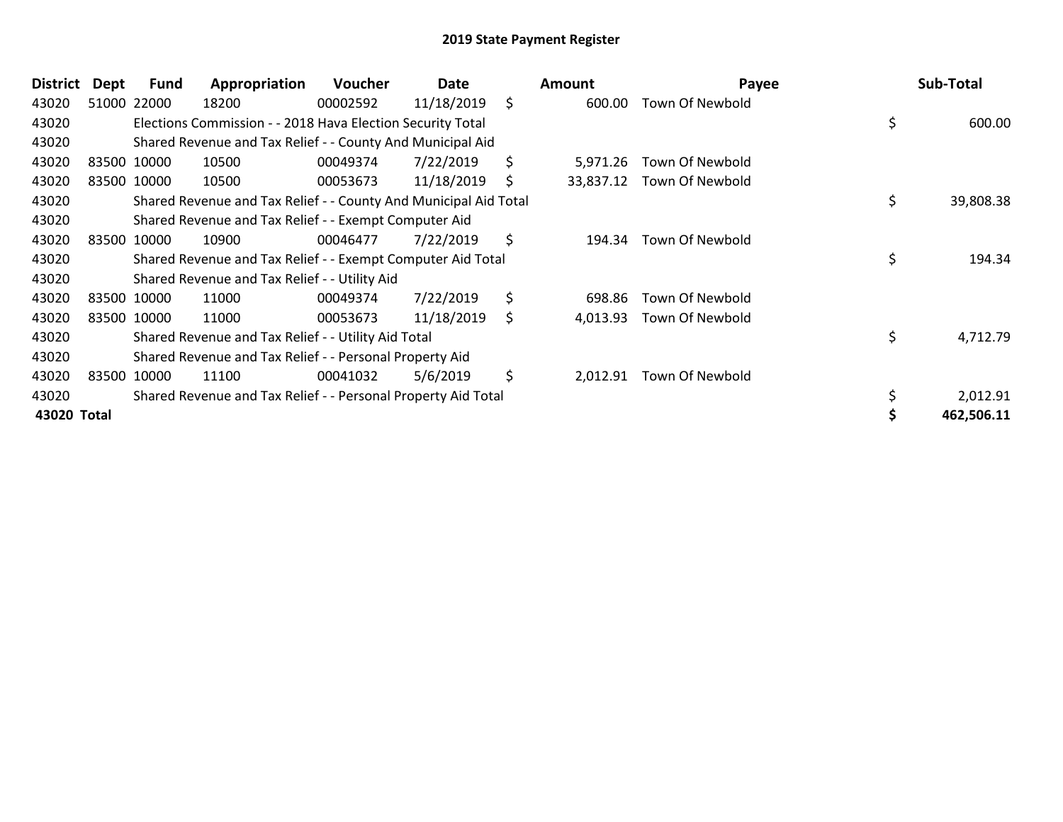| <b>District</b> | Dept | Fund        | Appropriation                                                    | Voucher  | Date       |     | <b>Amount</b> | Payee                     | Sub-Total       |
|-----------------|------|-------------|------------------------------------------------------------------|----------|------------|-----|---------------|---------------------------|-----------------|
| 43020           |      | 51000 22000 | 18200                                                            | 00002592 | 11/18/2019 | \$  | 600.00        | Town Of Newbold           |                 |
| 43020           |      |             | Elections Commission - - 2018 Hava Election Security Total       |          |            |     |               |                           | \$<br>600.00    |
| 43020           |      |             | Shared Revenue and Tax Relief - - County And Municipal Aid       |          |            |     |               |                           |                 |
| 43020           |      | 83500 10000 | 10500                                                            | 00049374 | 7/22/2019  | \$  | 5,971.26      | Town Of Newbold           |                 |
| 43020           |      | 83500 10000 | 10500                                                            | 00053673 | 11/18/2019 | \$  |               | 33,837.12 Town Of Newbold |                 |
| 43020           |      |             | Shared Revenue and Tax Relief - - County And Municipal Aid Total |          |            |     |               |                           | \$<br>39,808.38 |
| 43020           |      |             | Shared Revenue and Tax Relief - - Exempt Computer Aid            |          |            |     |               |                           |                 |
| 43020           |      | 83500 10000 | 10900                                                            | 00046477 | 7/22/2019  | \$  | 194.34        | <b>Town Of Newbold</b>    |                 |
| 43020           |      |             | Shared Revenue and Tax Relief - - Exempt Computer Aid Total      |          |            |     |               |                           | \$<br>194.34    |
| 43020           |      |             | Shared Revenue and Tax Relief - - Utility Aid                    |          |            |     |               |                           |                 |
| 43020           |      | 83500 10000 | 11000                                                            | 00049374 | 7/22/2019  | \$  | 698.86        | Town Of Newbold           |                 |
| 43020           |      | 83500 10000 | 11000                                                            | 00053673 | 11/18/2019 | \$. | 4,013.93      | Town Of Newbold           |                 |
| 43020           |      |             | Shared Revenue and Tax Relief - - Utility Aid Total              |          |            |     |               |                           | \$<br>4,712.79  |
| 43020           |      |             | Shared Revenue and Tax Relief - - Personal Property Aid          |          |            |     |               |                           |                 |
| 43020           |      | 83500 10000 | 11100                                                            | 00041032 | 5/6/2019   | \$  | 2,012.91      | Town Of Newbold           |                 |
| 43020           |      |             | Shared Revenue and Tax Relief - - Personal Property Aid Total    |          |            |     |               |                           | 2,012.91        |
| 43020 Total     |      |             |                                                                  |          |            |     |               |                           | 462,506.11      |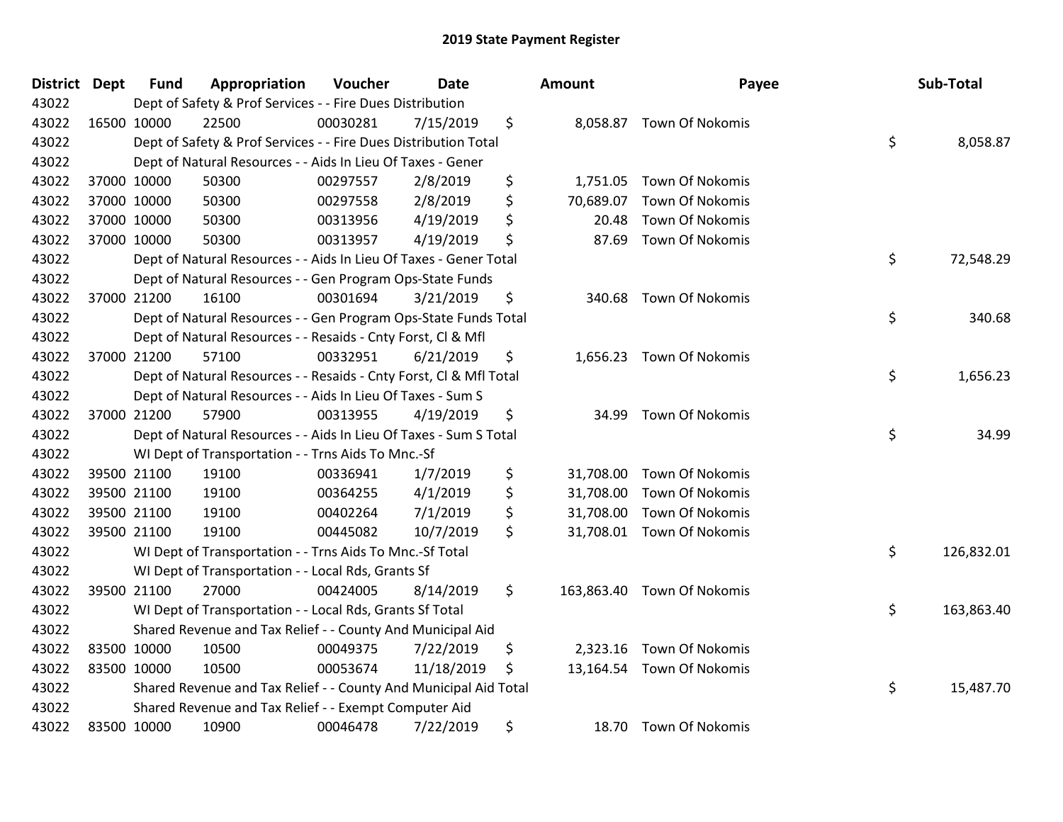| <b>District Dept</b> | <b>Fund</b> | Appropriation                                                      | Voucher  | <b>Date</b> | <b>Amount</b>    | Payee                     | Sub-Total        |
|----------------------|-------------|--------------------------------------------------------------------|----------|-------------|------------------|---------------------------|------------------|
| 43022                |             | Dept of Safety & Prof Services - - Fire Dues Distribution          |          |             |                  |                           |                  |
| 43022                | 16500 10000 | 22500                                                              | 00030281 | 7/15/2019   | \$               | 8,058.87 Town Of Nokomis  |                  |
| 43022                |             | Dept of Safety & Prof Services - - Fire Dues Distribution Total    |          |             |                  |                           | \$<br>8,058.87   |
| 43022                |             | Dept of Natural Resources - - Aids In Lieu Of Taxes - Gener        |          |             |                  |                           |                  |
| 43022                | 37000 10000 | 50300                                                              | 00297557 | 2/8/2019    | \$<br>1,751.05   | Town Of Nokomis           |                  |
| 43022                | 37000 10000 | 50300                                                              | 00297558 | 2/8/2019    | \$<br>70,689.07  | Town Of Nokomis           |                  |
| 43022                | 37000 10000 | 50300                                                              | 00313956 | 4/19/2019   | \$<br>20.48      | <b>Town Of Nokomis</b>    |                  |
| 43022                | 37000 10000 | 50300                                                              | 00313957 | 4/19/2019   | \$<br>87.69      | <b>Town Of Nokomis</b>    |                  |
| 43022                |             | Dept of Natural Resources - - Aids In Lieu Of Taxes - Gener Total  |          |             |                  |                           | \$<br>72,548.29  |
| 43022                |             | Dept of Natural Resources - - Gen Program Ops-State Funds          |          |             |                  |                           |                  |
| 43022                | 37000 21200 | 16100                                                              | 00301694 | 3/21/2019   | \$<br>340.68     | <b>Town Of Nokomis</b>    |                  |
| 43022                |             | Dept of Natural Resources - - Gen Program Ops-State Funds Total    |          |             |                  |                           | \$<br>340.68     |
| 43022                |             | Dept of Natural Resources - - Resaids - Cnty Forst, Cl & Mfl       |          |             |                  |                           |                  |
| 43022                | 37000 21200 | 57100                                                              | 00332951 | 6/21/2019   | \$               | 1,656.23 Town Of Nokomis  |                  |
| 43022                |             | Dept of Natural Resources - - Resaids - Cnty Forst, Cl & Mfl Total |          |             |                  |                           | \$<br>1,656.23   |
| 43022                |             | Dept of Natural Resources - - Aids In Lieu Of Taxes - Sum S        |          |             |                  |                           |                  |
| 43022                | 37000 21200 | 57900                                                              | 00313955 | 4/19/2019   | \$<br>34.99      | Town Of Nokomis           |                  |
| 43022                |             | Dept of Natural Resources - - Aids In Lieu Of Taxes - Sum S Total  |          |             |                  |                           | \$<br>34.99      |
| 43022                |             | WI Dept of Transportation - - Trns Aids To Mnc.-Sf                 |          |             |                  |                           |                  |
| 43022                | 39500 21100 | 19100                                                              | 00336941 | 1/7/2019    | \$<br>31,708.00  | Town Of Nokomis           |                  |
| 43022                | 39500 21100 | 19100                                                              | 00364255 | 4/1/2019    | \$<br>31,708.00  | <b>Town Of Nokomis</b>    |                  |
| 43022                | 39500 21100 | 19100                                                              | 00402264 | 7/1/2019    | \$<br>31,708.00  | <b>Town Of Nokomis</b>    |                  |
| 43022                | 39500 21100 | 19100                                                              | 00445082 | 10/7/2019   | \$               | 31,708.01 Town Of Nokomis |                  |
| 43022                |             | WI Dept of Transportation - - Trns Aids To Mnc.-Sf Total           |          |             |                  |                           | \$<br>126,832.01 |
| 43022                |             | WI Dept of Transportation - - Local Rds, Grants Sf                 |          |             |                  |                           |                  |
| 43022                | 39500 21100 | 27000                                                              | 00424005 | 8/14/2019   | \$<br>163,863.40 | Town Of Nokomis           |                  |
| 43022                |             | WI Dept of Transportation - - Local Rds, Grants Sf Total           |          |             |                  |                           | \$<br>163,863.40 |
| 43022                |             | Shared Revenue and Tax Relief - - County And Municipal Aid         |          |             |                  |                           |                  |
| 43022                | 83500 10000 | 10500                                                              | 00049375 | 7/22/2019   | \$               | 2,323.16 Town Of Nokomis  |                  |
| 43022                | 83500 10000 | 10500                                                              | 00053674 | 11/18/2019  | \$               | 13,164.54 Town Of Nokomis |                  |
| 43022                |             | Shared Revenue and Tax Relief - - County And Municipal Aid Total   |          |             |                  |                           | \$<br>15,487.70  |
| 43022                |             | Shared Revenue and Tax Relief - - Exempt Computer Aid              |          |             |                  |                           |                  |
| 43022                | 83500 10000 | 10900                                                              | 00046478 | 7/22/2019   | \$               | 18.70 Town Of Nokomis     |                  |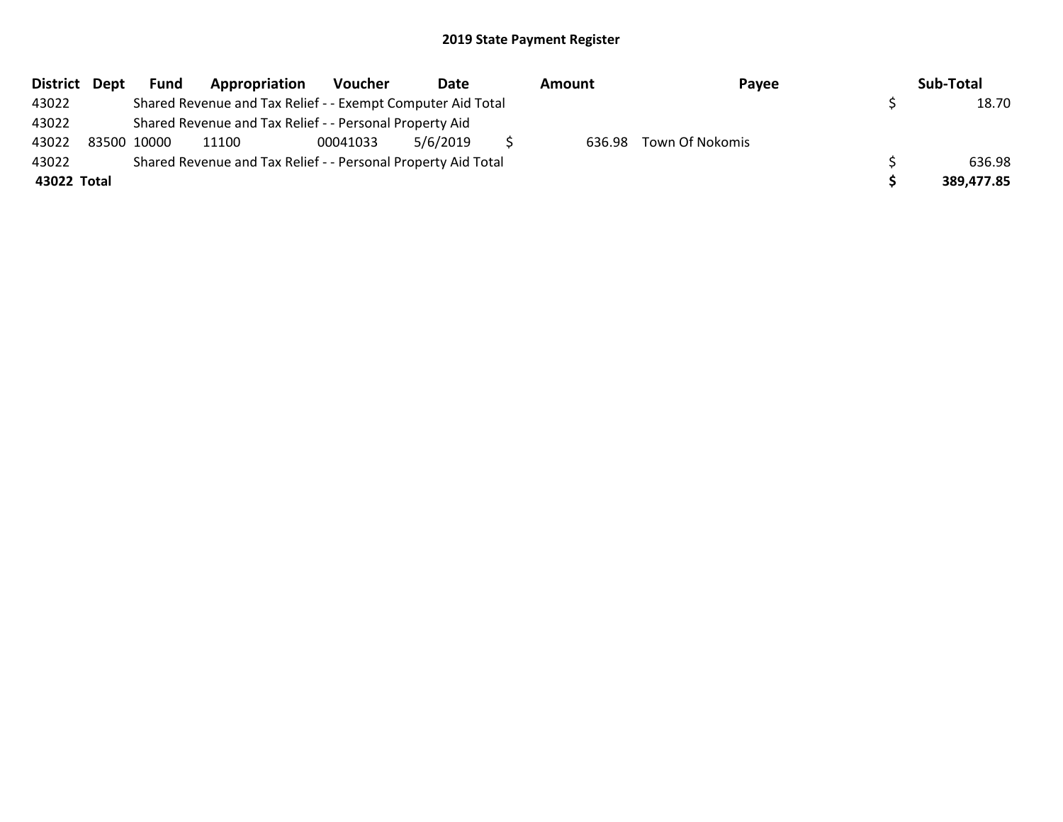| District Dept | <b>Fund</b> | Appropriation                                                 | Voucher  | Date     | Amount | Payee                  | Sub-Total  |
|---------------|-------------|---------------------------------------------------------------|----------|----------|--------|------------------------|------------|
| 43022         |             | Shared Revenue and Tax Relief - - Exempt Computer Aid Total   |          |          |        |                        | 18.70      |
| 43022         |             | Shared Revenue and Tax Relief - - Personal Property Aid       |          |          |        |                        |            |
| 43022         | 83500 10000 | 11100                                                         | 00041033 | 5/6/2019 |        | 636.98 Town Of Nokomis |            |
| 43022         |             | Shared Revenue and Tax Relief - - Personal Property Aid Total |          |          |        |                        | 636.98     |
| 43022 Total   |             |                                                               |          |          |        |                        | 389.477.85 |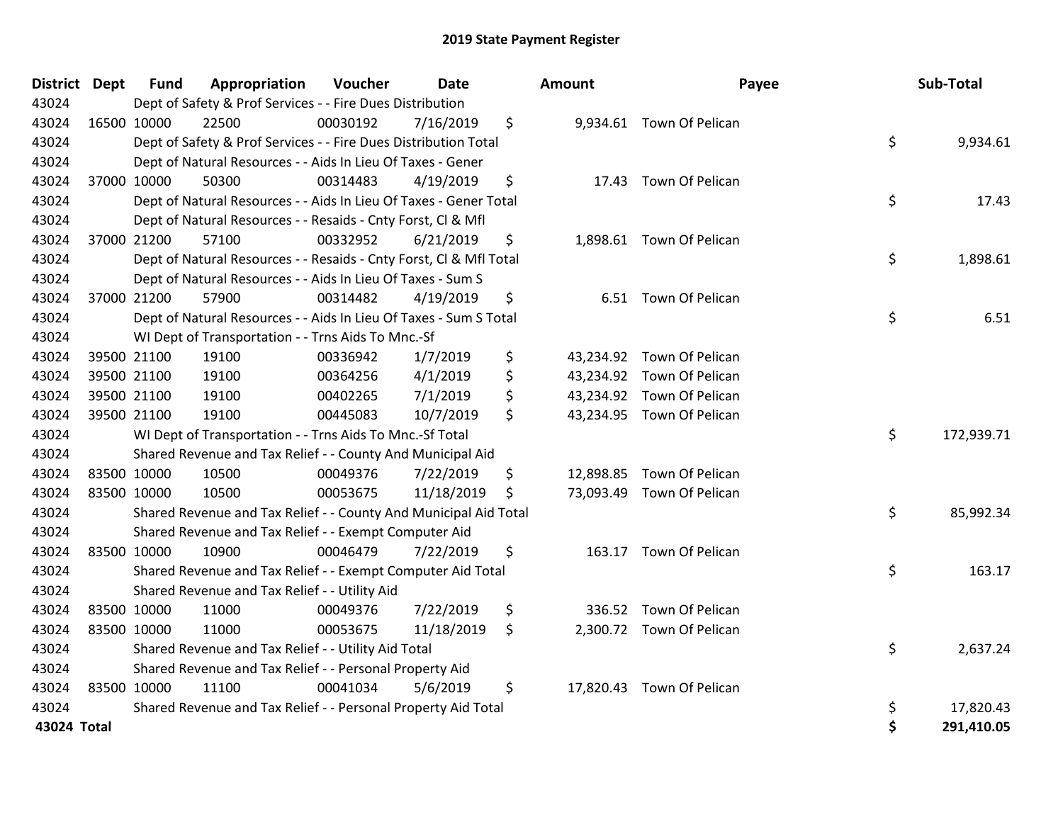| <b>District Dept</b> |             | <b>Fund</b> | Appropriation                                                      | Voucher  | <b>Date</b> |     | Amount | Payee                     |    | Sub-Total  |
|----------------------|-------------|-------------|--------------------------------------------------------------------|----------|-------------|-----|--------|---------------------------|----|------------|
| 43024                |             |             | Dept of Safety & Prof Services - - Fire Dues Distribution          |          |             |     |        |                           |    |            |
| 43024                |             | 16500 10000 | 22500                                                              | 00030192 | 7/16/2019   | \$  |        | 9,934.61 Town Of Pelican  |    |            |
| 43024                |             |             | Dept of Safety & Prof Services - - Fire Dues Distribution Total    |          |             |     |        |                           | \$ | 9,934.61   |
| 43024                |             |             | Dept of Natural Resources - - Aids In Lieu Of Taxes - Gener        |          |             |     |        |                           |    |            |
| 43024                |             | 37000 10000 | 50300                                                              | 00314483 | 4/19/2019   | \$  |        | 17.43 Town Of Pelican     |    |            |
| 43024                |             |             | Dept of Natural Resources - - Aids In Lieu Of Taxes - Gener Total  |          |             |     |        |                           | \$ | 17.43      |
| 43024                |             |             | Dept of Natural Resources - - Resaids - Cnty Forst, Cl & Mfl       |          |             |     |        |                           |    |            |
| 43024                |             | 37000 21200 | 57100                                                              | 00332952 | 6/21/2019   | \$  |        | 1,898.61 Town Of Pelican  |    |            |
| 43024                |             |             | Dept of Natural Resources - - Resaids - Cnty Forst, CI & Mfl Total |          |             |     |        |                           | \$ | 1,898.61   |
| 43024                |             |             | Dept of Natural Resources - - Aids In Lieu Of Taxes - Sum S        |          |             |     |        |                           |    |            |
| 43024                |             | 37000 21200 | 57900                                                              | 00314482 | 4/19/2019   | \$  |        | 6.51 Town Of Pelican      |    |            |
| 43024                |             |             | Dept of Natural Resources - - Aids In Lieu Of Taxes - Sum S Total  |          |             |     |        |                           | \$ | 6.51       |
| 43024                |             |             | WI Dept of Transportation - - Trns Aids To Mnc.-Sf                 |          |             |     |        |                           |    |            |
| 43024                |             | 39500 21100 | 19100                                                              | 00336942 | 1/7/2019    | \$  |        | 43,234.92 Town Of Pelican |    |            |
| 43024                |             | 39500 21100 | 19100                                                              | 00364256 | 4/1/2019    | \$  |        | 43,234.92 Town Of Pelican |    |            |
| 43024                |             | 39500 21100 | 19100                                                              | 00402265 | 7/1/2019    | \$  |        | 43,234.92 Town Of Pelican |    |            |
| 43024                |             | 39500 21100 | 19100                                                              | 00445083 | 10/7/2019   | \$  |        | 43,234.95 Town Of Pelican |    |            |
| 43024                |             |             | WI Dept of Transportation - - Trns Aids To Mnc.-Sf Total           |          |             |     |        |                           | \$ | 172,939.71 |
| 43024                |             |             | Shared Revenue and Tax Relief - - County And Municipal Aid         |          |             |     |        |                           |    |            |
| 43024                |             | 83500 10000 | 10500                                                              | 00049376 | 7/22/2019   | \$  |        | 12,898.85 Town Of Pelican |    |            |
| 43024                |             | 83500 10000 | 10500                                                              | 00053675 | 11/18/2019  | \$  |        | 73,093.49 Town Of Pelican |    |            |
| 43024                |             |             | Shared Revenue and Tax Relief - - County And Municipal Aid Total   |          |             |     |        |                           | \$ | 85,992.34  |
| 43024                |             |             | Shared Revenue and Tax Relief - - Exempt Computer Aid              |          |             |     |        |                           |    |            |
| 43024                |             | 83500 10000 | 10900                                                              | 00046479 | 7/22/2019   | \$  |        | 163.17 Town Of Pelican    |    |            |
| 43024                |             |             | Shared Revenue and Tax Relief - - Exempt Computer Aid Total        |          |             |     |        |                           | \$ | 163.17     |
| 43024                |             |             | Shared Revenue and Tax Relief - - Utility Aid                      |          |             |     |        |                           |    |            |
| 43024                |             | 83500 10000 | 11000                                                              | 00049376 | 7/22/2019   | \$  |        | 336.52 Town Of Pelican    |    |            |
| 43024                | 83500 10000 |             | 11000                                                              | 00053675 | 11/18/2019  | \$. |        | 2,300.72 Town Of Pelican  |    |            |
| 43024                |             |             | Shared Revenue and Tax Relief - - Utility Aid Total                |          |             |     |        |                           | \$ | 2,637.24   |
| 43024                |             |             | Shared Revenue and Tax Relief - - Personal Property Aid            |          |             |     |        |                           |    |            |
| 43024                | 83500 10000 |             | 11100                                                              | 00041034 | 5/6/2019    | \$  |        | 17,820.43 Town Of Pelican |    |            |
| 43024                |             |             | Shared Revenue and Tax Relief - - Personal Property Aid Total      |          |             |     |        |                           | \$ | 17,820.43  |
| 43024 Total          |             |             |                                                                    |          |             |     |        |                           | Ś  | 291,410.05 |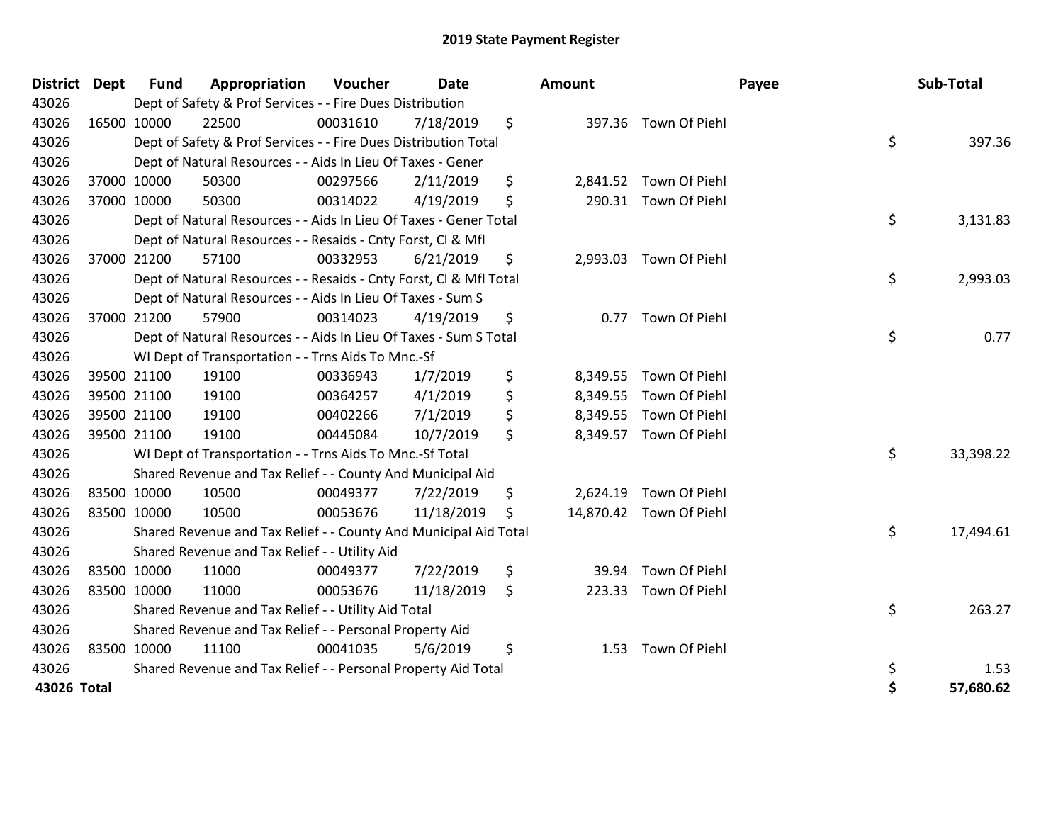| <b>District</b> | Dept        | <b>Fund</b> | Appropriation                                                      | Voucher  | Date       | Amount         |                         | Payee | Sub-Total |
|-----------------|-------------|-------------|--------------------------------------------------------------------|----------|------------|----------------|-------------------------|-------|-----------|
| 43026           |             |             | Dept of Safety & Prof Services - - Fire Dues Distribution          |          |            |                |                         |       |           |
| 43026           | 16500 10000 |             | 22500                                                              | 00031610 | 7/18/2019  | \$             | 397.36 Town Of Piehl    |       |           |
| 43026           |             |             | Dept of Safety & Prof Services - - Fire Dues Distribution Total    |          |            |                |                         | \$    | 397.36    |
| 43026           |             |             | Dept of Natural Resources - - Aids In Lieu Of Taxes - Gener        |          |            |                |                         |       |           |
| 43026           | 37000 10000 |             | 50300                                                              | 00297566 | 2/11/2019  | \$             | 2,841.52 Town Of Piehl  |       |           |
| 43026           | 37000 10000 |             | 50300                                                              | 00314022 | 4/19/2019  | \$             | 290.31 Town Of Piehl    |       |           |
| 43026           |             |             | Dept of Natural Resources - - Aids In Lieu Of Taxes - Gener Total  |          |            |                |                         | \$    | 3,131.83  |
| 43026           |             |             | Dept of Natural Resources - - Resaids - Cnty Forst, Cl & Mfl       |          |            |                |                         |       |           |
| 43026           | 37000 21200 |             | 57100                                                              | 00332953 | 6/21/2019  | \$<br>2,993.03 | Town Of Piehl           |       |           |
| 43026           |             |             | Dept of Natural Resources - - Resaids - Cnty Forst, Cl & Mfl Total |          |            |                |                         | \$    | 2,993.03  |
| 43026           |             |             | Dept of Natural Resources - - Aids In Lieu Of Taxes - Sum S        |          |            |                |                         |       |           |
| 43026           | 37000 21200 |             | 57900                                                              | 00314023 | 4/19/2019  | \$<br>0.77     | Town Of Piehl           |       |           |
| 43026           |             |             | Dept of Natural Resources - - Aids In Lieu Of Taxes - Sum S Total  |          |            |                |                         | \$    | 0.77      |
| 43026           |             |             | WI Dept of Transportation - - Trns Aids To Mnc.-Sf                 |          |            |                |                         |       |           |
| 43026           | 39500 21100 |             | 19100                                                              | 00336943 | 1/7/2019   | \$<br>8,349.55 | Town Of Piehl           |       |           |
| 43026           | 39500 21100 |             | 19100                                                              | 00364257 | 4/1/2019   | \$<br>8,349.55 | Town Of Piehl           |       |           |
| 43026           | 39500 21100 |             | 19100                                                              | 00402266 | 7/1/2019   | \$<br>8,349.55 | Town Of Piehl           |       |           |
| 43026           | 39500 21100 |             | 19100                                                              | 00445084 | 10/7/2019  | \$             | 8,349.57 Town Of Piehl  |       |           |
| 43026           |             |             | WI Dept of Transportation - - Trns Aids To Mnc.-Sf Total           |          |            |                |                         | \$    | 33,398.22 |
| 43026           |             |             | Shared Revenue and Tax Relief - - County And Municipal Aid         |          |            |                |                         |       |           |
| 43026           |             | 83500 10000 | 10500                                                              | 00049377 | 7/22/2019  | \$<br>2,624.19 | Town Of Piehl           |       |           |
| 43026           | 83500 10000 |             | 10500                                                              | 00053676 | 11/18/2019 | \$             | 14,870.42 Town Of Piehl |       |           |
| 43026           |             |             | Shared Revenue and Tax Relief - - County And Municipal Aid Total   |          |            |                |                         | \$    | 17,494.61 |
| 43026           |             |             | Shared Revenue and Tax Relief - - Utility Aid                      |          |            |                |                         |       |           |
| 43026           |             | 83500 10000 | 11000                                                              | 00049377 | 7/22/2019  | \$<br>39.94    | Town Of Piehl           |       |           |
| 43026           | 83500 10000 |             | 11000                                                              | 00053676 | 11/18/2019 | \$<br>223.33   | Town Of Piehl           |       |           |
| 43026           |             |             | Shared Revenue and Tax Relief - - Utility Aid Total                |          |            |                |                         | \$    | 263.27    |
| 43026           |             |             | Shared Revenue and Tax Relief - - Personal Property Aid            |          |            |                |                         |       |           |
| 43026           | 83500 10000 |             | 11100                                                              | 00041035 | 5/6/2019   | \$<br>1.53     | Town Of Piehl           |       |           |
| 43026           |             |             | Shared Revenue and Tax Relief - - Personal Property Aid Total      |          |            |                |                         | \$    | 1.53      |
| 43026 Total     |             |             |                                                                    |          |            |                |                         | \$    | 57,680.62 |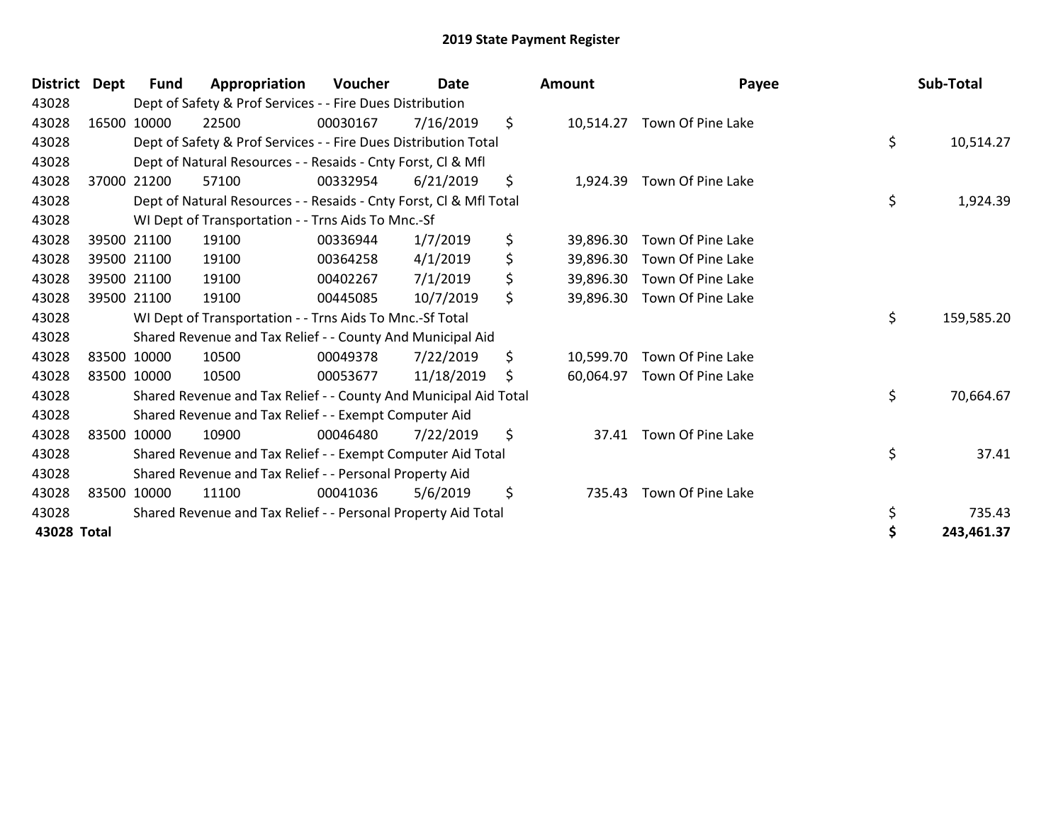| <b>District</b> | Dept        | <b>Fund</b> | Appropriation                                                      | Voucher  | <b>Date</b> |     | <b>Amount</b> | Payee                      | Sub-Total        |
|-----------------|-------------|-------------|--------------------------------------------------------------------|----------|-------------|-----|---------------|----------------------------|------------------|
| 43028           |             |             | Dept of Safety & Prof Services - - Fire Dues Distribution          |          |             |     |               |                            |                  |
| 43028           |             | 16500 10000 | 22500                                                              | 00030167 | 7/16/2019   | \$  | 10,514.27     | Town Of Pine Lake          |                  |
| 43028           |             |             | Dept of Safety & Prof Services - - Fire Dues Distribution Total    |          |             |     |               |                            | \$<br>10,514.27  |
| 43028           |             |             | Dept of Natural Resources - - Resaids - Cnty Forst, CI & Mfl       |          |             |     |               |                            |                  |
| 43028           | 37000 21200 |             | 57100                                                              | 00332954 | 6/21/2019   | \$  |               | 1,924.39 Town Of Pine Lake |                  |
| 43028           |             |             | Dept of Natural Resources - - Resaids - Cnty Forst, CI & Mfl Total |          |             |     |               |                            | \$<br>1,924.39   |
| 43028           |             |             | WI Dept of Transportation - - Trns Aids To Mnc.-Sf                 |          |             |     |               |                            |                  |
| 43028           | 39500 21100 |             | 19100                                                              | 00336944 | 1/7/2019    | \$  | 39,896.30     | Town Of Pine Lake          |                  |
| 43028           |             | 39500 21100 | 19100                                                              | 00364258 | 4/1/2019    | \$  | 39,896.30     | Town Of Pine Lake          |                  |
| 43028           |             | 39500 21100 | 19100                                                              | 00402267 | 7/1/2019    | \$  | 39,896.30     | Town Of Pine Lake          |                  |
| 43028           | 39500 21100 |             | 19100                                                              | 00445085 | 10/7/2019   | \$  | 39,896.30     | Town Of Pine Lake          |                  |
| 43028           |             |             | WI Dept of Transportation - - Trns Aids To Mnc.-Sf Total           |          |             |     |               |                            | \$<br>159,585.20 |
| 43028           |             |             | Shared Revenue and Tax Relief - - County And Municipal Aid         |          |             |     |               |                            |                  |
| 43028           | 83500 10000 |             | 10500                                                              | 00049378 | 7/22/2019   | \$  | 10,599.70     | Town Of Pine Lake          |                  |
| 43028           | 83500 10000 |             | 10500                                                              | 00053677 | 11/18/2019  | \$. | 60,064.97     | Town Of Pine Lake          |                  |
| 43028           |             |             | Shared Revenue and Tax Relief - - County And Municipal Aid Total   |          |             |     |               |                            | \$<br>70,664.67  |
| 43028           |             |             | Shared Revenue and Tax Relief - - Exempt Computer Aid              |          |             |     |               |                            |                  |
| 43028           | 83500 10000 |             | 10900                                                              | 00046480 | 7/22/2019   | \$  | 37.41         | Town Of Pine Lake          |                  |
| 43028           |             |             | Shared Revenue and Tax Relief - - Exempt Computer Aid Total        |          |             |     |               |                            | \$<br>37.41      |
| 43028           |             |             | Shared Revenue and Tax Relief - - Personal Property Aid            |          |             |     |               |                            |                  |
| 43028           | 83500 10000 |             | 11100                                                              | 00041036 | 5/6/2019    | \$  | 735.43        | Town Of Pine Lake          |                  |
| 43028           |             |             | Shared Revenue and Tax Relief - - Personal Property Aid Total      |          |             |     |               |                            | \$<br>735.43     |
| 43028 Total     |             |             |                                                                    |          |             |     |               |                            | \$<br>243,461.37 |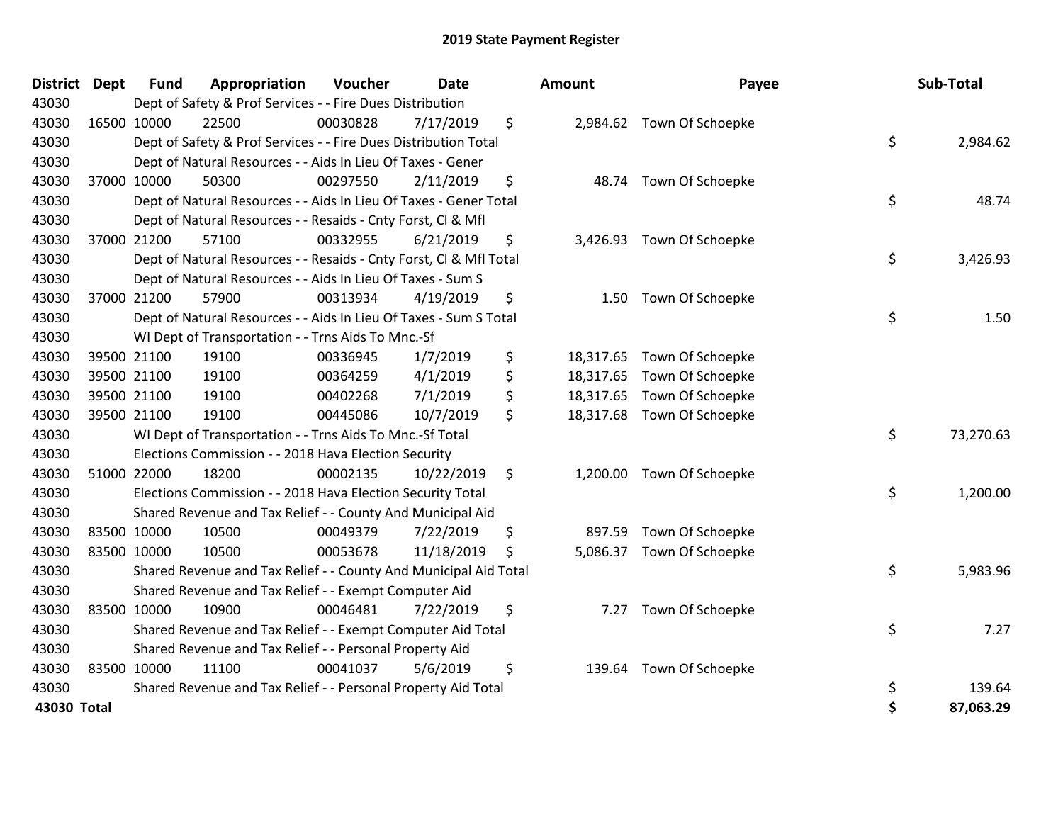| <b>District</b> | Dept | <b>Fund</b> | Appropriation                                                      | Voucher  | <b>Date</b> | Amount          | Payee                      | Sub-Total       |
|-----------------|------|-------------|--------------------------------------------------------------------|----------|-------------|-----------------|----------------------------|-----------------|
| 43030           |      |             | Dept of Safety & Prof Services - - Fire Dues Distribution          |          |             |                 |                            |                 |
| 43030           |      | 16500 10000 | 22500                                                              | 00030828 | 7/17/2019   | \$              | 2,984.62 Town Of Schoepke  |                 |
| 43030           |      |             | Dept of Safety & Prof Services - - Fire Dues Distribution Total    |          |             |                 |                            | \$<br>2,984.62  |
| 43030           |      |             | Dept of Natural Resources - - Aids In Lieu Of Taxes - Gener        |          |             |                 |                            |                 |
| 43030           |      | 37000 10000 | 50300                                                              | 00297550 | 2/11/2019   | \$<br>48.74     | Town Of Schoepke           |                 |
| 43030           |      |             | Dept of Natural Resources - - Aids In Lieu Of Taxes - Gener Total  |          |             |                 |                            | \$<br>48.74     |
| 43030           |      |             | Dept of Natural Resources - - Resaids - Cnty Forst, CI & Mfl       |          |             |                 |                            |                 |
| 43030           |      | 37000 21200 | 57100                                                              | 00332955 | 6/21/2019   | \$              | 3,426.93 Town Of Schoepke  |                 |
| 43030           |      |             | Dept of Natural Resources - - Resaids - Cnty Forst, Cl & Mfl Total |          |             |                 |                            | \$<br>3,426.93  |
| 43030           |      |             | Dept of Natural Resources - - Aids In Lieu Of Taxes - Sum S        |          |             |                 |                            |                 |
| 43030           |      | 37000 21200 | 57900                                                              | 00313934 | 4/19/2019   | \$<br>1.50      | Town Of Schoepke           |                 |
| 43030           |      |             | Dept of Natural Resources - - Aids In Lieu Of Taxes - Sum S Total  |          |             |                 |                            | \$<br>1.50      |
| 43030           |      |             | WI Dept of Transportation - - Trns Aids To Mnc.-Sf                 |          |             |                 |                            |                 |
| 43030           |      | 39500 21100 | 19100                                                              | 00336945 | 1/7/2019    | \$<br>18,317.65 | Town Of Schoepke           |                 |
| 43030           |      | 39500 21100 | 19100                                                              | 00364259 | 4/1/2019    | \$              | 18,317.65 Town Of Schoepke |                 |
| 43030           |      | 39500 21100 | 19100                                                              | 00402268 | 7/1/2019    | \$              | 18,317.65 Town Of Schoepke |                 |
| 43030           |      | 39500 21100 | 19100                                                              | 00445086 | 10/7/2019   | \$              | 18,317.68 Town Of Schoepke |                 |
| 43030           |      |             | WI Dept of Transportation - - Trns Aids To Mnc.-Sf Total           |          |             |                 |                            | \$<br>73,270.63 |
| 43030           |      |             | Elections Commission - - 2018 Hava Election Security               |          |             |                 |                            |                 |
| 43030           |      | 51000 22000 | 18200                                                              | 00002135 | 10/22/2019  | \$              | 1,200.00 Town Of Schoepke  |                 |
| 43030           |      |             | Elections Commission - - 2018 Hava Election Security Total         |          |             |                 |                            | \$<br>1,200.00  |
| 43030           |      |             | Shared Revenue and Tax Relief - - County And Municipal Aid         |          |             |                 |                            |                 |
| 43030           |      | 83500 10000 | 10500                                                              | 00049379 | 7/22/2019   | \$<br>897.59    | Town Of Schoepke           |                 |
| 43030           |      | 83500 10000 | 10500                                                              | 00053678 | 11/18/2019  | \$<br>5,086.37  | Town Of Schoepke           |                 |
| 43030           |      |             | Shared Revenue and Tax Relief - - County And Municipal Aid Total   |          |             |                 |                            | \$<br>5,983.96  |
| 43030           |      |             | Shared Revenue and Tax Relief - - Exempt Computer Aid              |          |             |                 |                            |                 |
| 43030           |      | 83500 10000 | 10900                                                              | 00046481 | 7/22/2019   | \$<br>7.27      | Town Of Schoepke           |                 |
| 43030           |      |             | Shared Revenue and Tax Relief - - Exempt Computer Aid Total        |          |             |                 |                            | \$<br>7.27      |
| 43030           |      |             | Shared Revenue and Tax Relief - - Personal Property Aid            |          |             |                 |                            |                 |
| 43030           |      | 83500 10000 | 11100                                                              | 00041037 | 5/6/2019    | \$<br>139.64    | Town Of Schoepke           |                 |
| 43030           |      |             | Shared Revenue and Tax Relief - - Personal Property Aid Total      |          |             |                 |                            | \$<br>139.64    |
| 43030 Total     |      |             |                                                                    |          |             |                 |                            | \$<br>87.063.29 |

| District Dept | <b>Fund</b> | Appropriation                                                      | Voucher  | Date       |    | <b>Amount</b> | Payee                      | Sub-Total       |
|---------------|-------------|--------------------------------------------------------------------|----------|------------|----|---------------|----------------------------|-----------------|
| 43030         |             | Dept of Safety & Prof Services - - Fire Dues Distribution          |          |            |    |               |                            |                 |
| 43030         | 16500 10000 | 22500                                                              | 00030828 | 7/17/2019  | \$ |               | 2,984.62 Town Of Schoepke  |                 |
| 43030         |             | Dept of Safety & Prof Services - - Fire Dues Distribution Total    |          |            |    |               |                            | \$<br>2,984.62  |
| 43030         |             | Dept of Natural Resources - - Aids In Lieu Of Taxes - Gener        |          |            |    |               |                            |                 |
| 43030         | 37000 10000 | 50300                                                              | 00297550 | 2/11/2019  | \$ |               | 48.74 Town Of Schoepke     |                 |
| 43030         |             | Dept of Natural Resources - - Aids In Lieu Of Taxes - Gener Total  |          |            |    |               |                            | \$<br>48.74     |
| 43030         |             | Dept of Natural Resources - - Resaids - Cnty Forst, Cl & Mfl       |          |            |    |               |                            |                 |
| 43030         | 37000 21200 | 57100                                                              | 00332955 | 6/21/2019  | \$ |               | 3,426.93 Town Of Schoepke  |                 |
| 43030         |             | Dept of Natural Resources - - Resaids - Cnty Forst, CI & Mfl Total |          |            |    |               |                            | \$<br>3,426.93  |
| 43030         |             | Dept of Natural Resources - - Aids In Lieu Of Taxes - Sum S        |          |            |    |               |                            |                 |
| 43030         | 37000 21200 | 57900                                                              | 00313934 | 4/19/2019  | \$ |               | 1.50 Town Of Schoepke      |                 |
| 43030         |             | Dept of Natural Resources - - Aids In Lieu Of Taxes - Sum S Total  |          |            |    |               |                            | \$<br>1.50      |
| 43030         |             | WI Dept of Transportation - - Trns Aids To Mnc.-Sf                 |          |            |    |               |                            |                 |
| 43030         | 39500 21100 | 19100                                                              | 00336945 | 1/7/2019   | \$ |               | 18,317.65 Town Of Schoepke |                 |
| 43030         | 39500 21100 | 19100                                                              | 00364259 | 4/1/2019   | \$ |               | 18,317.65 Town Of Schoepke |                 |
| 43030         | 39500 21100 | 19100                                                              | 00402268 | 7/1/2019   | \$ |               | 18,317.65 Town Of Schoepke |                 |
| 43030         | 39500 21100 | 19100                                                              | 00445086 | 10/7/2019  | \$ |               | 18,317.68 Town Of Schoepke |                 |
| 43030         |             | WI Dept of Transportation - - Trns Aids To Mnc.-Sf Total           |          |            |    |               |                            | \$<br>73,270.63 |
| 43030         |             | Elections Commission - - 2018 Hava Election Security               |          |            |    |               |                            |                 |
| 43030         | 51000 22000 | 18200                                                              | 00002135 | 10/22/2019 | \$ |               | 1,200.00 Town Of Schoepke  |                 |
| 43030         |             | Elections Commission - - 2018 Hava Election Security Total         |          |            |    |               |                            | \$<br>1,200.00  |
| 43030         |             | Shared Revenue and Tax Relief - - County And Municipal Aid         |          |            |    |               |                            |                 |
| 43030         | 83500 10000 | 10500                                                              | 00049379 | 7/22/2019  | \$ | 897.59        | Town Of Schoepke           |                 |
| 43030         | 83500 10000 | 10500                                                              | 00053678 | 11/18/2019 | Ŝ  | 5,086.37      | Town Of Schoepke           |                 |
| 43030         |             | Shared Revenue and Tax Relief - - County And Municipal Aid Total   |          |            |    |               |                            | \$<br>5,983.96  |
| 43030         |             | Shared Revenue and Tax Relief - - Exempt Computer Aid              |          |            |    |               |                            |                 |
| 43030         | 83500 10000 | 10900                                                              | 00046481 | 7/22/2019  | \$ |               | 7.27 Town Of Schoepke      |                 |
| 43030         |             | Shared Revenue and Tax Relief - - Exempt Computer Aid Total        |          |            |    |               |                            | \$<br>7.27      |
| 43030         |             | Shared Revenue and Tax Relief - - Personal Property Aid            |          |            |    |               |                            |                 |
| 43030         | 83500 10000 | 11100                                                              | 00041037 | 5/6/2019   | \$ | 139.64        | Town Of Schoepke           |                 |
| 43030         |             | Shared Revenue and Tax Relief - - Personal Property Aid Total      |          |            |    |               |                            | \$<br>139.64    |
| 43030 Total   |             |                                                                    |          |            |    |               |                            | \$<br>87,063.29 |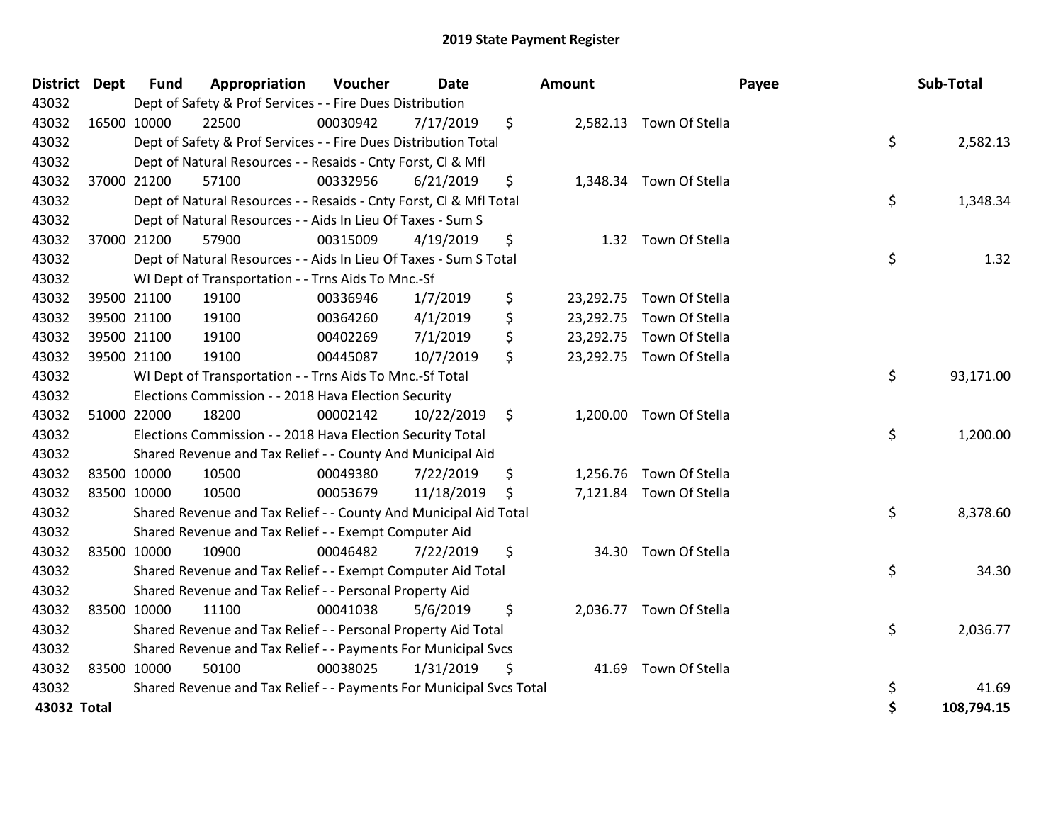| <b>District</b> | <b>Dept</b> | <b>Fund</b> | Appropriation                                                       | Voucher  | <b>Date</b> | Amount |                          | Payee | Sub-Total  |
|-----------------|-------------|-------------|---------------------------------------------------------------------|----------|-------------|--------|--------------------------|-------|------------|
| 43032           |             |             | Dept of Safety & Prof Services - - Fire Dues Distribution           |          |             |        |                          |       |            |
| 43032           |             | 16500 10000 | 22500                                                               | 00030942 | 7/17/2019   | \$     | 2,582.13 Town Of Stella  |       |            |
| 43032           |             |             | Dept of Safety & Prof Services - - Fire Dues Distribution Total     |          |             |        |                          | \$    | 2,582.13   |
| 43032           |             |             | Dept of Natural Resources - - Resaids - Cnty Forst, Cl & Mfl        |          |             |        |                          |       |            |
| 43032           |             | 37000 21200 | 57100                                                               | 00332956 | 6/21/2019   | \$     | 1,348.34 Town Of Stella  |       |            |
| 43032           |             |             | Dept of Natural Resources - - Resaids - Cnty Forst, CI & Mfl Total  |          |             |        |                          | \$    | 1,348.34   |
| 43032           |             |             | Dept of Natural Resources - - Aids In Lieu Of Taxes - Sum S         |          |             |        |                          |       |            |
| 43032           |             | 37000 21200 | 57900                                                               | 00315009 | 4/19/2019   | \$     | 1.32 Town Of Stella      |       |            |
| 43032           |             |             | Dept of Natural Resources - - Aids In Lieu Of Taxes - Sum S Total   |          |             |        |                          | \$    | 1.32       |
| 43032           |             |             | WI Dept of Transportation - - Trns Aids To Mnc.-Sf                  |          |             |        |                          |       |            |
| 43032           |             | 39500 21100 | 19100                                                               | 00336946 | 1/7/2019    | \$     | 23,292.75 Town Of Stella |       |            |
| 43032           |             | 39500 21100 | 19100                                                               | 00364260 | 4/1/2019    | \$     | 23,292.75 Town Of Stella |       |            |
| 43032           |             | 39500 21100 | 19100                                                               | 00402269 | 7/1/2019    | \$     | 23,292.75 Town Of Stella |       |            |
| 43032           |             | 39500 21100 | 19100                                                               | 00445087 | 10/7/2019   | \$     | 23,292.75 Town Of Stella |       |            |
| 43032           |             |             | WI Dept of Transportation - - Trns Aids To Mnc.-Sf Total            |          |             |        |                          | \$    | 93,171.00  |
| 43032           |             |             | Elections Commission - - 2018 Hava Election Security                |          |             |        |                          |       |            |
| 43032           |             | 51000 22000 | 18200                                                               | 00002142 | 10/22/2019  | \$     | 1,200.00 Town Of Stella  |       |            |
| 43032           |             |             | Elections Commission - - 2018 Hava Election Security Total          |          |             |        |                          | \$    | 1,200.00   |
| 43032           |             |             | Shared Revenue and Tax Relief - - County And Municipal Aid          |          |             |        |                          |       |            |
| 43032           |             | 83500 10000 | 10500                                                               | 00049380 | 7/22/2019   | \$     | 1,256.76 Town Of Stella  |       |            |
| 43032           |             | 83500 10000 | 10500                                                               | 00053679 | 11/18/2019  | \$     | 7,121.84 Town Of Stella  |       |            |
| 43032           |             |             | Shared Revenue and Tax Relief - - County And Municipal Aid Total    |          |             |        |                          | \$    | 8,378.60   |
| 43032           |             |             | Shared Revenue and Tax Relief - - Exempt Computer Aid               |          |             |        |                          |       |            |
| 43032           |             | 83500 10000 | 10900                                                               | 00046482 | 7/22/2019   | \$     | 34.30 Town Of Stella     |       |            |
| 43032           |             |             | Shared Revenue and Tax Relief - - Exempt Computer Aid Total         |          |             |        |                          | \$    | 34.30      |
| 43032           |             |             | Shared Revenue and Tax Relief - - Personal Property Aid             |          |             |        |                          |       |            |
| 43032           |             | 83500 10000 | 11100                                                               | 00041038 | 5/6/2019    | \$     | 2,036.77 Town Of Stella  |       |            |
| 43032           |             |             | Shared Revenue and Tax Relief - - Personal Property Aid Total       |          |             |        |                          | \$    | 2,036.77   |
| 43032           |             |             | Shared Revenue and Tax Relief - - Payments For Municipal Svcs       |          |             |        |                          |       |            |
| 43032           |             | 83500 10000 | 50100                                                               | 00038025 | 1/31/2019   | \$     | 41.69 Town Of Stella     |       |            |
| 43032           |             |             | Shared Revenue and Tax Relief - - Payments For Municipal Svcs Total |          |             |        |                          | \$    | 41.69      |
| 43032 Total     |             |             |                                                                     |          |             |        |                          | \$    | 108,794.15 |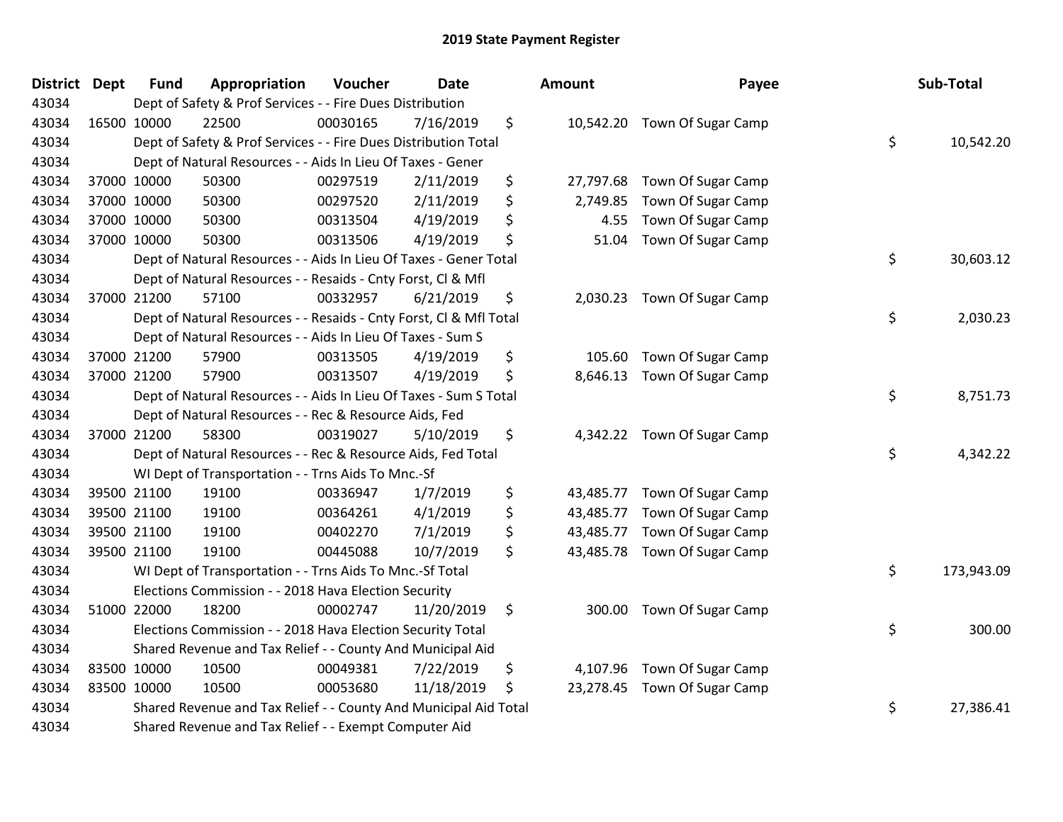| <b>District Dept</b> | <b>Fund</b> | Appropriation                                                      | Voucher  | <b>Date</b> | <b>Amount</b>   | Payee                        | Sub-Total        |
|----------------------|-------------|--------------------------------------------------------------------|----------|-------------|-----------------|------------------------------|------------------|
| 43034                |             | Dept of Safety & Prof Services - - Fire Dues Distribution          |          |             |                 |                              |                  |
| 43034                | 16500 10000 | 22500                                                              | 00030165 | 7/16/2019   | \$              | 10,542.20 Town Of Sugar Camp |                  |
| 43034                |             | Dept of Safety & Prof Services - - Fire Dues Distribution Total    |          |             |                 |                              | \$<br>10,542.20  |
| 43034                |             | Dept of Natural Resources - - Aids In Lieu Of Taxes - Gener        |          |             |                 |                              |                  |
| 43034                | 37000 10000 | 50300                                                              | 00297519 | 2/11/2019   | \$<br>27,797.68 | Town Of Sugar Camp           |                  |
| 43034                | 37000 10000 | 50300                                                              | 00297520 | 2/11/2019   | \$<br>2,749.85  | Town Of Sugar Camp           |                  |
| 43034                | 37000 10000 | 50300                                                              | 00313504 | 4/19/2019   | \$<br>4.55      | Town Of Sugar Camp           |                  |
| 43034                | 37000 10000 | 50300                                                              | 00313506 | 4/19/2019   | \$<br>51.04     | Town Of Sugar Camp           |                  |
| 43034                |             | Dept of Natural Resources - - Aids In Lieu Of Taxes - Gener Total  |          |             |                 |                              | \$<br>30,603.12  |
| 43034                |             | Dept of Natural Resources - - Resaids - Cnty Forst, Cl & Mfl       |          |             |                 |                              |                  |
| 43034                | 37000 21200 | 57100                                                              | 00332957 | 6/21/2019   | \$              | 2,030.23 Town Of Sugar Camp  |                  |
| 43034                |             | Dept of Natural Resources - - Resaids - Cnty Forst, Cl & Mfl Total |          |             |                 |                              | \$<br>2,030.23   |
| 43034                |             | Dept of Natural Resources - - Aids In Lieu Of Taxes - Sum S        |          |             |                 |                              |                  |
| 43034                | 37000 21200 | 57900                                                              | 00313505 | 4/19/2019   | \$<br>105.60    | Town Of Sugar Camp           |                  |
| 43034                | 37000 21200 | 57900                                                              | 00313507 | 4/19/2019   | \$<br>8,646.13  | Town Of Sugar Camp           |                  |
| 43034                |             | Dept of Natural Resources - - Aids In Lieu Of Taxes - Sum S Total  |          |             |                 |                              | \$<br>8,751.73   |
| 43034                |             | Dept of Natural Resources - - Rec & Resource Aids, Fed             |          |             |                 |                              |                  |
| 43034                | 37000 21200 | 58300                                                              | 00319027 | 5/10/2019   | \$              | 4,342.22 Town Of Sugar Camp  |                  |
| 43034                |             | Dept of Natural Resources - - Rec & Resource Aids, Fed Total       |          |             |                 |                              | \$<br>4,342.22   |
| 43034                |             | WI Dept of Transportation - - Trns Aids To Mnc.-Sf                 |          |             |                 |                              |                  |
| 43034                | 39500 21100 | 19100                                                              | 00336947 | 1/7/2019    | \$<br>43,485.77 | Town Of Sugar Camp           |                  |
| 43034                | 39500 21100 | 19100                                                              | 00364261 | 4/1/2019    | \$<br>43,485.77 | Town Of Sugar Camp           |                  |
| 43034                | 39500 21100 | 19100                                                              | 00402270 | 7/1/2019    | \$<br>43,485.77 | Town Of Sugar Camp           |                  |
| 43034                | 39500 21100 | 19100                                                              | 00445088 | 10/7/2019   | \$<br>43,485.78 | Town Of Sugar Camp           |                  |
| 43034                |             | WI Dept of Transportation - - Trns Aids To Mnc.-Sf Total           |          |             |                 |                              | \$<br>173,943.09 |
| 43034                |             | Elections Commission - - 2018 Hava Election Security               |          |             |                 |                              |                  |
| 43034                | 51000 22000 | 18200                                                              | 00002747 | 11/20/2019  | \$<br>300.00    | Town Of Sugar Camp           |                  |
| 43034                |             | Elections Commission - - 2018 Hava Election Security Total         |          |             |                 |                              | \$<br>300.00     |
| 43034                |             | Shared Revenue and Tax Relief - - County And Municipal Aid         |          |             |                 |                              |                  |
| 43034                | 83500 10000 | 10500                                                              | 00049381 | 7/22/2019   | \$<br>4,107.96  | Town Of Sugar Camp           |                  |
| 43034                | 83500 10000 | 10500                                                              | 00053680 | 11/18/2019  | \$              | 23,278.45 Town Of Sugar Camp |                  |
| 43034                |             | Shared Revenue and Tax Relief - - County And Municipal Aid Total   |          |             |                 |                              | \$<br>27,386.41  |
| 43034                |             | Shared Revenue and Tax Relief - - Exempt Computer Aid              |          |             |                 |                              |                  |

| ount      | Payee              | Sub-Total        |
|-----------|--------------------|------------------|
| 10,542.20 | Town Of Sugar Camp | \$<br>10,542.20  |
| 27,797.68 | Town Of Sugar Camp |                  |
| 2,749.85  | Town Of Sugar Camp |                  |
| 4.55      | Town Of Sugar Camp |                  |
| 51.04     | Town Of Sugar Camp |                  |
|           |                    | \$<br>30,603.12  |
| 2,030.23  | Town Of Sugar Camp |                  |
|           |                    | \$<br>2,030.23   |
| 105.60    | Town Of Sugar Camp |                  |
| 8,646.13  | Town Of Sugar Camp |                  |
|           |                    | \$<br>8,751.73   |
| 4,342.22  | Town Of Sugar Camp | \$<br>4,342.22   |
| 43,485.77 | Town Of Sugar Camp |                  |
| 43,485.77 | Town Of Sugar Camp |                  |
| 43,485.77 | Town Of Sugar Camp |                  |
| 43,485.78 | Town Of Sugar Camp |                  |
|           |                    | \$<br>173,943.09 |
| 300.00    | Town Of Sugar Camp | \$<br>300.00     |
| 4,107.96  | Town Of Sugar Camp |                  |
| 23,278.45 | Town Of Sugar Camp |                  |
|           |                    | \$<br>27,386.41  |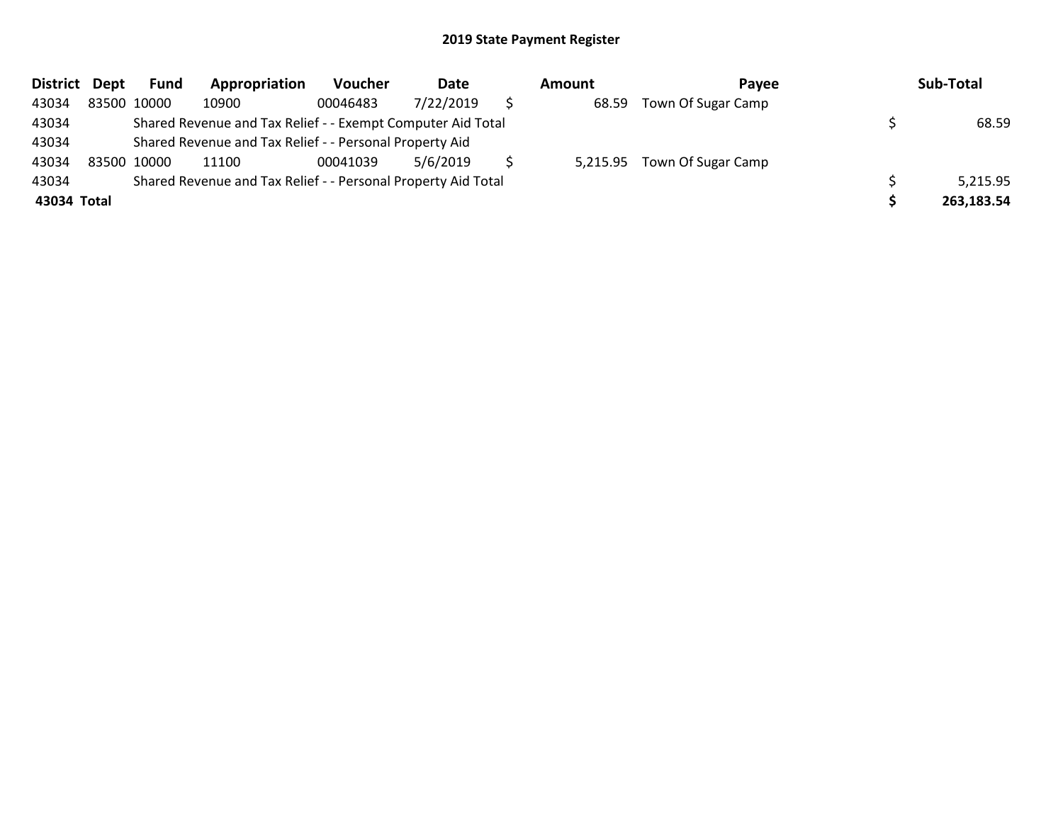| District Dept | <b>Fund</b> | Appropriation                                                 | Voucher  | Date      | Amount | Pavee                       | Sub-Total  |
|---------------|-------------|---------------------------------------------------------------|----------|-----------|--------|-----------------------------|------------|
| 43034         | 83500 10000 | 10900                                                         | 00046483 | 7/22/2019 | 68.59  | Town Of Sugar Camp          |            |
| 43034         |             | Shared Revenue and Tax Relief - - Exempt Computer Aid Total   |          |           |        |                             | 68.59      |
| 43034         |             | Shared Revenue and Tax Relief - - Personal Property Aid       |          |           |        |                             |            |
| 43034         | 83500 10000 | 11100                                                         | 00041039 | 5/6/2019  |        | 5,215.95 Town Of Sugar Camp |            |
| 43034         |             | Shared Revenue and Tax Relief - - Personal Property Aid Total |          |           |        |                             | 5,215.95   |
| 43034 Total   |             |                                                               |          |           |        |                             | 263,183.54 |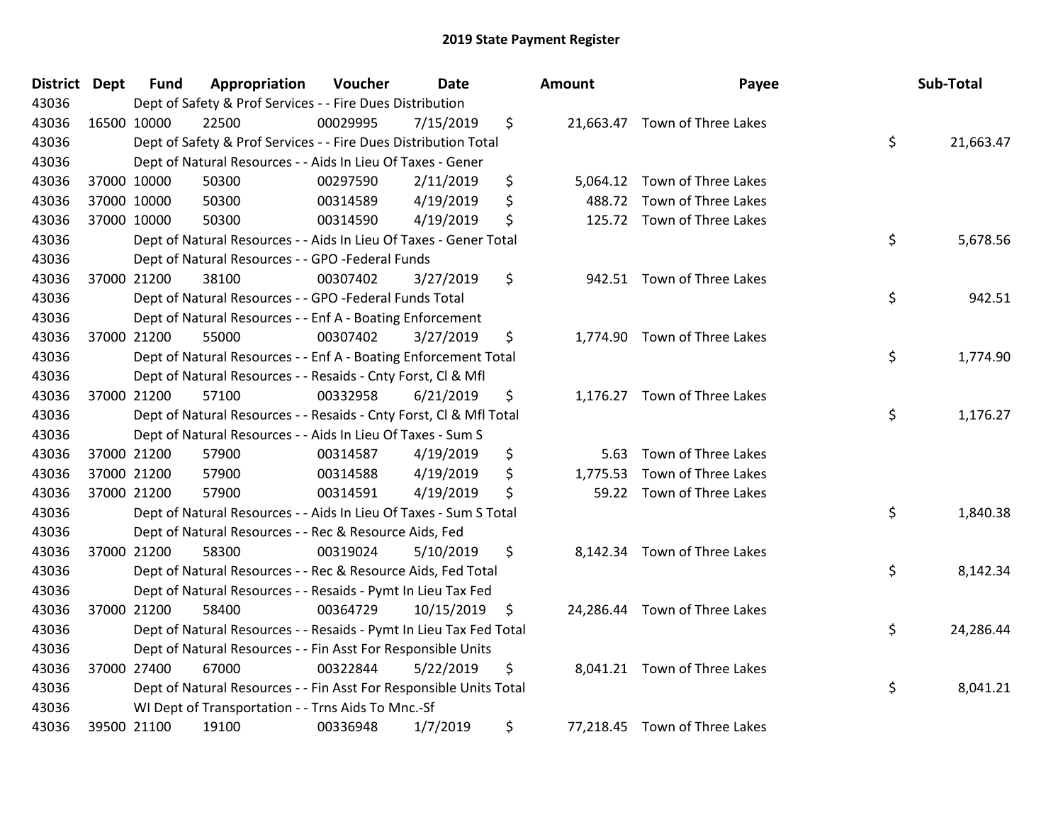| District Dept | <b>Fund</b> | Appropriation                                                      | Voucher  | <b>Date</b> |                     | <b>Amount</b> | Payee                         | Sub-Total       |
|---------------|-------------|--------------------------------------------------------------------|----------|-------------|---------------------|---------------|-------------------------------|-----------------|
| 43036         |             | Dept of Safety & Prof Services - - Fire Dues Distribution          |          |             |                     |               |                               |                 |
| 43036         | 16500 10000 | 22500                                                              | 00029995 | 7/15/2019   | \$                  |               | 21,663.47 Town of Three Lakes |                 |
| 43036         |             | Dept of Safety & Prof Services - - Fire Dues Distribution Total    |          |             |                     |               |                               | \$<br>21,663.47 |
| 43036         |             | Dept of Natural Resources - - Aids In Lieu Of Taxes - Gener        |          |             |                     |               |                               |                 |
| 43036         | 37000 10000 | 50300                                                              | 00297590 | 2/11/2019   | \$                  |               | 5,064.12 Town of Three Lakes  |                 |
| 43036         | 37000 10000 | 50300                                                              | 00314589 | 4/19/2019   | \$                  |               | 488.72 Town of Three Lakes    |                 |
| 43036         | 37000 10000 | 50300                                                              | 00314590 | 4/19/2019   | \$                  |               | 125.72 Town of Three Lakes    |                 |
| 43036         |             | Dept of Natural Resources - - Aids In Lieu Of Taxes - Gener Total  |          |             |                     |               |                               | \$<br>5,678.56  |
| 43036         |             | Dept of Natural Resources - - GPO -Federal Funds                   |          |             |                     |               |                               |                 |
| 43036         | 37000 21200 | 38100                                                              | 00307402 | 3/27/2019   | \$                  |               | 942.51 Town of Three Lakes    |                 |
| 43036         |             | Dept of Natural Resources - - GPO -Federal Funds Total             |          |             |                     |               |                               | \$<br>942.51    |
| 43036         |             | Dept of Natural Resources - - Enf A - Boating Enforcement          |          |             |                     |               |                               |                 |
| 43036         | 37000 21200 | 55000                                                              | 00307402 | 3/27/2019   | \$                  |               | 1,774.90 Town of Three Lakes  |                 |
| 43036         |             | Dept of Natural Resources - - Enf A - Boating Enforcement Total    |          |             |                     |               |                               | \$<br>1,774.90  |
| 43036         |             | Dept of Natural Resources - - Resaids - Cnty Forst, Cl & Mfl       |          |             |                     |               |                               |                 |
| 43036         | 37000 21200 | 57100                                                              | 00332958 | 6/21/2019   | \$                  |               | 1,176.27 Town of Three Lakes  |                 |
| 43036         |             | Dept of Natural Resources - - Resaids - Cnty Forst, Cl & Mfl Total |          |             |                     |               |                               | \$<br>1,176.27  |
| 43036         |             | Dept of Natural Resources - - Aids In Lieu Of Taxes - Sum S        |          |             |                     |               |                               |                 |
| 43036         | 37000 21200 | 57900                                                              | 00314587 | 4/19/2019   | \$                  | 5.63          | Town of Three Lakes           |                 |
| 43036         | 37000 21200 | 57900                                                              | 00314588 | 4/19/2019   | \$                  | 1,775.53      | Town of Three Lakes           |                 |
| 43036         | 37000 21200 | 57900                                                              | 00314591 | 4/19/2019   | \$                  |               | 59.22 Town of Three Lakes     |                 |
| 43036         |             | Dept of Natural Resources - - Aids In Lieu Of Taxes - Sum S Total  |          |             |                     |               |                               | \$<br>1,840.38  |
| 43036         |             | Dept of Natural Resources - - Rec & Resource Aids, Fed             |          |             |                     |               |                               |                 |
| 43036         | 37000 21200 | 58300                                                              | 00319024 | 5/10/2019   | \$                  |               | 8,142.34 Town of Three Lakes  |                 |
| 43036         |             | Dept of Natural Resources - - Rec & Resource Aids, Fed Total       |          |             |                     |               |                               | \$<br>8,142.34  |
| 43036         |             | Dept of Natural Resources - - Resaids - Pymt In Lieu Tax Fed       |          |             |                     |               |                               |                 |
| 43036         | 37000 21200 | 58400                                                              | 00364729 | 10/15/2019  | $\ddot{\mathsf{s}}$ |               | 24,286.44 Town of Three Lakes |                 |
| 43036         |             | Dept of Natural Resources - - Resaids - Pymt In Lieu Tax Fed Total |          |             |                     |               |                               | \$<br>24,286.44 |
| 43036         |             | Dept of Natural Resources - - Fin Asst For Responsible Units       |          |             |                     |               |                               |                 |
| 43036         | 37000 27400 | 67000                                                              | 00322844 | 5/22/2019   | \$                  |               | 8,041.21 Town of Three Lakes  |                 |
| 43036         |             | Dept of Natural Resources - - Fin Asst For Responsible Units Total |          |             |                     |               |                               | \$<br>8,041.21  |
| 43036         |             | WI Dept of Transportation - - Trns Aids To Mnc.-Sf                 |          |             |                     |               |                               |                 |
| 43036         | 39500 21100 | 19100                                                              | 00336948 | 1/7/2019    | \$                  |               | 77,218.45 Town of Three Lakes |                 |

| unt      | Payee                        | Sub-Total       |
|----------|------------------------------|-----------------|
|          | 1,663.47 Town of Three Lakes | \$<br>21,663.47 |
|          | 5,064.12 Town of Three Lakes |                 |
|          | 488.72 Town of Three Lakes   |                 |
|          | 125.72 Town of Three Lakes   |                 |
|          |                              | \$<br>5,678.56  |
|          | 942.51 Town of Three Lakes   |                 |
|          |                              | \$<br>942.51    |
|          | 1,774.90 Town of Three Lakes |                 |
|          |                              | \$<br>1,774.90  |
|          | 1,176.27 Town of Three Lakes |                 |
|          |                              | \$<br>1,176.27  |
|          | 5.63 Town of Three Lakes     |                 |
|          | 1,775.53 Town of Three Lakes |                 |
| 59.22    | Town of Three Lakes          |                 |
|          |                              | \$<br>1,840.38  |
|          | 8,142.34 Town of Three Lakes |                 |
|          |                              | \$<br>8,142.34  |
|          | 4,286.44 Town of Three Lakes |                 |
|          |                              | \$<br>24,286.44 |
|          | 8,041.21 Town of Three Lakes |                 |
|          |                              | \$<br>8,041.21  |
| 7,218.45 | Town of Three Lakes          |                 |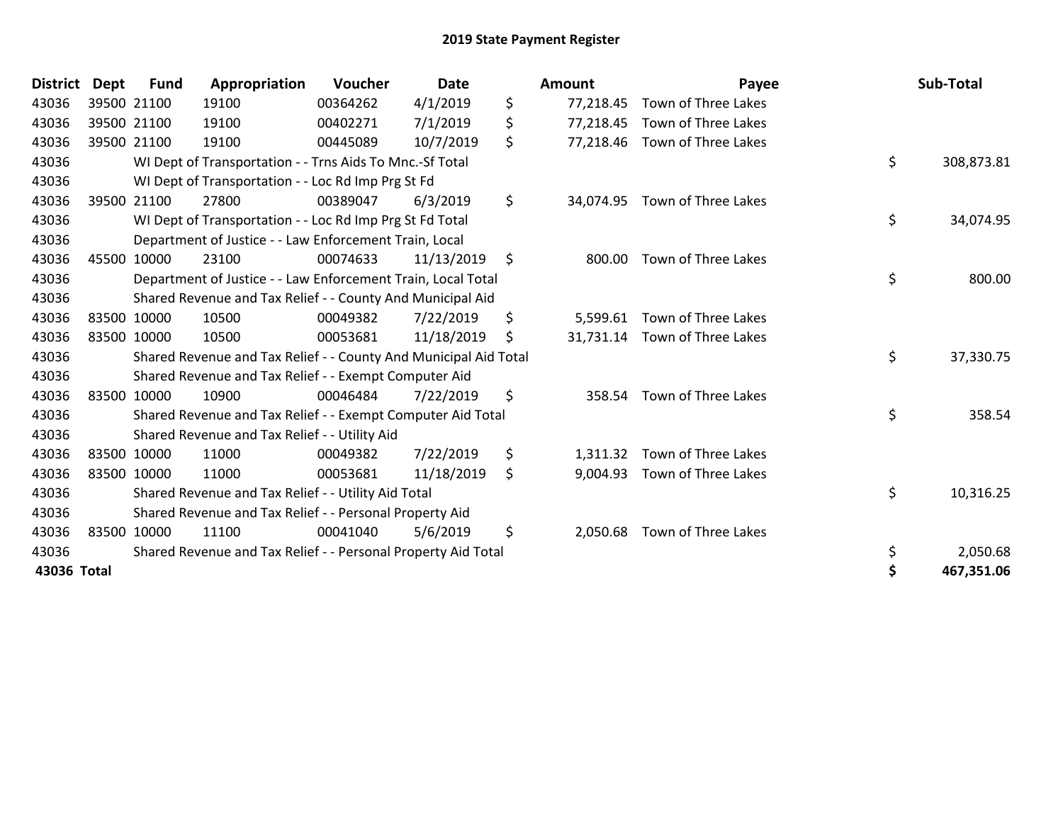| <b>District</b> | <b>Dept</b> | <b>Fund</b> | Appropriation                                                    | Voucher  | <b>Date</b> | <b>Amount</b>   | Payee                         | Sub-Total        |
|-----------------|-------------|-------------|------------------------------------------------------------------|----------|-------------|-----------------|-------------------------------|------------------|
| 43036           |             | 39500 21100 | 19100                                                            | 00364262 | 4/1/2019    | \$<br>77,218.45 | Town of Three Lakes           |                  |
| 43036           |             | 39500 21100 | 19100                                                            | 00402271 | 7/1/2019    | \$<br>77,218.45 | Town of Three Lakes           |                  |
| 43036           |             | 39500 21100 | 19100                                                            | 00445089 | 10/7/2019   | \$<br>77,218.46 | Town of Three Lakes           |                  |
| 43036           |             |             | WI Dept of Transportation - - Trns Aids To Mnc.-Sf Total         |          |             |                 |                               | \$<br>308,873.81 |
| 43036           |             |             | WI Dept of Transportation - - Loc Rd Imp Prg St Fd               |          |             |                 |                               |                  |
| 43036           |             | 39500 21100 | 27800                                                            | 00389047 | 6/3/2019    | \$<br>34,074.95 | Town of Three Lakes           |                  |
| 43036           |             |             | WI Dept of Transportation - - Loc Rd Imp Prg St Fd Total         |          |             |                 |                               | \$<br>34,074.95  |
| 43036           |             |             | Department of Justice - - Law Enforcement Train, Local           |          |             |                 |                               |                  |
| 43036           |             | 45500 10000 | 23100                                                            | 00074633 | 11/13/2019  | \$<br>800.00    | Town of Three Lakes           |                  |
| 43036           |             |             | Department of Justice - - Law Enforcement Train, Local Total     |          |             |                 |                               | \$<br>800.00     |
| 43036           |             |             | Shared Revenue and Tax Relief - - County And Municipal Aid       |          |             |                 |                               |                  |
| 43036           |             | 83500 10000 | 10500                                                            | 00049382 | 7/22/2019   | \$<br>5,599.61  | Town of Three Lakes           |                  |
| 43036           |             | 83500 10000 | 10500                                                            | 00053681 | 11/18/2019  | \$              | 31,731.14 Town of Three Lakes |                  |
| 43036           |             |             | Shared Revenue and Tax Relief - - County And Municipal Aid Total |          |             |                 |                               | \$<br>37,330.75  |
| 43036           |             |             | Shared Revenue and Tax Relief - - Exempt Computer Aid            |          |             |                 |                               |                  |
| 43036           |             | 83500 10000 | 10900                                                            | 00046484 | 7/22/2019   | \$<br>358.54    | Town of Three Lakes           |                  |
| 43036           |             |             | Shared Revenue and Tax Relief - - Exempt Computer Aid Total      |          |             |                 |                               | \$<br>358.54     |
| 43036           |             |             | Shared Revenue and Tax Relief - - Utility Aid                    |          |             |                 |                               |                  |
| 43036           |             | 83500 10000 | 11000                                                            | 00049382 | 7/22/2019   | \$<br>1,311.32  | Town of Three Lakes           |                  |
| 43036           |             | 83500 10000 | 11000                                                            | 00053681 | 11/18/2019  | \$<br>9,004.93  | Town of Three Lakes           |                  |
| 43036           |             |             | Shared Revenue and Tax Relief - - Utility Aid Total              |          |             |                 |                               | \$<br>10,316.25  |
| 43036           |             |             | Shared Revenue and Tax Relief - - Personal Property Aid          |          |             |                 |                               |                  |
| 43036           |             | 83500 10000 | 11100                                                            | 00041040 | 5/6/2019    | \$<br>2,050.68  | Town of Three Lakes           |                  |
| 43036           |             |             | Shared Revenue and Tax Relief - - Personal Property Aid Total    |          |             |                 |                               | \$<br>2,050.68   |
| 43036 Total     |             |             |                                                                  |          |             |                 |                               | 467,351.06       |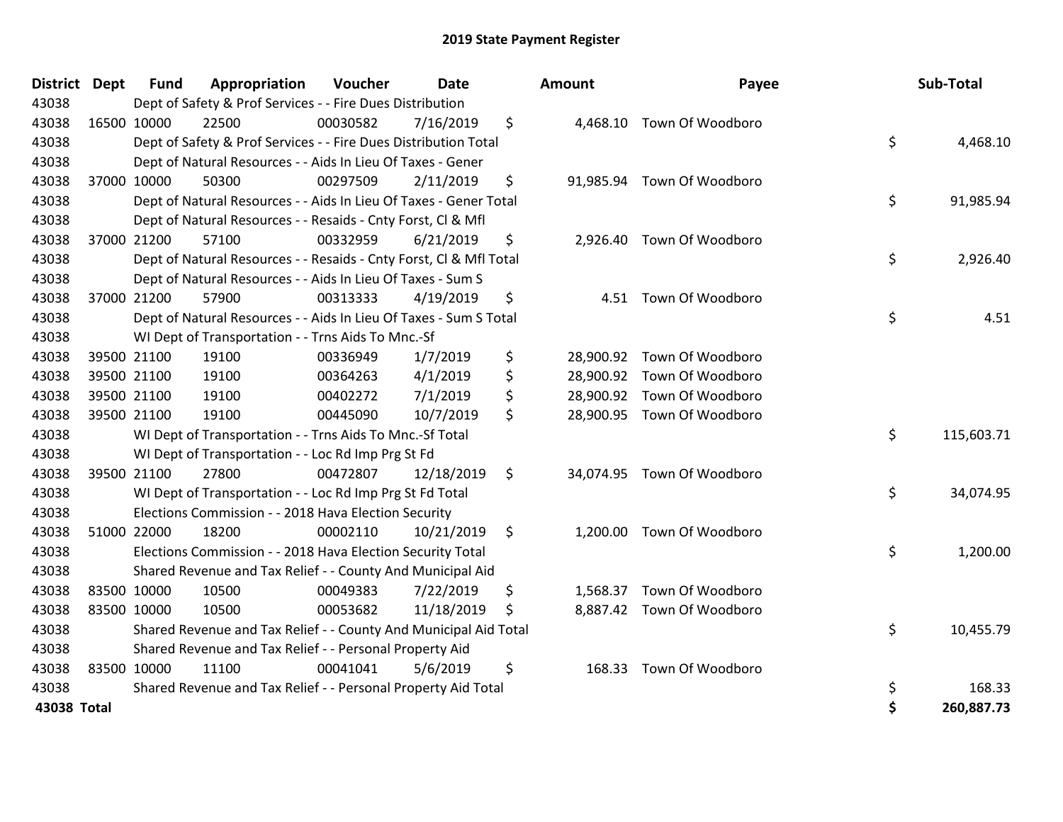| <b>District</b> | <b>Dept</b> | <b>Fund</b> | Appropriation                                                      | Voucher  | Date       | Amount         | Payee                      | Sub-Total        |
|-----------------|-------------|-------------|--------------------------------------------------------------------|----------|------------|----------------|----------------------------|------------------|
| 43038           |             |             | Dept of Safety & Prof Services - - Fire Dues Distribution          |          |            |                |                            |                  |
| 43038           | 16500 10000 |             | 22500                                                              | 00030582 | 7/16/2019  | \$             | 4,468.10 Town Of Woodboro  |                  |
| 43038           |             |             | Dept of Safety & Prof Services - - Fire Dues Distribution Total    |          |            |                |                            | \$<br>4,468.10   |
| 43038           |             |             | Dept of Natural Resources - - Aids In Lieu Of Taxes - Gener        |          |            |                |                            |                  |
| 43038           |             | 37000 10000 | 50300                                                              | 00297509 | 2/11/2019  | \$             | 91,985.94 Town Of Woodboro |                  |
| 43038           |             |             | Dept of Natural Resources - - Aids In Lieu Of Taxes - Gener Total  |          |            |                |                            | \$<br>91,985.94  |
| 43038           |             |             | Dept of Natural Resources - - Resaids - Cnty Forst, Cl & Mfl       |          |            |                |                            |                  |
| 43038           |             | 37000 21200 | 57100                                                              | 00332959 | 6/21/2019  | \$             | 2,926.40 Town Of Woodboro  |                  |
| 43038           |             |             | Dept of Natural Resources - - Resaids - Cnty Forst, CI & Mfl Total |          |            |                |                            | \$<br>2,926.40   |
| 43038           |             |             | Dept of Natural Resources - - Aids In Lieu Of Taxes - Sum S        |          |            |                |                            |                  |
| 43038           |             | 37000 21200 | 57900                                                              | 00313333 | 4/19/2019  | \$<br>4.51     | Town Of Woodboro           |                  |
| 43038           |             |             | Dept of Natural Resources - - Aids In Lieu Of Taxes - Sum S Total  |          |            |                |                            | \$<br>4.51       |
| 43038           |             |             | WI Dept of Transportation - - Trns Aids To Mnc.-Sf                 |          |            |                |                            |                  |
| 43038           |             | 39500 21100 | 19100                                                              | 00336949 | 1/7/2019   | \$             | 28,900.92 Town Of Woodboro |                  |
| 43038           |             | 39500 21100 | 19100                                                              | 00364263 | 4/1/2019   | \$             | 28,900.92 Town Of Woodboro |                  |
| 43038           | 39500 21100 |             | 19100                                                              | 00402272 | 7/1/2019   | \$             | 28,900.92 Town Of Woodboro |                  |
| 43038           | 39500 21100 |             | 19100                                                              | 00445090 | 10/7/2019  | \$             | 28,900.95 Town Of Woodboro |                  |
| 43038           |             |             | WI Dept of Transportation - - Trns Aids To Mnc.-Sf Total           |          |            |                |                            | \$<br>115,603.71 |
| 43038           |             |             | WI Dept of Transportation - - Loc Rd Imp Prg St Fd                 |          |            |                |                            |                  |
| 43038           | 39500 21100 |             | 27800                                                              | 00472807 | 12/18/2019 | \$             | 34,074.95 Town Of Woodboro |                  |
| 43038           |             |             | WI Dept of Transportation - - Loc Rd Imp Prg St Fd Total           |          |            |                |                            | \$<br>34,074.95  |
| 43038           |             |             | Elections Commission - - 2018 Hava Election Security               |          |            |                |                            |                  |
| 43038           |             | 51000 22000 | 18200                                                              | 00002110 | 10/21/2019 | \$             | 1,200.00 Town Of Woodboro  |                  |
| 43038           |             |             | Elections Commission - - 2018 Hava Election Security Total         |          |            |                |                            | \$<br>1,200.00   |
| 43038           |             |             | Shared Revenue and Tax Relief - - County And Municipal Aid         |          |            |                |                            |                  |
| 43038           | 83500 10000 |             | 10500                                                              | 00049383 | 7/22/2019  | \$<br>1,568.37 | Town Of Woodboro           |                  |
| 43038           | 83500 10000 |             | 10500                                                              | 00053682 | 11/18/2019 | \$             | 8,887.42 Town Of Woodboro  |                  |
| 43038           |             |             | Shared Revenue and Tax Relief - - County And Municipal Aid Total   |          |            |                |                            | \$<br>10,455.79  |
| 43038           |             |             | Shared Revenue and Tax Relief - - Personal Property Aid            |          |            |                |                            |                  |
| 43038           | 83500 10000 |             | 11100                                                              | 00041041 | 5/6/2019   | \$<br>168.33   | Town Of Woodboro           |                  |
| 43038           |             |             | Shared Revenue and Tax Relief - - Personal Property Aid Total      |          |            |                |                            | \$<br>168.33     |
| 43038 Total     |             |             |                                                                    |          |            |                |                            | \$<br>260,887.73 |

| nount     | Payee            | Sub-Total        |
|-----------|------------------|------------------|
| 4,468.10  | Town Of Woodboro | \$<br>4,468.10   |
| 91,985.94 | Town Of Woodboro |                  |
|           |                  | \$<br>91,985.94  |
| 2,926.40  | Town Of Woodboro | \$<br>2,926.40   |
| 4.51      | Town Of Woodboro |                  |
|           |                  | \$<br>4.51       |
| 28,900.92 | Town Of Woodboro |                  |
| 28,900.92 | Town Of Woodboro |                  |
| 28,900.92 | Town Of Woodboro |                  |
| 28,900.95 | Town Of Woodboro |                  |
|           |                  | \$<br>115,603.71 |
| 34,074.95 | Town Of Woodboro |                  |
|           |                  | \$<br>34,074.95  |
| 1,200.00  | Town Of Woodboro |                  |
|           |                  | \$<br>1,200.00   |
| 1,568.37  | Town Of Woodboro |                  |
| 8,887.42  | Town Of Woodboro |                  |
|           |                  | \$<br>10,455.79  |
| 168.33    | Town Of Woodboro |                  |
|           |                  | \$<br>168.33     |
|           |                  | \$<br>260,887.73 |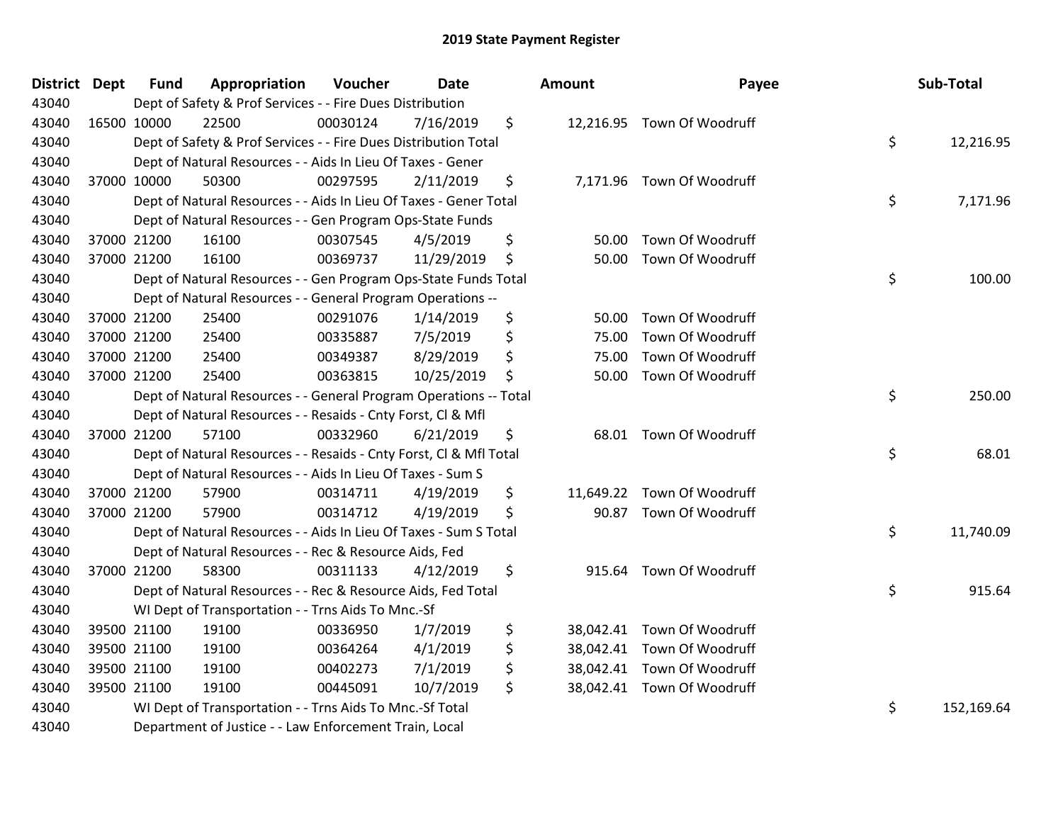| <b>District Dept</b> | <b>Fund</b> | Appropriation                                                           | Voucher  | <b>Date</b> |    | Amount | Payee                      |    | Sub-Total  |
|----------------------|-------------|-------------------------------------------------------------------------|----------|-------------|----|--------|----------------------------|----|------------|
| 43040                |             | Dept of Safety & Prof Services - - Fire Dues Distribution               |          |             |    |        |                            |    |            |
| 43040                | 16500 10000 | 22500                                                                   | 00030124 | 7/16/2019   | \$ |        | 12,216.95 Town Of Woodruff |    |            |
| 43040                |             | Dept of Safety & Prof Services - - Fire Dues Distribution Total         |          |             |    |        |                            | \$ | 12,216.95  |
| 43040                |             | Dept of Natural Resources - - Aids In Lieu Of Taxes - Gener             |          |             |    |        |                            |    |            |
| 43040                | 37000 10000 | 50300                                                                   | 00297595 | 2/11/2019   | \$ |        | 7,171.96 Town Of Woodruff  |    |            |
| 43040                |             | Dept of Natural Resources - - Aids In Lieu Of Taxes - Gener Total       |          |             |    |        |                            | \$ | 7,171.96   |
| 43040                |             | Dept of Natural Resources - - Gen Program Ops-State Funds               |          |             |    |        |                            |    |            |
| 43040                | 37000 21200 | 16100                                                                   | 00307545 | 4/5/2019    | \$ | 50.00  | Town Of Woodruff           |    |            |
| 43040                | 37000 21200 | 16100                                                                   | 00369737 | 11/29/2019  | \$ | 50.00  | Town Of Woodruff           |    |            |
| 43040                |             | Dept of Natural Resources - - Gen Program Ops-State Funds Total         |          |             |    |        |                            | \$ | 100.00     |
| 43040                |             | Dept of Natural Resources - - General Program Operations --             |          |             |    |        |                            |    |            |
| 43040                | 37000 21200 | 25400                                                                   | 00291076 | 1/14/2019   | \$ | 50.00  | Town Of Woodruff           |    |            |
| 43040                | 37000 21200 | 25400                                                                   | 00335887 | 7/5/2019    | \$ | 75.00  | Town Of Woodruff           |    |            |
| 43040                | 37000 21200 | 25400                                                                   | 00349387 | 8/29/2019   | \$ | 75.00  | Town Of Woodruff           |    |            |
| 43040                | 37000 21200 | 25400                                                                   | 00363815 | 10/25/2019  | \$ | 50.00  | Town Of Woodruff           |    |            |
| 43040                |             | \$<br>Dept of Natural Resources - - General Program Operations -- Total |          |             |    |        |                            |    | 250.00     |
| 43040                |             | Dept of Natural Resources - - Resaids - Cnty Forst, Cl & Mfl            |          |             |    |        |                            |    |            |
| 43040                | 37000 21200 | 57100                                                                   | 00332960 | 6/21/2019   | \$ |        | 68.01 Town Of Woodruff     |    |            |
| 43040                |             | Dept of Natural Resources - - Resaids - Cnty Forst, Cl & Mfl Total      |          |             |    |        |                            | \$ | 68.01      |
| 43040                |             | Dept of Natural Resources - - Aids In Lieu Of Taxes - Sum S             |          |             |    |        |                            |    |            |
| 43040                | 37000 21200 | 57900                                                                   | 00314711 | 4/19/2019   | \$ |        | 11,649.22 Town Of Woodruff |    |            |
| 43040                | 37000 21200 | 57900                                                                   | 00314712 | 4/19/2019   | \$ | 90.87  | Town Of Woodruff           |    |            |
| 43040                |             | Dept of Natural Resources - - Aids In Lieu Of Taxes - Sum S Total       |          |             |    |        |                            | \$ | 11,740.09  |
| 43040                |             | Dept of Natural Resources - - Rec & Resource Aids, Fed                  |          |             |    |        |                            |    |            |
| 43040                | 37000 21200 | 58300                                                                   | 00311133 | 4/12/2019   | \$ | 915.64 | Town Of Woodruff           |    |            |
| 43040                |             | Dept of Natural Resources - - Rec & Resource Aids, Fed Total            |          |             |    |        |                            | \$ | 915.64     |
| 43040                |             | WI Dept of Transportation - - Trns Aids To Mnc.-Sf                      |          |             |    |        |                            |    |            |
| 43040                | 39500 21100 | 19100                                                                   | 00336950 | 1/7/2019    | \$ |        | 38,042.41 Town Of Woodruff |    |            |
| 43040                | 39500 21100 | 19100                                                                   | 00364264 | 4/1/2019    | \$ |        | 38,042.41 Town Of Woodruff |    |            |
| 43040                | 39500 21100 | 19100                                                                   | 00402273 | 7/1/2019    | \$ |        | 38,042.41 Town Of Woodruff |    |            |
| 43040                | 39500 21100 | 19100                                                                   | 00445091 | 10/7/2019   | \$ |        | 38,042.41 Town Of Woodruff |    |            |
| 43040                |             | WI Dept of Transportation - - Trns Aids To Mnc.-Sf Total                |          |             |    |        |                            | \$ | 152,169.64 |
| 43040                |             | Department of Justice - - Law Enforcement Train, Local                  |          |             |    |        |                            |    |            |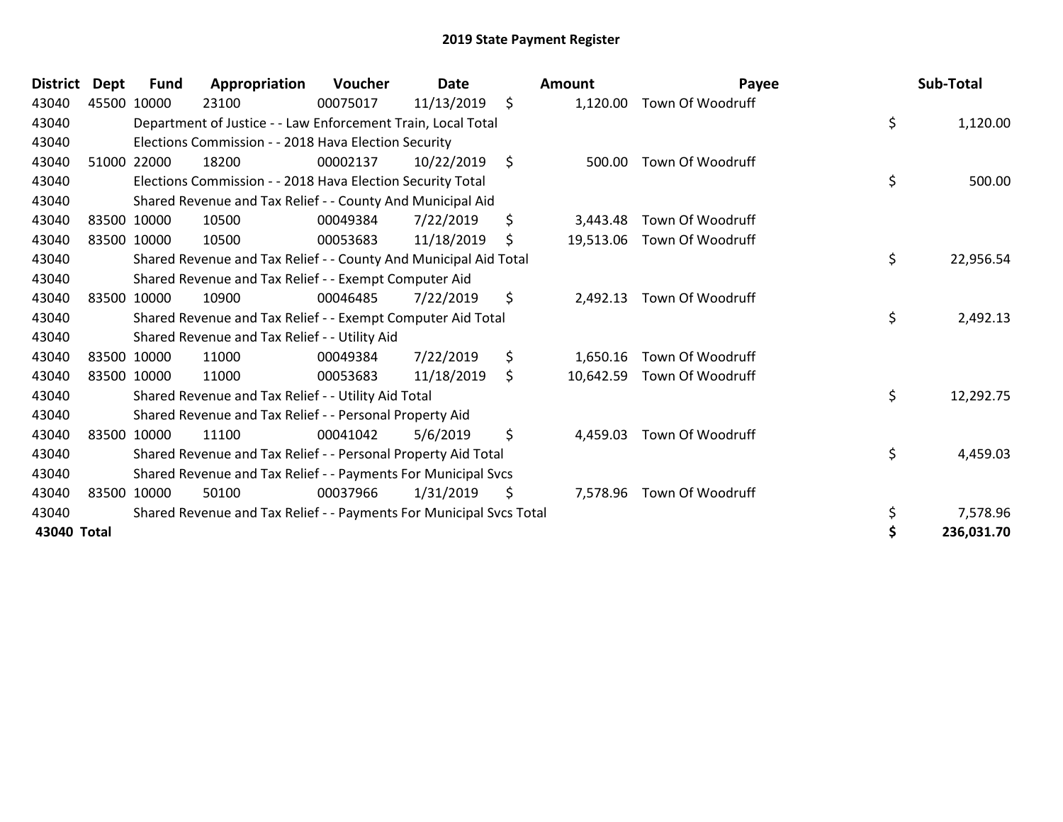| <b>District</b> | <b>Dept</b> | Fund        | Appropriation                                                       | Voucher  | <b>Date</b> |     | Amount    | Payee                     |    | Sub-Total  |
|-----------------|-------------|-------------|---------------------------------------------------------------------|----------|-------------|-----|-----------|---------------------------|----|------------|
| 43040           |             | 45500 10000 | 23100                                                               | 00075017 | 11/13/2019  | \$  | 1,120.00  | Town Of Woodruff          |    |            |
| 43040           |             |             | Department of Justice - - Law Enforcement Train, Local Total        |          |             |     |           |                           | \$ | 1,120.00   |
| 43040           |             |             | Elections Commission - - 2018 Hava Election Security                |          |             |     |           |                           |    |            |
| 43040           |             | 51000 22000 | 18200                                                               | 00002137 | 10/22/2019  | \$  | 500.00    | Town Of Woodruff          |    |            |
| 43040           |             |             | Elections Commission - - 2018 Hava Election Security Total          |          |             |     |           |                           | \$ | 500.00     |
| 43040           |             |             | Shared Revenue and Tax Relief - - County And Municipal Aid          |          |             |     |           |                           |    |            |
| 43040           |             | 83500 10000 | 10500                                                               | 00049384 | 7/22/2019   | \$  | 3,443.48  | Town Of Woodruff          |    |            |
| 43040           |             | 83500 10000 | 10500                                                               | 00053683 | 11/18/2019  | \$. | 19,513.06 | Town Of Woodruff          |    |            |
| 43040           |             |             | Shared Revenue and Tax Relief - - County And Municipal Aid Total    |          |             |     |           |                           | \$ | 22,956.54  |
| 43040           |             |             | Shared Revenue and Tax Relief - - Exempt Computer Aid               |          |             |     |           |                           |    |            |
| 43040           |             | 83500 10000 | 10900                                                               | 00046485 | 7/22/2019   | \$  | 2,492.13  | Town Of Woodruff          |    |            |
| 43040           |             |             | Shared Revenue and Tax Relief - - Exempt Computer Aid Total         |          |             |     |           |                           | \$ | 2,492.13   |
| 43040           |             |             | Shared Revenue and Tax Relief - - Utility Aid                       |          |             |     |           |                           |    |            |
| 43040           |             | 83500 10000 | 11000                                                               | 00049384 | 7/22/2019   | \$  | 1,650.16  | Town Of Woodruff          |    |            |
| 43040           |             | 83500 10000 | 11000                                                               | 00053683 | 11/18/2019  | \$  | 10,642.59 | Town Of Woodruff          |    |            |
| 43040           |             |             | Shared Revenue and Tax Relief - - Utility Aid Total                 |          |             |     |           |                           | \$ | 12,292.75  |
| 43040           |             |             | Shared Revenue and Tax Relief - - Personal Property Aid             |          |             |     |           |                           |    |            |
| 43040           |             | 83500 10000 | 11100                                                               | 00041042 | 5/6/2019    | \$  | 4,459.03  | Town Of Woodruff          |    |            |
| 43040           |             |             | Shared Revenue and Tax Relief - - Personal Property Aid Total       |          |             |     |           |                           | \$ | 4,459.03   |
| 43040           |             |             | Shared Revenue and Tax Relief - - Payments For Municipal Svcs       |          |             |     |           |                           |    |            |
| 43040           |             | 83500 10000 | 50100                                                               | 00037966 | 1/31/2019   | \$  |           | 7,578.96 Town Of Woodruff |    |            |
| 43040           |             |             | Shared Revenue and Tax Relief - - Payments For Municipal Svcs Total |          |             |     |           |                           | \$ | 7,578.96   |
| 43040 Total     |             |             |                                                                     |          |             |     |           |                           |    | 236,031.70 |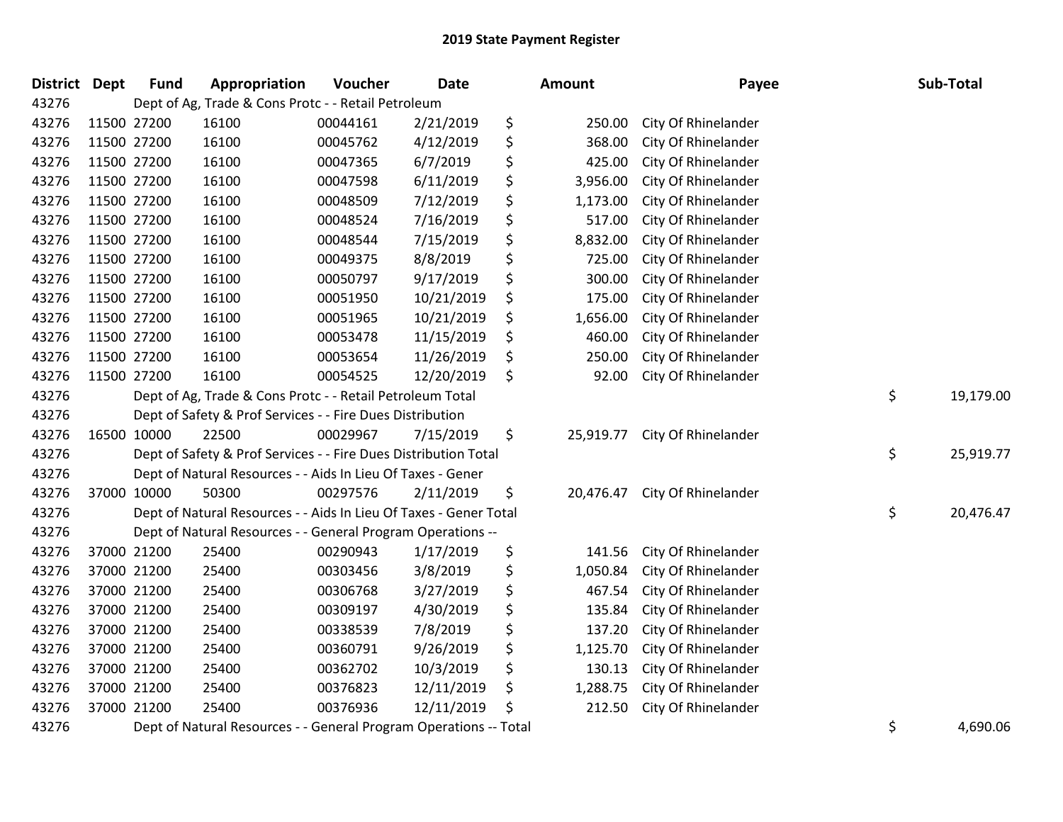| <b>District</b> | Dept | <b>Fund</b> | Appropriation                                                     | Voucher  | <b>Date</b> |    | Amount    | Payee               | Sub-Total       |
|-----------------|------|-------------|-------------------------------------------------------------------|----------|-------------|----|-----------|---------------------|-----------------|
| 43276           |      |             | Dept of Ag, Trade & Cons Protc - - Retail Petroleum               |          |             |    |           |                     |                 |
| 43276           |      | 11500 27200 | 16100                                                             | 00044161 | 2/21/2019   | \$ | 250.00    | City Of Rhinelander |                 |
| 43276           |      | 11500 27200 | 16100                                                             | 00045762 | 4/12/2019   | \$ | 368.00    | City Of Rhinelander |                 |
| 43276           |      | 11500 27200 | 16100                                                             | 00047365 | 6/7/2019    | \$ | 425.00    | City Of Rhinelander |                 |
| 43276           |      | 11500 27200 | 16100                                                             | 00047598 | 6/11/2019   | \$ | 3,956.00  | City Of Rhinelander |                 |
| 43276           |      | 11500 27200 | 16100                                                             | 00048509 | 7/12/2019   | \$ | 1,173.00  | City Of Rhinelander |                 |
| 43276           |      | 11500 27200 | 16100                                                             | 00048524 | 7/16/2019   | \$ | 517.00    | City Of Rhinelander |                 |
| 43276           |      | 11500 27200 | 16100                                                             | 00048544 | 7/15/2019   | \$ | 8,832.00  | City Of Rhinelander |                 |
| 43276           |      | 11500 27200 | 16100                                                             | 00049375 | 8/8/2019    | \$ | 725.00    | City Of Rhinelander |                 |
| 43276           |      | 11500 27200 | 16100                                                             | 00050797 | 9/17/2019   | \$ | 300.00    | City Of Rhinelander |                 |
| 43276           |      | 11500 27200 | 16100                                                             | 00051950 | 10/21/2019  | \$ | 175.00    | City Of Rhinelander |                 |
| 43276           |      | 11500 27200 | 16100                                                             | 00051965 | 10/21/2019  | \$ | 1,656.00  | City Of Rhinelander |                 |
| 43276           |      | 11500 27200 | 16100                                                             | 00053478 | 11/15/2019  | \$ | 460.00    | City Of Rhinelander |                 |
| 43276           |      | 11500 27200 | 16100                                                             | 00053654 | 11/26/2019  | Ş  | 250.00    | City Of Rhinelander |                 |
| 43276           |      | 11500 27200 | 16100                                                             | 00054525 | 12/20/2019  | \$ | 92.00     | City Of Rhinelander |                 |
| 43276           |      |             | Dept of Ag, Trade & Cons Protc - - Retail Petroleum Total         |          |             |    |           |                     | \$<br>19,179.00 |
| 43276           |      |             | Dept of Safety & Prof Services - - Fire Dues Distribution         |          |             |    |           |                     |                 |
| 43276           |      | 16500 10000 | 22500                                                             | 00029967 | 7/15/2019   | \$ | 25,919.77 | City Of Rhinelander |                 |
| 43276           |      |             | Dept of Safety & Prof Services - - Fire Dues Distribution Total   |          |             |    |           |                     | \$<br>25,919.77 |
| 43276           |      |             | Dept of Natural Resources - - Aids In Lieu Of Taxes - Gener       |          |             |    |           |                     |                 |
| 43276           |      | 37000 10000 | 50300                                                             | 00297576 | 2/11/2019   | \$ | 20,476.47 | City Of Rhinelander |                 |
| 43276           |      |             | Dept of Natural Resources - - Aids In Lieu Of Taxes - Gener Total |          |             |    |           |                     | \$<br>20,476.47 |
| 43276           |      |             | Dept of Natural Resources - - General Program Operations --       |          |             |    |           |                     |                 |
| 43276           |      | 37000 21200 | 25400                                                             | 00290943 | 1/17/2019   | \$ | 141.56    | City Of Rhinelander |                 |
| 43276           |      | 37000 21200 | 25400                                                             | 00303456 | 3/8/2019    | \$ | 1,050.84  | City Of Rhinelander |                 |
| 43276           |      | 37000 21200 | 25400                                                             | 00306768 | 3/27/2019   | \$ | 467.54    | City Of Rhinelander |                 |
| 43276           |      | 37000 21200 | 25400                                                             | 00309197 | 4/30/2019   | \$ | 135.84    | City Of Rhinelander |                 |
| 43276           |      | 37000 21200 | 25400                                                             | 00338539 | 7/8/2019    | \$ | 137.20    | City Of Rhinelander |                 |
| 43276           |      | 37000 21200 | 25400                                                             | 00360791 | 9/26/2019   | \$ | 1,125.70  | City Of Rhinelander |                 |
| 43276           |      | 37000 21200 | 25400                                                             | 00362702 | 10/3/2019   | \$ | 130.13    | City Of Rhinelander |                 |
| 43276           |      | 37000 21200 | 25400                                                             | 00376823 | 12/11/2019  | \$ | 1,288.75  | City Of Rhinelander |                 |
| 43276           |      | 37000 21200 | 25400                                                             | 00376936 | 12/11/2019  | \$ | 212.50    | City Of Rhinelander |                 |
| 43276           |      |             | Dept of Natural Resources - - General Program Operations -- Total |          |             |    |           |                     | \$<br>4,690.06  |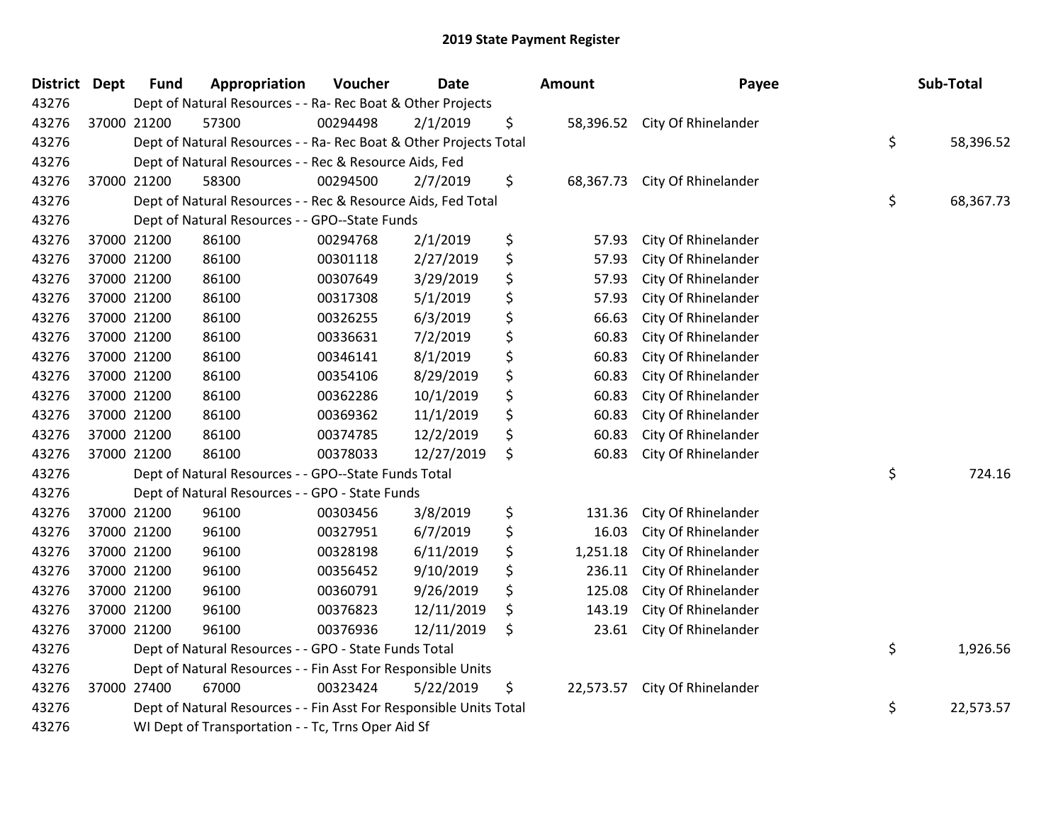| District Dept | <b>Fund</b> | Appropriation                                                      | Voucher  | <b>Date</b> | <b>Amount</b>   | Payee                         | Sub-Total       |
|---------------|-------------|--------------------------------------------------------------------|----------|-------------|-----------------|-------------------------------|-----------------|
| 43276         |             | Dept of Natural Resources - - Ra- Rec Boat & Other Projects        |          |             |                 |                               |                 |
| 43276         | 37000 21200 | 57300                                                              | 00294498 | 2/1/2019    | \$              | 58,396.52 City Of Rhinelander |                 |
| 43276         |             | Dept of Natural Resources - - Ra- Rec Boat & Other Projects Total  |          |             |                 |                               | \$<br>58,396.52 |
| 43276         |             | Dept of Natural Resources - - Rec & Resource Aids, Fed             |          |             |                 |                               |                 |
| 43276         | 37000 21200 | 58300                                                              | 00294500 | 2/7/2019    | \$<br>68,367.73 | City Of Rhinelander           |                 |
| 43276         |             | Dept of Natural Resources - - Rec & Resource Aids, Fed Total       |          |             |                 |                               | \$<br>68,367.73 |
| 43276         |             | Dept of Natural Resources - - GPO--State Funds                     |          |             |                 |                               |                 |
| 43276         | 37000 21200 | 86100                                                              | 00294768 | 2/1/2019    | \$<br>57.93     | City Of Rhinelander           |                 |
| 43276         | 37000 21200 | 86100                                                              | 00301118 | 2/27/2019   | \$<br>57.93     | City Of Rhinelander           |                 |
| 43276         | 37000 21200 | 86100                                                              | 00307649 | 3/29/2019   | \$<br>57.93     | City Of Rhinelander           |                 |
| 43276         | 37000 21200 | 86100                                                              | 00317308 | 5/1/2019    | \$<br>57.93     | City Of Rhinelander           |                 |
| 43276         | 37000 21200 | 86100                                                              | 00326255 | 6/3/2019    | \$<br>66.63     | City Of Rhinelander           |                 |
| 43276         | 37000 21200 | 86100                                                              | 00336631 | 7/2/2019    | \$<br>60.83     | City Of Rhinelander           |                 |
| 43276         | 37000 21200 | 86100                                                              | 00346141 | 8/1/2019    | \$<br>60.83     | City Of Rhinelander           |                 |
| 43276         | 37000 21200 | 86100                                                              | 00354106 | 8/29/2019   | \$<br>60.83     | City Of Rhinelander           |                 |
| 43276         | 37000 21200 | 86100                                                              | 00362286 | 10/1/2019   | \$<br>60.83     | City Of Rhinelander           |                 |
| 43276         | 37000 21200 | 86100                                                              | 00369362 | 11/1/2019   | \$<br>60.83     | City Of Rhinelander           |                 |
| 43276         | 37000 21200 | 86100                                                              | 00374785 | 12/2/2019   | \$<br>60.83     | City Of Rhinelander           |                 |
| 43276         | 37000 21200 | 86100                                                              | 00378033 | 12/27/2019  | \$<br>60.83     | City Of Rhinelander           |                 |
| 43276         |             | Dept of Natural Resources - - GPO--State Funds Total               |          |             |                 |                               | \$<br>724.16    |
| 43276         |             | Dept of Natural Resources - - GPO - State Funds                    |          |             |                 |                               |                 |
| 43276         | 37000 21200 | 96100                                                              | 00303456 | 3/8/2019    | \$<br>131.36    | City Of Rhinelander           |                 |
| 43276         | 37000 21200 | 96100                                                              | 00327951 | 6/7/2019    | \$<br>16.03     | City Of Rhinelander           |                 |
| 43276         | 37000 21200 | 96100                                                              | 00328198 | 6/11/2019   | \$<br>1,251.18  | City Of Rhinelander           |                 |
| 43276         | 37000 21200 | 96100                                                              | 00356452 | 9/10/2019   | \$<br>236.11    | City Of Rhinelander           |                 |
| 43276         | 37000 21200 | 96100                                                              | 00360791 | 9/26/2019   | \$<br>125.08    | City Of Rhinelander           |                 |
| 43276         | 37000 21200 | 96100                                                              | 00376823 | 12/11/2019  | \$<br>143.19    | City Of Rhinelander           |                 |
| 43276         | 37000 21200 | 96100                                                              | 00376936 | 12/11/2019  | \$<br>23.61     | City Of Rhinelander           |                 |
| 43276         |             | Dept of Natural Resources - - GPO - State Funds Total              |          |             |                 |                               | \$<br>1,926.56  |
| 43276         |             | Dept of Natural Resources - - Fin Asst For Responsible Units       |          |             |                 |                               |                 |
| 43276         | 37000 27400 | 67000                                                              | 00323424 | 5/22/2019   | \$<br>22,573.57 | City Of Rhinelander           |                 |
| 43276         |             | Dept of Natural Resources - - Fin Asst For Responsible Units Total |          |             |                 |                               | \$<br>22,573.57 |
| 43276         |             | WI Dept of Transportation - - Tc, Trns Oper Aid Sf                 |          |             |                 |                               |                 |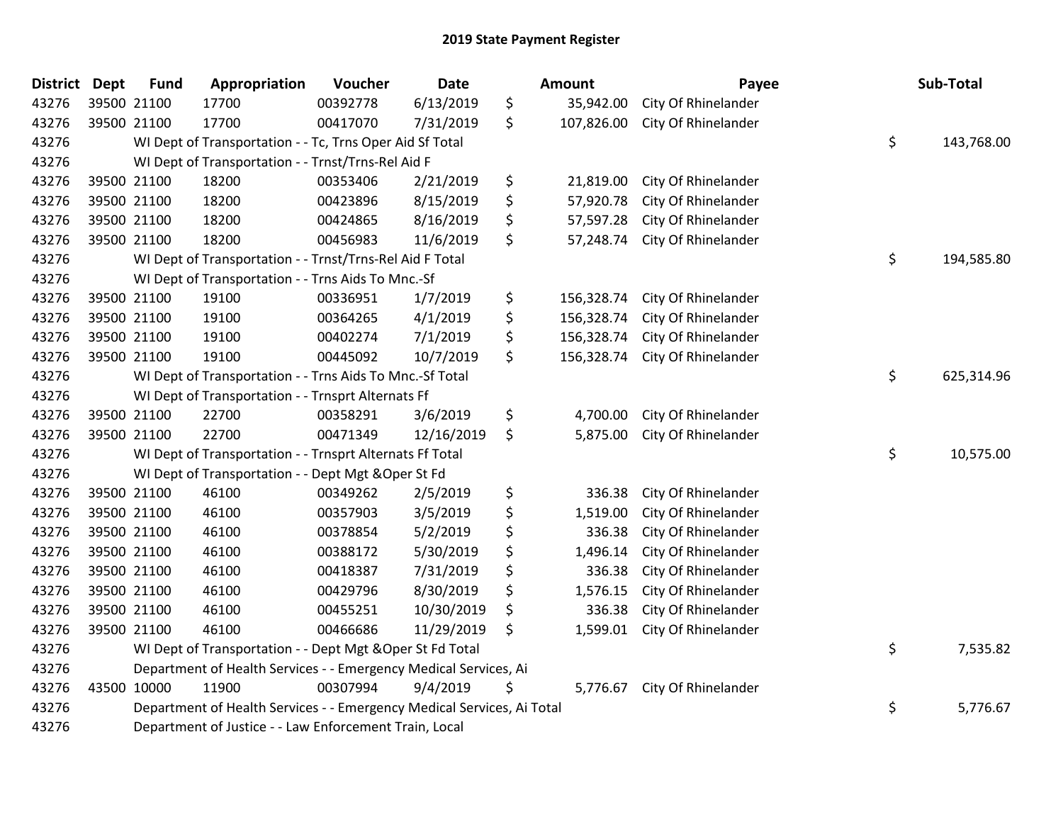| <b>District Dept</b> |             | <b>Fund</b> | Appropriation                                                          | Voucher  | Date       |    | Amount     | Payee               |    | Sub-Total  |  |
|----------------------|-------------|-------------|------------------------------------------------------------------------|----------|------------|----|------------|---------------------|----|------------|--|
| 43276                |             | 39500 21100 | 17700                                                                  | 00392778 | 6/13/2019  | \$ | 35,942.00  | City Of Rhinelander |    |            |  |
| 43276                | 39500 21100 |             | 17700                                                                  | 00417070 | 7/31/2019  | \$ | 107,826.00 | City Of Rhinelander |    |            |  |
| 43276                |             |             | WI Dept of Transportation - - Tc, Trns Oper Aid Sf Total               |          |            |    |            |                     | \$ | 143,768.00 |  |
| 43276                |             |             | WI Dept of Transportation - - Trnst/Trns-Rel Aid F                     |          |            |    |            |                     |    |            |  |
| 43276                |             | 39500 21100 | 18200                                                                  | 00353406 | 2/21/2019  | \$ | 21,819.00  | City Of Rhinelander |    |            |  |
| 43276                |             | 39500 21100 | 18200                                                                  | 00423896 | 8/15/2019  | \$ | 57,920.78  | City Of Rhinelander |    |            |  |
| 43276                |             | 39500 21100 | 18200                                                                  | 00424865 | 8/16/2019  | \$ | 57,597.28  | City Of Rhinelander |    |            |  |
| 43276                |             | 39500 21100 | 18200                                                                  | 00456983 | 11/6/2019  | \$ | 57,248.74  | City Of Rhinelander |    |            |  |
| 43276                |             |             | WI Dept of Transportation - - Trnst/Trns-Rel Aid F Total               |          |            |    |            |                     | \$ | 194,585.80 |  |
| 43276                |             |             | WI Dept of Transportation - - Trns Aids To Mnc.-Sf                     |          |            |    |            |                     |    |            |  |
| 43276                |             | 39500 21100 | 19100                                                                  | 00336951 | 1/7/2019   | \$ | 156,328.74 | City Of Rhinelander |    |            |  |
| 43276                |             | 39500 21100 | 19100                                                                  | 00364265 | 4/1/2019   | \$ | 156,328.74 | City Of Rhinelander |    |            |  |
| 43276                |             | 39500 21100 | 19100                                                                  | 00402274 | 7/1/2019   | \$ | 156,328.74 | City Of Rhinelander |    |            |  |
| 43276                |             | 39500 21100 | 19100                                                                  | 00445092 | 10/7/2019  | \$ | 156,328.74 | City Of Rhinelander |    |            |  |
| 43276                |             |             | WI Dept of Transportation - - Trns Aids To Mnc.-Sf Total               | \$       | 625,314.96 |    |            |                     |    |            |  |
| 43276                |             |             | WI Dept of Transportation - - Trnsprt Alternats Ff                     |          |            |    |            |                     |    |            |  |
| 43276                |             | 39500 21100 | 22700                                                                  | 00358291 | 3/6/2019   | \$ | 4,700.00   | City Of Rhinelander |    |            |  |
| 43276                |             | 39500 21100 | 22700                                                                  | 00471349 | 12/16/2019 | \$ | 5,875.00   | City Of Rhinelander |    |            |  |
| 43276                |             |             | WI Dept of Transportation - - Trnsprt Alternats Ff Total               |          |            |    |            |                     | \$ | 10,575.00  |  |
| 43276                |             |             | WI Dept of Transportation - - Dept Mgt & Oper St Fd                    |          |            |    |            |                     |    |            |  |
| 43276                |             | 39500 21100 | 46100                                                                  | 00349262 | 2/5/2019   | \$ | 336.38     | City Of Rhinelander |    |            |  |
| 43276                |             | 39500 21100 | 46100                                                                  | 00357903 | 3/5/2019   | \$ | 1,519.00   | City Of Rhinelander |    |            |  |
| 43276                |             | 39500 21100 | 46100                                                                  | 00378854 | 5/2/2019   | \$ | 336.38     | City Of Rhinelander |    |            |  |
| 43276                |             | 39500 21100 | 46100                                                                  | 00388172 | 5/30/2019  | \$ | 1,496.14   | City Of Rhinelander |    |            |  |
| 43276                |             | 39500 21100 | 46100                                                                  | 00418387 | 7/31/2019  | \$ | 336.38     | City Of Rhinelander |    |            |  |
| 43276                |             | 39500 21100 | 46100                                                                  | 00429796 | 8/30/2019  | \$ | 1,576.15   | City Of Rhinelander |    |            |  |
| 43276                |             | 39500 21100 | 46100                                                                  | 00455251 | 10/30/2019 | \$ | 336.38     | City Of Rhinelander |    |            |  |
| 43276                |             | 39500 21100 | 46100                                                                  | 00466686 | 11/29/2019 | \$ | 1,599.01   | City Of Rhinelander |    |            |  |
| 43276                |             |             | WI Dept of Transportation - - Dept Mgt & Oper St Fd Total              |          |            |    |            |                     | \$ | 7,535.82   |  |
| 43276                |             |             | Department of Health Services - - Emergency Medical Services, Ai       |          |            |    |            |                     |    |            |  |
| 43276                |             | 43500 10000 | 11900                                                                  | 00307994 | 9/4/2019   | \$ | 5,776.67   | City Of Rhinelander |    |            |  |
| 43276                |             |             | Department of Health Services - - Emergency Medical Services, Ai Total |          |            |    |            |                     | \$ | 5,776.67   |  |
| 43276                |             |             | Department of Justice - - Law Enforcement Train, Local                 |          |            |    |            |                     |    |            |  |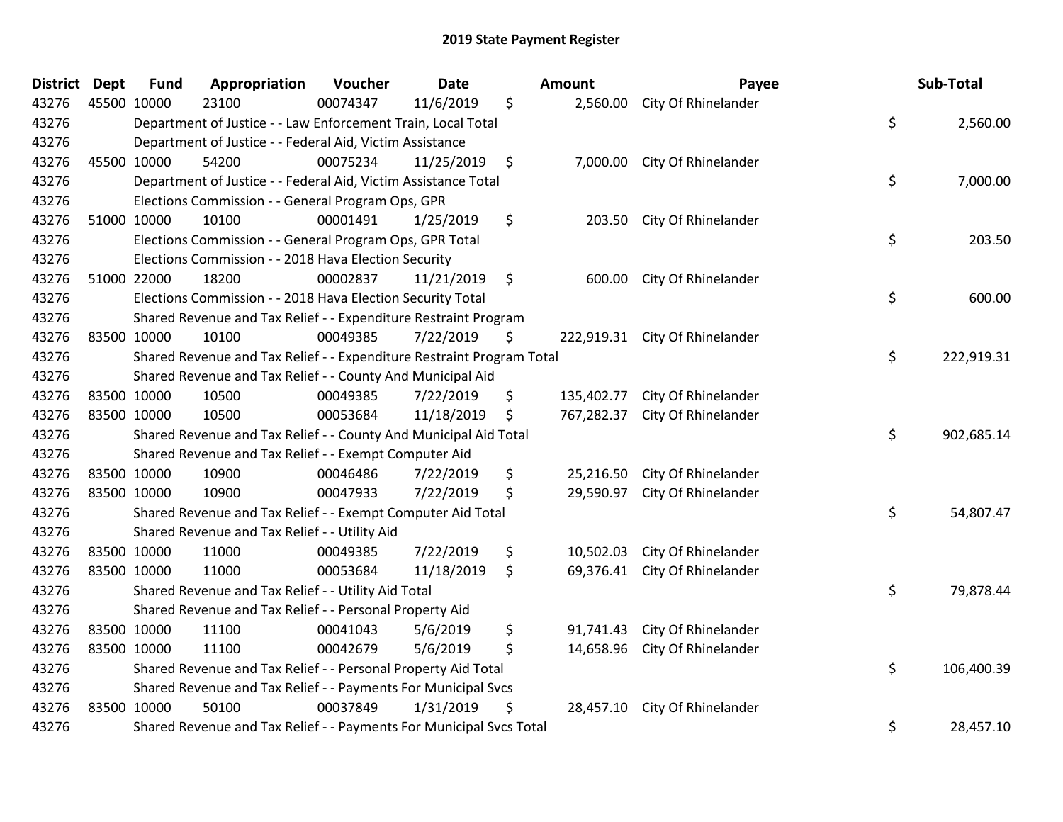| <b>District</b> | <b>Dept</b> | <b>Fund</b> | Appropriation                                                         | Voucher  | <b>Date</b> |      | Amount     | Payee                          | Sub-Total        |
|-----------------|-------------|-------------|-----------------------------------------------------------------------|----------|-------------|------|------------|--------------------------------|------------------|
| 43276           | 45500 10000 |             | 23100                                                                 | 00074347 | 11/6/2019   | \$   |            | 2,560.00 City Of Rhinelander   |                  |
| 43276           |             |             | Department of Justice - - Law Enforcement Train, Local Total          |          |             |      |            |                                | \$<br>2,560.00   |
| 43276           |             |             | Department of Justice - - Federal Aid, Victim Assistance              |          |             |      |            |                                |                  |
| 43276           | 45500 10000 |             | 54200                                                                 | 00075234 | 11/25/2019  | - \$ |            | 7,000.00 City Of Rhinelander   |                  |
| 43276           |             |             | Department of Justice - - Federal Aid, Victim Assistance Total        |          |             |      |            |                                | \$<br>7,000.00   |
| 43276           |             |             | Elections Commission - - General Program Ops, GPR                     |          |             |      |            |                                |                  |
| 43276           |             | 51000 10000 | 10100                                                                 | 00001491 | 1/25/2019   | \$   | 203.50     | City Of Rhinelander            |                  |
| 43276           |             |             | Elections Commission - - General Program Ops, GPR Total               |          |             |      |            |                                | \$<br>203.50     |
| 43276           |             |             | Elections Commission - - 2018 Hava Election Security                  |          |             |      |            |                                |                  |
| 43276           | 51000 22000 |             | 18200                                                                 | 00002837 | 11/21/2019  | \$   |            | 600.00 City Of Rhinelander     |                  |
| 43276           |             |             | Elections Commission - - 2018 Hava Election Security Total            |          |             |      |            |                                | \$<br>600.00     |
| 43276           |             |             | Shared Revenue and Tax Relief - - Expenditure Restraint Program       |          |             |      |            |                                |                  |
| 43276           | 83500 10000 |             | 10100                                                                 | 00049385 | 7/22/2019   | \$   |            | 222,919.31 City Of Rhinelander |                  |
| 43276           |             |             | Shared Revenue and Tax Relief - - Expenditure Restraint Program Total |          |             |      |            |                                | \$<br>222,919.31 |
| 43276           |             |             | Shared Revenue and Tax Relief - - County And Municipal Aid            |          |             |      |            |                                |                  |
| 43276           | 83500 10000 |             | 10500                                                                 | 00049385 | 7/22/2019   | \$   | 135,402.77 | City Of Rhinelander            |                  |
| 43276           | 83500 10000 |             | 10500                                                                 | 00053684 | 11/18/2019  | \$   | 767,282.37 | City Of Rhinelander            |                  |
| 43276           |             |             | Shared Revenue and Tax Relief - - County And Municipal Aid Total      |          |             |      |            |                                | \$<br>902,685.14 |
| 43276           |             |             | Shared Revenue and Tax Relief - - Exempt Computer Aid                 |          |             |      |            |                                |                  |
| 43276           | 83500 10000 |             | 10900                                                                 | 00046486 | 7/22/2019   | \$   | 25,216.50  | City Of Rhinelander            |                  |
| 43276           | 83500 10000 |             | 10900                                                                 | 00047933 | 7/22/2019   | \$   |            | 29,590.97 City Of Rhinelander  |                  |
| 43276           |             |             | Shared Revenue and Tax Relief - - Exempt Computer Aid Total           |          |             |      |            |                                | \$<br>54,807.47  |
| 43276           |             |             | Shared Revenue and Tax Relief - - Utility Aid                         |          |             |      |            |                                |                  |
| 43276           | 83500 10000 |             | 11000                                                                 | 00049385 | 7/22/2019   | \$   | 10,502.03  | City Of Rhinelander            |                  |
| 43276           | 83500 10000 |             | 11000                                                                 | 00053684 | 11/18/2019  | \$   | 69,376.41  | City Of Rhinelander            |                  |
| 43276           |             |             | Shared Revenue and Tax Relief - - Utility Aid Total                   |          |             |      |            |                                | \$<br>79,878.44  |
| 43276           |             |             | Shared Revenue and Tax Relief - - Personal Property Aid               |          |             |      |            |                                |                  |
| 43276           | 83500 10000 |             | 11100                                                                 | 00041043 | 5/6/2019    | \$   | 91,741.43  | City Of Rhinelander            |                  |
| 43276           | 83500 10000 |             | 11100                                                                 | 00042679 | 5/6/2019    | \$   | 14,658.96  | City Of Rhinelander            |                  |
| 43276           |             |             | Shared Revenue and Tax Relief - - Personal Property Aid Total         |          |             |      |            |                                | \$<br>106,400.39 |
| 43276           |             |             | Shared Revenue and Tax Relief - - Payments For Municipal Svcs         |          |             |      |            |                                |                  |
| 43276           | 83500 10000 |             | 50100                                                                 | 00037849 | 1/31/2019   | \$   | 28,457.10  | City Of Rhinelander            |                  |
| 43276           |             |             | Shared Revenue and Tax Relief - - Payments For Municipal Svcs Total   |          |             |      |            |                                | \$<br>28,457.10  |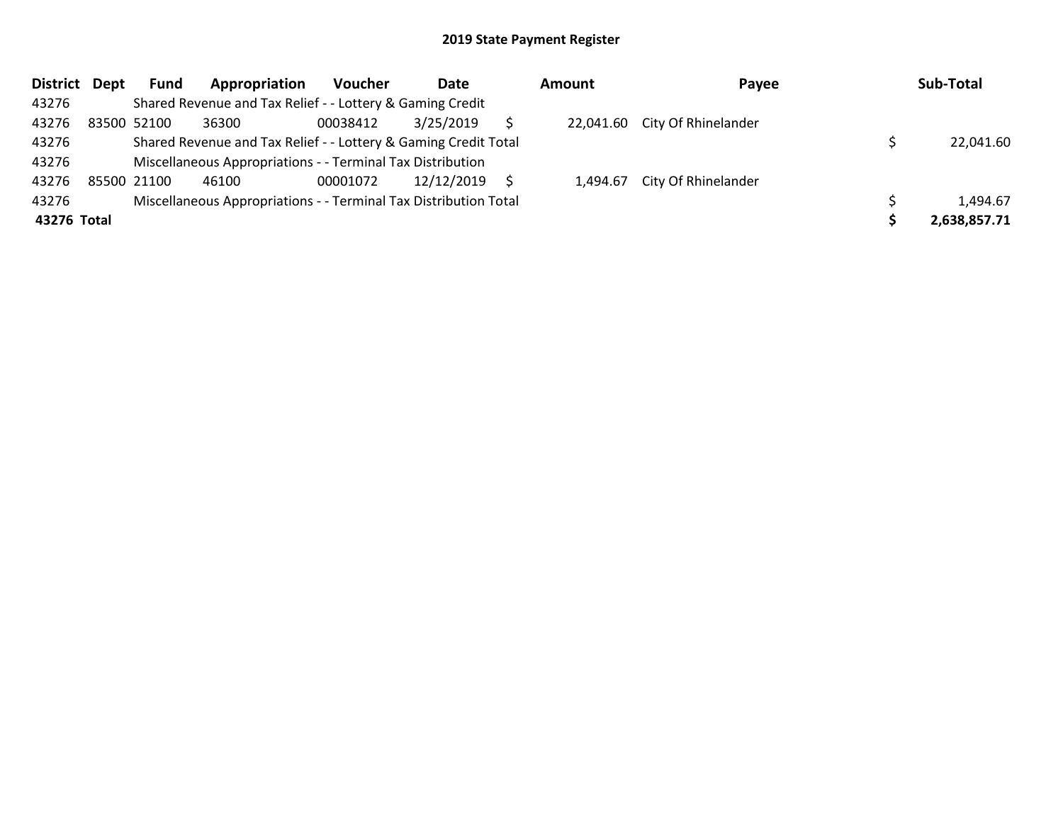| District Dept | Fund        | Appropriation                                                    | <b>Voucher</b> | Date       | <b>Amount</b> | Payee                         | Sub-Total    |
|---------------|-------------|------------------------------------------------------------------|----------------|------------|---------------|-------------------------------|--------------|
| 43276         |             | Shared Revenue and Tax Relief - - Lottery & Gaming Credit        |                |            |               |                               |              |
| 43276         | 83500 52100 | 36300                                                            | 00038412       | 3/25/2019  |               | 22,041.60 City Of Rhinelander |              |
| 43276         |             | Shared Revenue and Tax Relief - - Lottery & Gaming Credit Total  |                |            |               |                               | 22,041.60    |
| 43276         |             | Miscellaneous Appropriations - - Terminal Tax Distribution       |                |            |               |                               |              |
| 43276         | 85500 21100 | 46100                                                            | 00001072       | 12/12/2019 |               | 1,494.67 City Of Rhinelander  |              |
| 43276         |             | Miscellaneous Appropriations - - Terminal Tax Distribution Total |                |            |               |                               | 1,494.67     |
| 43276 Total   |             |                                                                  |                |            |               |                               | 2,638,857.71 |